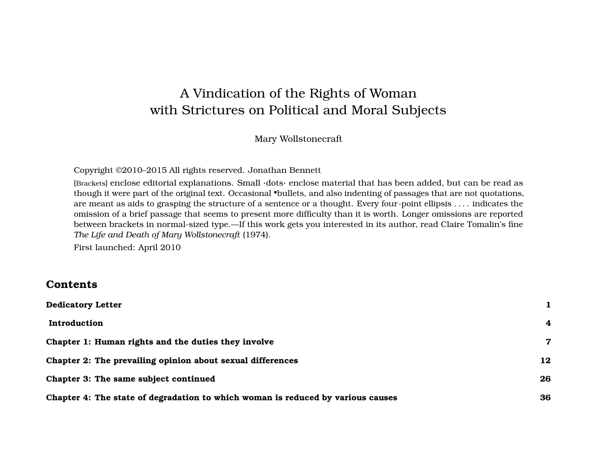# A Vindication of the Rights of Woman with Strictures on Political and Moral Subjects

#### Mary Wollstonecraft

Copyright ©2010–2015 All rights reserved. Jonathan Bennett

[Brackets] enclose editorial explanations. Small ·dots· enclose material that has been added, but can be read as though it were part of the original text. Occasional •bullets, and also indenting of passages that are not quotations, are meant as aids to grasping the structure of a sentence or a thought. Every four-point ellipsis . . . . indicates the omission of a brief passage that seems to present more difficulty than it is worth. Longer omissions are reported between brackets in normal-sized type.—If this work gets you interested in its author, read Claire Tomalin's fine *The Life and Death of Mary Wollstonecraft* (1974).

First launched: April 2010

#### **Contents**

| <b>Dedicatory Letter</b>                                                        |    |
|---------------------------------------------------------------------------------|----|
| Introduction                                                                    | 4  |
| Chapter 1: Human rights and the duties they involve                             | 7  |
| Chapter 2: The prevailing opinion about sexual differences                      | 12 |
| Chapter 3: The same subject continued                                           | 26 |
| Chapter 4: The state of degradation to which woman is reduced by various causes | 36 |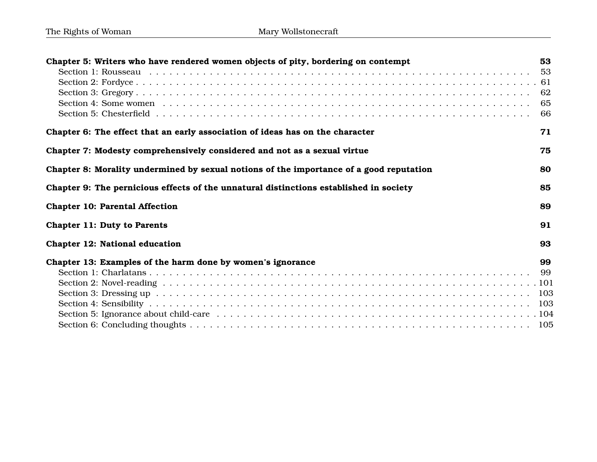| Chapter 5: Writers who have rendered women objects of pity, bordering on contempt       | 53<br>53<br>62<br>65<br>66 |
|-----------------------------------------------------------------------------------------|----------------------------|
| Chapter 6: The effect that an early association of ideas has on the character           | 71                         |
| Chapter 7: Modesty comprehensively considered and not as a sexual virtue                | 75                         |
| Chapter 8: Morality undermined by sexual notions of the importance of a good reputation | 80                         |
| Chapter 9: The pernicious effects of the unnatural distinctions established in society  | 85                         |
| <b>Chapter 10: Parental Affection</b>                                                   | 89                         |
| <b>Chapter 11: Duty to Parents</b>                                                      | 91                         |
| Chapter 12: National education                                                          | 93                         |
| Chapter 13: Examples of the harm done by women's ignorance                              | 99<br>- 99                 |
|                                                                                         |                            |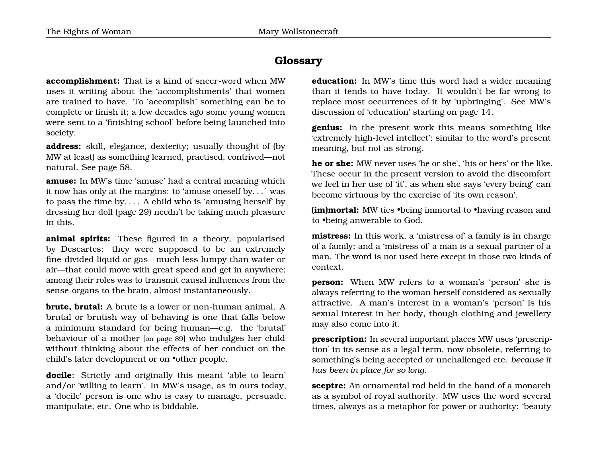### **Glossary**

**accomplishment:** That is a kind of sneer-word when MW uses it writing about the 'accomplishments' that women are trained to have. To 'accomplish' something can be to complete or finish it; a few decades ago some young women were sent to a 'finishing school' before being launched into society.

**address:** skill, elegance, dexterity; usually thought of (by MW at least) as something learned, practised, contrived—not natural. See page [58.](#page-56-1)

**amuse:** In MW's time 'amuse' had a central meaning which it now has only at the margins: to 'amuse oneself by. . . ' was to pass the time by. . . . A child who is 'amusing herself' by dressing her doll (page [29\)](#page-29-0) needn't be taking much pleasure in this.

**animal spirits:** These figured in a theory, popularised by Descartes: they were supposed to be an extremely fine-divided liquid or gas—much less lumpy than water or air—that could move with great speed and get in anywhere; among their roles was to transmit causal influences from the sense-organs to the brain, almost instantaneously.

**brute, brutal:** A brute is a lower or non-human animal. A brutal or brutish way of behaving is one that falls below a minimum standard for being human—e.g. the 'brutal' behaviour of a mother [on page [89](#page-92-0)] who indulges her child without thinking about the effects of her conduct on the child's later development or on •other people.

**docile**: Strictly and originally this meant 'able to learn' and/or 'willing to learn'. In MW's usage, as in ours today, a 'docile' person is one who is easy to manage, persuade, manipulate, etc. One who is biddable.

**education:** In MW's time this word had a wider meaning than it tends to have today. It wouldn't be far wrong to replace most occurrences of it by 'upbringing'. See MW's discussion of 'education' starting on page [14.](#page-15-0)

**genius:** In the present work this means something like 'extremely high-level intellect'; similar to the word's present meaning, but not as strong.

**he or she:** MW never uses 'he or she', 'his or hers' or the like. These occur in the present version to avoid the discomfort we feel in her use of 'it', as when she says 'every being' can become virtuous by the exercise of 'its own reason'.

**(im)mortal:** MW ties •being immortal to •having reason and to •being anwerable to God.

**mistress:** In this work, a 'mistress of' a family is in charge of a family; and a 'mistress of' a man is a sexual partner of a man. The word is not used here except in those two kinds of context.

**person:** When MW refers to a woman's 'person' she is always referring to the woman herself considered as sexually attractive. A man's interest in a woman's 'person' is his sexual interest in her body, though clothing and jewellery may also come into it.

**prescription:** In several important places MW uses 'prescription' in its sense as a legal term, now obsolete, referring to something's being accepted or unchallenged etc. *because it has been in place for so long*.

**sceptre:** An ornamental rod held in the hand of a monarch as a symbol of royal authority. MW uses the word several times, always as a metaphor for power or authority: 'beauty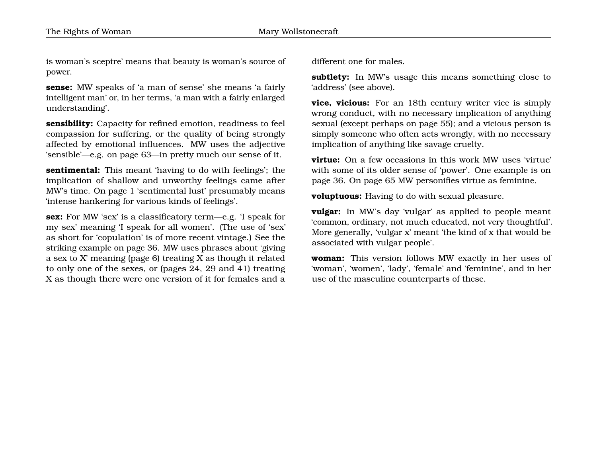is woman's sceptre' means that beauty is woman's source of power.

**sense:** MW speaks of 'a man of sense' she means 'a fairly intelligent man' or, in her terms, 'a man with a fairly enlarged understanding'.

**sensibility:** Capacity for refined emotion, readiness to feel compassion for suffering, or the quality of being strongly affected by emotional influences. MW uses the adjective 'sensible'—e.g. on page [63—](#page-65-0)in pretty much our sense of it.

**sentimental:** This meant 'having to do with feelings'; the implication of shallow and unworthy feelings came after MW's time. On page [1](#page-4-0) 'sentimental lust' presumably means 'intense hankering for various kinds of feelings'.

**sex:** For MW 'sex' is a classificatory term—e.g. 'I speak for my sex' meaning 'I speak for all women'. (The use of 'sex' as short for 'copulation' is of more recent vintage.) See the striking example on page [36.](#page-39-0) MW uses phrases about 'giving a sex to X' meaning (page [6\)](#page-7-0) treating X as though it related to only one of the sexes, or (pages [24,](#page-15-0) [29](#page-29-0) and [41\)](#page-39-0) treating X as though there were one version of it for females and a different one for males.

**subtlety:** In MW's usage this means something close to 'address' (see above).

**vice, vicious:** For an 18th century writer vice is simply wrong conduct, with no necessary implication of anything sexual (except perhaps on page [55\)](#page-56-1); and a vicious person is simply someone who often acts wrongly, with no necessary implication of anything like savage cruelty.

**virtue:** On a few occasions in this work MW uses 'virtue' with some of its older sense of 'power'. One example is on page [36.](#page-39-0) On page [65](#page-68-0) MW personifies virtue as feminine.

**voluptuous:** Having to do with sexual pleasure.

**vulgar:** In MW's day 'vulgar' as applied to people meant 'common, ordinary, not much educated, not very thoughtful'. More generally, 'vulgar x' meant 'the kind of x that would be associated with vulgar people'.

**woman:** This version follows MW exactly in her uses of 'woman', 'women', 'lady', 'female' and 'feminine', and in her use of the masculine counterparts of these.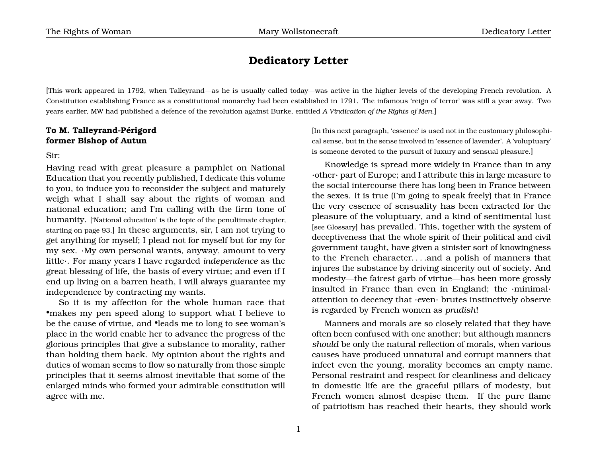#### <span id="page-4-0"></span>**Dedicatory Letter**

[This work appeared in 1792, when Talleyrand—as he is usually called today—was active in the higher levels of the developing French revolution. A Constitution establishing France as a constitutional monarchy had been established in 1791. The infamous 'reign of terror' was still a year away. Two years earlier, MW had published a defence of the revolution against Burke, entitled *A Vindication of the Rights of Men*.]

#### **To M. Talleyrand-Périgord former Bishop of Autun**

Sir:

Having read with great pleasure a pamphlet on National Education that you recently published, I dedicate this volume to you, to induce you to reconsider the subject and maturely weigh what I shall say about the rights of woman and national education; and I'm calling with the firm tone of humanity. ['National education' is the topic of the penultimate chapter, starting on page [93.](#page-96-0)] In these arguments, sir, I am not trying to get anything for myself; I plead not for myself but for my for my sex. ·My own personal wants, anyway, amount to very little·. For many years I have regarded *independence* as the great blessing of life, the basis of every virtue; and even if I end up living on a barren heath, I will always guarantee my independence by contracting my wants.

So it is my affection for the whole human race that •makes my pen speed along to support what I believe to be the cause of virtue, and •leads me to long to see woman's place in the world enable her to advance the progress of the glorious principles that give a substance to morality, rather than holding them back. My opinion about the rights and duties of woman seems to flow so naturally from those simple principles that it seems almost inevitable that some of the enlarged minds who formed your admirable constitution will agree with me.

[In this next paragraph, 'essence' is used not in the customary philosophical sense, but in the sense involved in 'essence of lavender'. A 'voluptuary' is someone devoted to the pursuit of luxury and sensual pleasure.]

Knowledge is spread more widely in France than in any ·other· part of Europe; and I attribute this in large measure to the social intercourse there has long been in France between the sexes. It is true (I'm going to speak freely) that in France the very essence of sensuality has been extracted for the pleasure of the voluptuary, and a kind of sentimental lust [see Glossary] has prevailed. This, together with the system of deceptiveness that the whole spirit of their political and civil government taught, have given a sinister sort of knowingness to the French character. . . .and a polish of manners that injures the substance by driving sincerity out of society. And modesty—the fairest garb of virtue—has been more grossly insulted in France than even in England; the ·minimal· attention to decency that ·even· brutes instinctively observe is regarded by French women as *prudish*!

Manners and morals are so closely related that they have often been confused with one another; but although manners *should* be only the natural reflection of morals, when various causes have produced unnatural and corrupt manners that infect even the young, morality becomes an empty name. Personal restraint and respect for cleanliness and delicacy in domestic life are the graceful pillars of modesty, but French women almost despise them. If the pure flame of patriotism has reached their hearts, they should work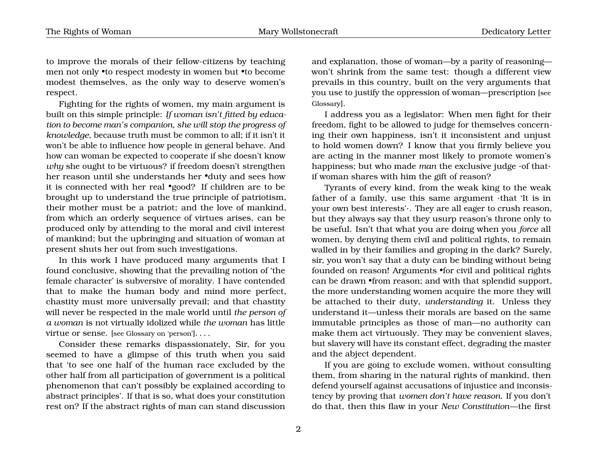to improve the morals of their fellow-citizens by teaching men not only •to respect modesty in women but •to become modest themselves, as the only way to deserve women's respect.

Fighting for the rights of women, my main argument is built on this simple principle: *If woman isn't fitted by education to become man's companion, she will stop the progress of knowledge*, because truth must be common to all; if it isn't it won't be able to influence how people in general behave. And how can woman be expected to cooperate if she doesn't know *why* she ought to be virtuous? if freedom doesn't strengthen her reason until she understands her •duty and sees how it is connected with her real •good? If children are to be brought up to understand the true principle of patriotism, their mother must be a patriot; and the love of mankind, from which an orderly sequence of virtues arises, can be produced only by attending to the moral and civil interest of mankind; but the upbringing and situation of woman at present shuts her out from such investigations.

In this work I have produced many arguments that I found conclusive, showing that the prevailing notion of 'the female character' is subversive of morality. I have contended that to make the human body and mind more perfect, chastity must more universally prevail; and that chastity will never be respected in the male world until *the person of a woman* is not virtually idolized while *the woman* has little virtue or sense. [see Glossary on 'person']. . . .

Consider these remarks dispassionately, Sir, for you seemed to have a glimpse of this truth when you said that 'to see one half of the human race excluded by the other half from all participation of government is a political phenomenon that can't possibly be explained according to abstract principles'. If that is so, what does your constitution rest on? If the abstract rights of man can stand discussion

and explanation, those of woman—by a parity of reasoning won't shrink from the same test: though a different view prevails in this country, built on the very arguments that you use to justify the oppression of woman—prescription [see Glossary].

I address you as a legislator: When men fight for their freedom, fight to be allowed to judge for themselves concerning their own happiness, isn't it inconsistent and unjust to hold women down? I know that you firmly believe you are acting in the manner most likely to promote women's happiness; but who made *man* the exclusive judge ·of that· if woman shares with him the gift of reason?

Tyrants of every kind, from the weak king to the weak father of a family, use this same argument ·that 'It is in your own best interests'·. They are all eager to crush reason, but they always say that they usurp reason's throne only to be useful. Isn't that what you are doing when you *force* all women, by denying them civil and political rights, to remain walled in by their families and groping in the dark? Surely, sir, you won't say that a duty can be binding without being founded on reason! Arguments •for civil and political rights can be drawn •from reason; and with that splendid support, the more understanding women acquire the more they will be attached to their duty, *understanding* it. Unless they understand it—unless their morals are based on the same immutable principles as those of man—no authority can make them act virtuously. They may be convenient slaves, but slavery will have its constant effect, degrading the master and the abject dependent.

If you are going to exclude women, without consulting them, from sharing in the natural rights of mankind, then defend yourself against accusations of injustice and inconsistency by proving that *women don't have reason*. If you don't do that, then this flaw in your *New Constitution*—the first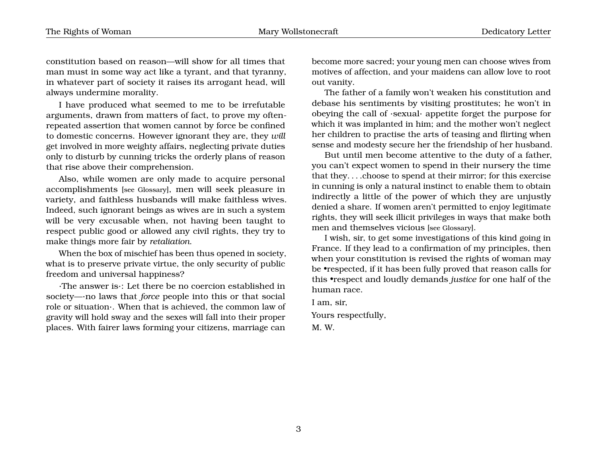constitution based on reason—will show for all times that man must in some way act like a tyrant, and that tyranny, in whatever part of society it raises its arrogant head, will always undermine morality.

I have produced what seemed to me to be irrefutable arguments, drawn from matters of fact, to prove my oftenrepeated assertion that women cannot by force be confined to domestic concerns. However ignorant they are, they *will* get involved in more weighty affairs, neglecting private duties only to disturb by cunning tricks the orderly plans of reason that rise above their comprehension.

Also, while women are only made to acquire personal accomplishments [see Glossary], men will seek pleasure in variety, and faithless husbands will make faithless wives. Indeed, such ignorant beings as wives are in such a system will be very excusable when, not having been taught to respect public good or allowed any civil rights, they try to make things more fair by *retaliation*.

When the box of mischief has been thus opened in society, what is to preserve private virtue, the only security of public freedom and universal happiness?

·The answer is·: Let there be no coercion established in society—·no laws that *force* people into this or that social role or situation·. When that is achieved, the common law of gravity will hold sway and the sexes will fall into their proper places. With fairer laws forming your citizens, marriage can

become more sacred; your young men can choose wives from motives of affection, and your maidens can allow love to root out vanity.

The father of a family won't weaken his constitution and debase his sentiments by visiting prostitutes; he won't in obeying the call of ·sexual· appetite forget the purpose for which it was implanted in him; and the mother won't neglect her children to practise the arts of teasing and flirting when sense and modesty secure her the friendship of her husband.

But until men become attentive to the duty of a father, you can't expect women to spend in their nursery the time that they. . . .choose to spend at their mirror; for this exercise in cunning is only a natural instinct to enable them to obtain indirectly a little of the power of which they are unjustly denied a share. If women aren't permitted to enjoy legitimate rights, they will seek illicit privileges in ways that make both men and themselves vicious [see Glossary].

I wish, sir, to get some investigations of this kind going in France. If they lead to a confirmation of my principles, then when your constitution is revised the rights of woman may be •respected, if it has been fully proved that reason calls for this •respect and loudly demands *justice* for one half of the human race.

I am, sir,

Yours respectfully,

M. W.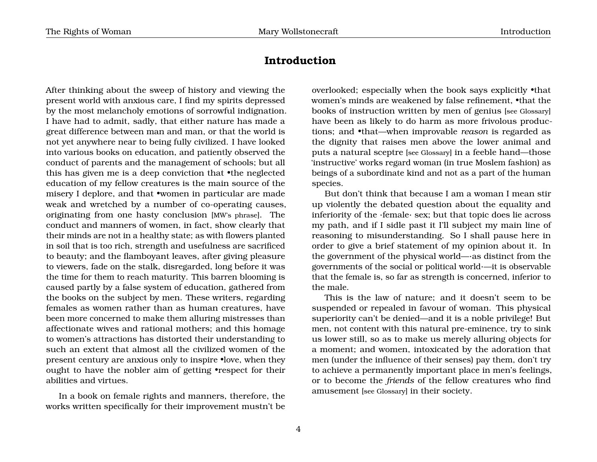#### <span id="page-7-0"></span>**Introduction**

After thinking about the sweep of history and viewing the present world with anxious care, I find my spirits depressed by the most melancholy emotions of sorrowful indignation. I have had to admit, sadly, that either nature has made a great difference between man and man, or that the world is not yet anywhere near to being fully civilized. I have looked into various books on education, and patiently observed the conduct of parents and the management of schools; but all this has given me is a deep conviction that •the neglected education of my fellow creatures is the main source of the misery I deplore, and that •women in particular are made weak and wretched by a number of co-operating causes, originating from one hasty conclusion [MW's phrase]. The conduct and manners of women, in fact, show clearly that their minds are not in a healthy state; as with flowers planted in soil that is too rich, strength and usefulness are sacrificed to beauty; and the flamboyant leaves, after giving pleasure to viewers, fade on the stalk, disregarded, long before it was the time for them to reach maturity. This barren blooming is caused partly by a false system of education, gathered from the books on the subject by men. These writers, regarding females as women rather than as human creatures, have been more concerned to make them alluring mistresses than affectionate wives and rational mothers; and this homage to women's attractions has distorted their understanding to such an extent that almost all the civilized women of the present century are anxious only to inspire •love, when they ought to have the nobler aim of getting •respect for their abilities and virtues.

In a book on female rights and manners, therefore, the works written specifically for their improvement mustn't be

overlooked; especially when the book says explicitly •that women's minds are weakened by false refinement, •that the books of instruction written by men of genius [see Glossary] have been as likely to do harm as more frivolous productions; and •that—when improvable *reason* is regarded as the dignity that raises men above the lower animal and puts a natural sceptre [see Glossary] in a feeble hand—those 'instructive' works regard woman (in true Moslem fashion) as beings of a subordinate kind and not as a part of the human species.

But don't think that because I am a woman I mean stir up violently the debated question about the equality and inferiority of the ·female· sex; but that topic does lie across my path, and if I sidle past it I'll subject my main line of reasoning to misunderstanding. So I shall pause here in order to give a brief statement of my opinion about it. In the government of the physical world—·as distinct from the governments of the social or political world·—it is observable that the female is, so far as strength is concerned, inferior to the male.

This is the law of nature; and it doesn't seem to be suspended or repealed in favour of woman. This physical superiority can't be denied—and it is a noble privilege! But men, not content with this natural pre-eminence, try to sink us lower still, so as to make us merely alluring objects for a moment; and women, intoxicated by the adoration that men (under the influence of their senses) pay them, don't try to achieve a permanently important place in men's feelings, or to become the *friends* of the fellow creatures who find amusement [see Glossary] in their society.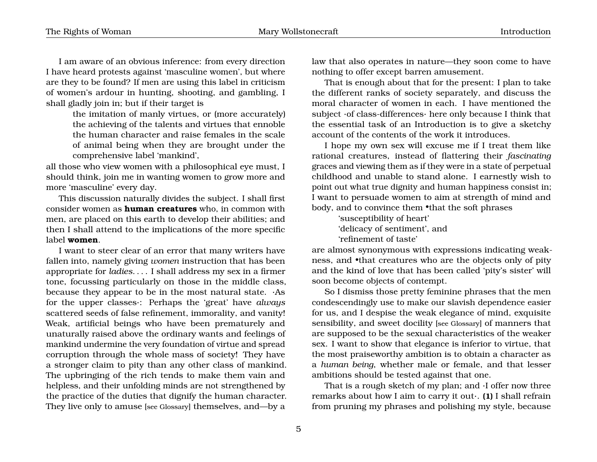I am aware of an obvious inference: from every direction I have heard protests against 'masculine women', but where are they to be found? If men are using this label in criticism of women's ardour in hunting, shooting, and gambling, I shall gladly join in; but if their target is

> the imitation of manly virtues, or (more accurately) the achieving of the talents and virtues that ennoble the human character and raise females in the scale of animal being when they are brought under the comprehensive label 'mankind',

all those who view women with a philosophical eye must, I should think, join me in wanting women to grow more and more 'masculine' every day.

This discussion naturally divides the subject. I shall first consider women as **human creatures** who, in common with men, are placed on this earth to develop their abilities; and then I shall attend to the implications of the more specific label **women**.

I want to steer clear of an error that many writers have fallen into, namely giving *women* instruction that has been appropriate for *ladies*. . . . I shall address my sex in a firmer tone, focussing particularly on those in the middle class, because they appear to be in the most natural state. ·As for the upper classes·: Perhaps the 'great' have *always* scattered seeds of false refinement, immorality, and vanity! Weak, artificial beings who have been prematurely and unaturally raised above the ordinary wants and feelings of mankind undermine the very foundation of virtue and spread corruption through the whole mass of society! They have a stronger claim to pity than any other class of mankind. The upbringing of the rich tends to make them vain and helpless, and their unfolding minds are not strengthened by the practice of the duties that dignify the human character. They live only to amuse [see Glossary] themselves, and—by a

law that also operates in nature—they soon come to have nothing to offer except barren amusement.

That is enough about that for the present: I plan to take the different ranks of society separately, and discuss the moral character of women in each. I have mentioned the subject ·of class-differences· here only because I think that the essential task of an Introduction is to give a sketchy account of the contents of the work it introduces.

I hope my own sex will excuse me if I treat them like rational creatures, instead of flattering their *fascinating* graces and viewing them as if they were in a state of perpetual childhood and unable to stand alone. I earnestly wish to point out what true dignity and human happiness consist in; I want to persuade women to aim at strength of mind and body, and to convince them •that the soft phrases

> 'susceptibility of heart' 'delicacy of sentiment', and 'refinement of taste'

are almost synonymous with expressions indicating weakness, and •that creatures who are the objects only of pity and the kind of love that has been called 'pity's sister' will soon become objects of contempt.

So I dismiss those pretty feminine phrases that the men condescendingly use to make our slavish dependence easier for us, and I despise the weak elegance of mind, exquisite sensibility, and sweet docility [see Glossary] of manners that are supposed to be the sexual characteristics of the weaker sex. I want to show that elegance is inferior to virtue, that the most praiseworthy ambition is to obtain a character as a *human being*, whether male or female, and that lesser ambitions should be tested against that one.

That is a rough sketch of my plan; and ·I offer now three remarks about how I aim to carry it out·. **(1)** I shall refrain from pruning my phrases and polishing my style, because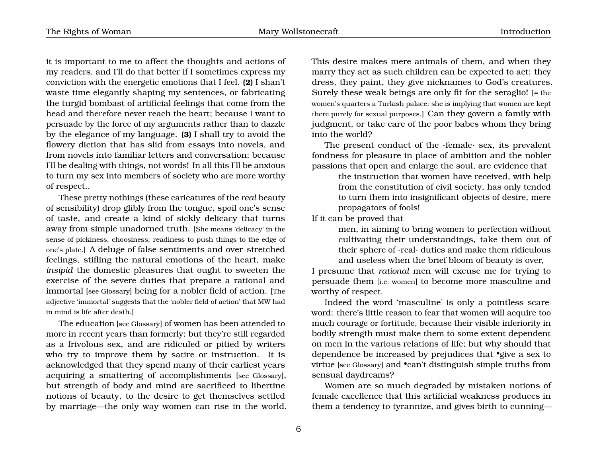it is important to me to affect the thoughts and actions of my readers, and I'll do that better if I sometimes express my conviction with the energetic emotions that I feel. **(2)** I shan't waste time elegantly shaping my sentences, or fabricating the turgid bombast of artificial feelings that come from the head and therefore never reach the heart; because I want to persuade by the force of my arguments rather than to dazzle by the elegance of my language. **(3)** I shall try to avoid the flowery diction that has slid from essays into novels, and from novels into familiar letters and conversation; because I'll be dealing with things, not words! In all this I'll be anxious to turn my sex into members of society who are more worthy of respect..

These pretty nothings (these caricatures of the *real* beauty of sensibility) drop glibly from the tongue, spoil one's sense of taste, and create a kind of sickly delicacy that turns away from simple unadorned truth. [She means 'delicacy' in the sense of pickiness, choosiness; readiness to push things to the edge of one's plate.] A deluge of false sentiments and over-stretched feelings, stifling the natural emotions of the heart, make *insipid* the domestic pleasures that ought to sweeten the exercise of the severe duties that prepare a rational and immortal [see Glossary] being for a nobler field of action. [The adjective 'immortal' suggests that the 'nobler field of action' that MW had in mind is life after death.]

The education [see Glossary] of women has been attended to more in recent years than formerly; but they're still regarded as a frivolous sex, and are ridiculed or pitied by writers who try to improve them by satire or instruction. It is acknowledged that they spend many of their earliest years acquiring a smattering of accomplishments [see Glossary], but strength of body and mind are sacrificed to libertine notions of beauty, to the desire to get themselves settled by marriage—the only way women can rise in the world. This desire makes mere animals of them, and when they marry they act as such children can be expected to act: they dress, they paint, they give nicknames to God's creatures. Surely these weak beings are only fit for the seraglio! [= the women's quarters a Turkish palace; she is implying that women are kept there purely for sexual purposes.] Can they govern a family with judgment, or take care of the poor babes whom they bring into the world?

The present conduct of the ·female· sex, its prevalent fondness for pleasure in place of ambition and the nobler passions that open and enlarge the soul, are evidence that

> the instruction that women have received, with help from the constitution of civil society, has only tended to turn them into insignificant objects of desire, mere propagators of fools!

If it can be proved that

men, in aiming to bring women to perfection without cultivating their understandings, take them out of their sphere of ·real· duties and make them ridiculous and useless when the brief bloom of beauty is over,

I presume that *rational* men will excuse me for trying to persuade them [i.e. women] to become more masculine and worthy of respect.

Indeed the word 'masculine' is only a pointless scareword: there's little reason to fear that women will acquire too much courage or fortitude, because their visible inferiority in bodily strength must make them to some extent dependent on men in the various relations of life; but why should that dependence be increased by prejudices that •give a sex to virtue [see Glossary] and •can't distinguish simple truths from sensual daydreams?

Women are so much degraded by mistaken notions of female excellence that this artificial weakness produces in them a tendency to tyrannize, and gives birth to cunning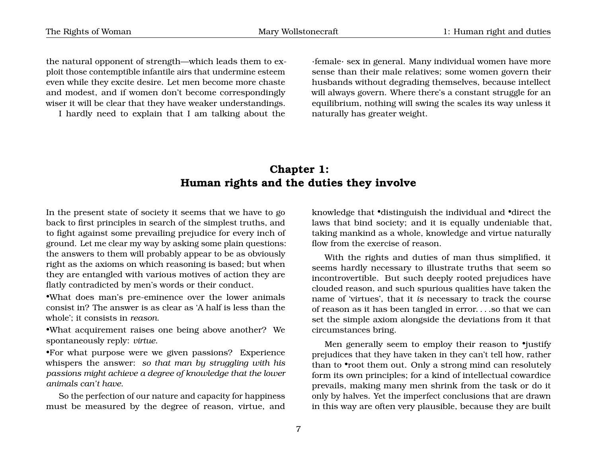the natural opponent of strength—which leads them to exploit those contemptible infantile airs that undermine esteem even while they excite desire. Let men become more chaste and modest, and if women don't become correspondingly wiser it will be clear that they have weaker understandings.

I hardly need to explain that I am talking about the

·female· sex in general. Many individual women have more sense than their male relatives; some women govern their husbands without degrading themselves, because intellect will always govern. Where there's a constant struggle for an equilibrium, nothing will swing the scales its way unless it naturally has greater weight.

# **Chapter 1: Human rights and the duties they involve**

In the present state of society it seems that we have to go back to first principles in search of the simplest truths, and to fight against some prevailing prejudice for every inch of ground. Let me clear my way by asking some plain questions: the answers to them will probably appear to be as obviously right as the axioms on which reasoning is based; but when they are entangled with various motives of action they are flatly contradicted by men's words or their conduct.

•What does man's pre-eminence over the lower animals consist in? The answer is as clear as 'A half is less than the whole'; it consists in *reason*.

•What acquirement raises one being above another? We spontaneously reply: *virtue*.

•For what purpose were we given passions? Experience whispers the answer: *so that man by struggling with his passions might achieve a degree of knowledge that the lower animals can't have*.

So the perfection of our nature and capacity for happiness must be measured by the degree of reason, virtue, and

<span id="page-10-0"></span>knowledge that •distinguish the individual and •direct the laws that bind society; and it is equally undeniable that, taking mankind as a whole, knowledge and virtue naturally flow from the exercise of reason.

With the rights and duties of man thus simplified, it seems hardly necessary to illustrate truths that seem so incontrovertible. But such deeply rooted prejudices have clouded reason, and such spurious qualities have taken the name of 'virtues', that it *is* necessary to track the course of reason as it has been tangled in error. . . .so that we can set the simple axiom alongside the deviations from it that circumstances bring.

Men generally seem to employ their reason to *•justify* prejudices that they have taken in they can't tell how, rather than to •root them out. Only a strong mind can resolutely form its own principles; for a kind of intellectual cowardice prevails, making many men shrink from the task or do it only by halves. Yet the imperfect conclusions that are drawn in this way are often very plausible, because they are built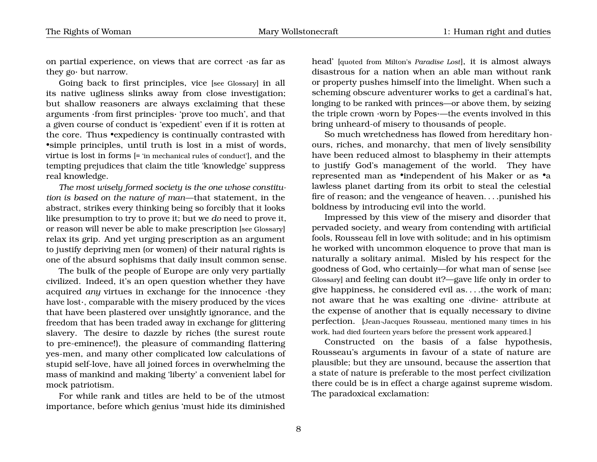on partial experience, on views that are correct ·as far as they go· but narrow.

Going back to first principles, vice [see Glossary] in all its native ugliness slinks away from close investigation; but shallow reasoners are always exclaiming that these arguments ·from first principles· 'prove too much', and that a given course of conduct is 'expedient' even if it is rotten at the core. Thus •expediency is continually contrasted with •simple principles, until truth is lost in a mist of words, virtue is lost in forms [= 'in mechanical rules of conduct'], and the tempting prejudices that claim the title 'knowledge' suppress real knowledge.

*The most wisely formed society is the one whose constitution is based on the nature of man*—that statement, in the abstract, strikes every thinking being so forcibly that it looks like presumption to try to prove it; but we *do* need to prove it, or reason will never be able to make prescription [see Glossary] relax its grip. And yet urging prescription as an argument to justify depriving men (or women) of their natural rights is one of the absurd sophisms that daily insult common sense.

The bulk of the people of Europe are only very partially civilized. Indeed, it's an open question whether they have acquired *any* virtues in exchange for the innocence ·they have lost·, comparable with the misery produced by the vices that have been plastered over unsightly ignorance, and the freedom that has been traded away in exchange for glittering slavery. The desire to dazzle by riches (the surest route to pre-eminence!), the pleasure of commanding flattering yes-men, and many other complicated low calculations of stupid self-love, have all joined forces in overwhelming the mass of mankind and making 'liberty' a convenient label for mock patriotism.

For while rank and titles are held to be of the utmost importance, before which genius 'must hide its diminished head' [quoted from Milton's *Paradise Lost*], it is almost always disastrous for a nation when an able man without rank or property pushes himself into the limelight. When such a scheming obscure adventurer works to get a cardinal's hat, longing to be ranked with princes—or above them, by seizing the triple crown ·worn by Popes·—the events involved in this bring unheard-of misery to thousands of people.

So much wretchedness has flowed from hereditary honours, riches, and monarchy, that men of lively sensibility have been reduced almost to blasphemy in their attempts to justify God's management of the world. They have represented man as •independent of his Maker or as •a lawless planet darting from its orbit to steal the celestial fire of reason; and the vengeance of heaven. . . .punished his boldness by introducing evil into the world.

Impressed by this view of the misery and disorder that pervaded society, and weary from contending with artificial fools, Rousseau fell in love with solitude; and in his optimism he worked with uncommon eloquence to prove that man is naturally a solitary animal. Misled by his respect for the goodness of God, who certainly—for what man of sense [see Glossary] and feeling can doubt it?—gave life only in order to give happiness, he considered evil as. . . .the work of man; not aware that he was exalting one ·divine· attribute at the expense of another that is equally necessary to divine perfection. [Jean-Jacques Rousseau, mentioned many times in his work, had died fourteen years before the pressent work appeared.]

Constructed on the basis of a false hypothesis, Rousseau's arguments in favour of a state of nature are plausible; but they are unsound, because the assertion that a state of nature is preferable to the most perfect civilization there could be is in effect a charge against supreme wisdom. The paradoxical exclamation: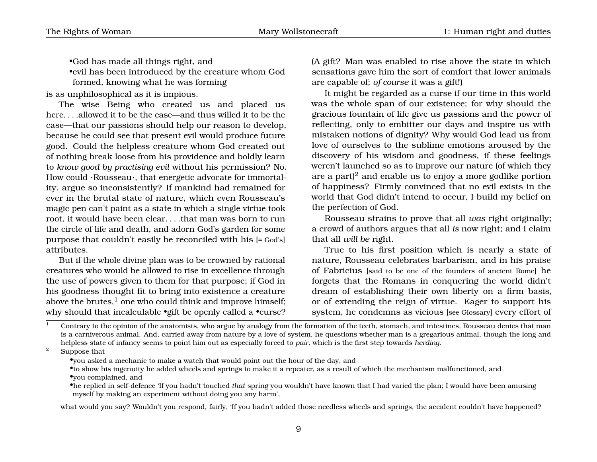•God has made all things right, and

•evil has been introduced by the creature whom God formed, knowing what he was forming

is as unphilosophical as it is impious.

The wise Being who created us and placed us here...allowed it to be the case—and thus willed it to be the case—that our passions should help our reason to develop, because he could see that present evil would produce future good. Could the helpless creature whom God created out of nothing break loose from his providence and boldly learn to *know good by practising evil* without his permission? No. How could ·Rousseau·, that energetic advocate for immortality, argue so inconsistently? If mankind had remained for ever in the brutal state of nature, which even Rousseau's magic pen can't paint as a state in which a single virtue took root, it would have been clear. . . .that man was born to run the circle of life and death, and adorn God's garden for some purpose that couldn't easily be reconciled with his [= God's] attributes.

But if the whole divine plan was to be crowned by rational creatures who would be allowed to rise in excellence through the use of powers given to them for that purpose; if God in his goodness thought fit to bring into existence a creature above the brutes, $<sup>1</sup>$  $<sup>1</sup>$  $<sup>1</sup>$  one who could think and improve himself;</sup> why should that incalculable •gift be openly called a •curse? (A gift? Man was enabled to rise above the state in which sensations gave him the sort of comfort that lower animals are capable of; *of course* it was a gift!)

It might be regarded as a curse if our time in this world was the whole span of our existence; for why should the gracious fountain of life give us passions and the power of reflecting, only to embitter our days and inspire us with mistaken notions of dignity? Why would God lead us from love of ourselves to the sublime emotions aroused by the discovery of his wisdom and goodness, if these feelings weren't launched so as to improve our nature (of which they are a part $)^2$  $)^2$  and enable us to enjoy a more godlike portion of happiness? Firmly convinced that no evil exists in the world that God didn't intend to occur, I build my belief on the perfection of God.

Rousseau strains to prove that all *was* right originally; a crowd of authors argues that all *is* now right; and I claim that all *will be* right.

True to his first position which is nearly a state of nature, Rousseau celebrates barbarism, and in his praise of Fabricius [said to be one of the founders of ancient Rome] he forgets that the Romans in conquering the world didn't dream of establishing their own liberty on a firm basis, or of extending the reign of virtue. Eager to support his system, he condemns as vicious [see Glossary] every effort of

<span id="page-12-0"></span> $1$  Contrary to the opinion of the anatomists, who argue by analogy from the formation of the teeth, stomach, and intestines, Rousseau denies that man is a carniverous animal. And, carried away from nature by a love of system, he questions whether man is a gregarious animal, though the long and helpless state of infancy seems to point him out as especially forced to *pair*, which is the first step towards *herding*.

<sup>2</sup> Suppose that

<span id="page-12-1"></span>•you asked a mechanic to make a watch that would point out the hour of the day, and

•to show his ingenuity he added wheels and springs to make it a repeater, as a result of which the mechanism malfunctioned, and •you complained, and

•he replied in self-defence 'If you hadn't touched *that* spring you wouldn't have known that I had varied the plan; I would have been amusing myself by making an experiment without doing you any harm',

what would you say? Wouldn't you respond, fairly, 'If you hadn't added those needless wheels and springs, the accident couldn't have happened?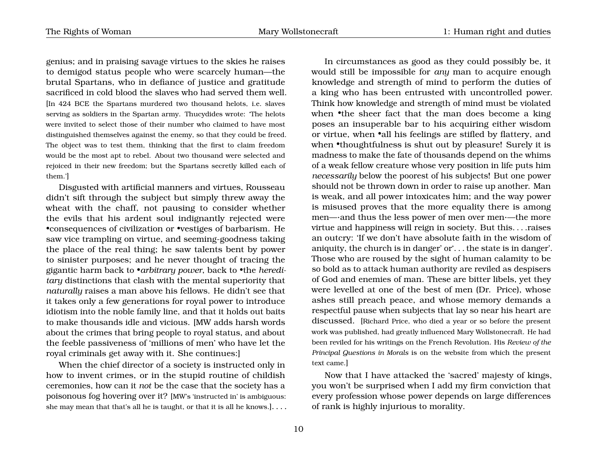genius; and in praising savage virtues to the skies he raises to demigod status people who were scarcely human—the brutal Spartans, who in defiance of justice and gratitude sacrificed in cold blood the slaves who had served them well. [In 424 BCE the Spartans murdered two thousand helots, i.e. slaves serving as soldiers in the Spartan army. Thucydides wrote: 'The helots were invited to select those of their number who claimed to have most distinguished themselves against the enemy, so that they could be freed. The object was to test them, thinking that the first to claim freedom would be the most apt to rebel. About two thousand were selected and rejoiced in their new freedom; but the Spartans secretly killed each of them.']

Disgusted with artificial manners and virtues, Rousseau didn't sift through the subject but simply threw away the wheat with the chaff, not pausing to consider whether the evils that his ardent soul indignantly rejected were •consequences of civilization or •vestiges of barbarism. He saw vice trampling on virtue, and seeming-goodness taking the place of the real thing; he saw talents bent by power to sinister purposes; and he never thought of tracing the gigantic harm back to •*arbitrary power*, back to •the *hereditary* distinctions that clash with the mental superiority that *naturally* raises a man above his fellows. He didn't see that it takes only a few generations for royal power to introduce idiotism into the noble family line, and that it holds out baits to make thousands idle and vicious. [MW adds harsh words about the crimes that bring people to royal status, and about the feeble passiveness of 'millions of men' who have let the royal criminals get away with it. She continues:]

When the chief director of a society is instructed only in how to invent crimes, or in the stupid routine of childish ceremonies, how can it *not* be the case that the society has a poisonous fog hovering over it? [MW's 'instructed in' is ambiguous: she may mean that that's all he is taught, or that it is all he knows.]. . . .

In circumstances as good as they could possibly be, it would still be impossible for *any* man to acquire enough knowledge and strength of mind to perform the duties of a king who has been entrusted with uncontrolled power. Think how knowledge and strength of mind must be violated when •the sheer fact that the man does become a king poses an insuperable bar to his acquiring either wisdom or virtue, when •all his feelings are stifled by flattery, and when •thoughtfulness is shut out by pleasure! Surely it is madness to make the fate of thousands depend on the whims of a weak fellow creature whose very position in life puts him *necessarily* below the poorest of his subjects! But one power should not be thrown down in order to raise up another. Man is weak, and all power intoxicates him; and the way power is misused proves that the more equality there is among men—·and thus the less power of men over men·—the more virtue and happiness will reign in society. But this. . . .raises an outcry: 'If we don't have absolute faith in the wisdom of aniquity, the church is in danger' or'. . . the state is in danger'. Those who are roused by the sight of human calamity to be so bold as to attack human authority are reviled as despisers of God and enemies of man. These are bitter libels, yet they were levelled at one of the best of men (Dr. Price), whose ashes still preach peace, and whose memory demands a respectful pause when subjects that lay so near his heart are discussed. [Richard Price, who died a year or so before the present work was published, had greatly influenced Mary Wollstonecraft. He had been reviled for his writings on the French Revolution. His *Review of the Principal Questions in Morals* is on the website from which the present text came.]

Now that I have attacked the 'sacred' majesty of kings, you won't be surprised when I add my firm conviction that every profession whose power depends on large differences of rank is highly injurious to morality.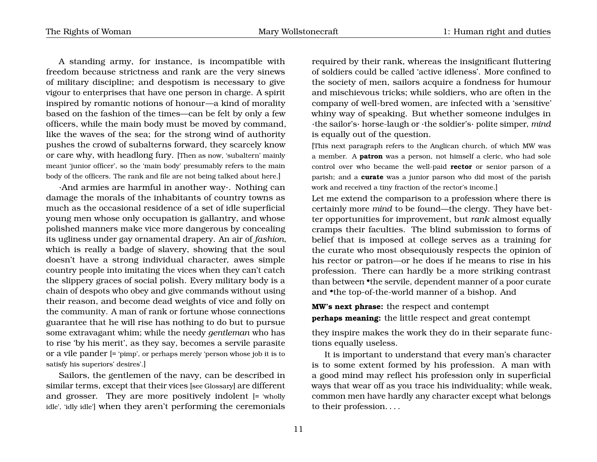A standing army, for instance, is incompatible with freedom because strictness and rank are the very sinews of military discipline; and despotism is necessary to give vigour to enterprises that have one person in charge. A spirit inspired by romantic notions of honour—a kind of morality based on the fashion of the times—can be felt by only a few officers, while the main body must be moved by command, like the waves of the sea; for the strong wind of authority pushes the crowd of subalterns forward, they scarcely know or care why, with headlong fury. [Then as now, 'subaltern' mainly meant 'junior officer', so the 'main body' presumably refers to the main body of the officers. The rank and file are not being talked about here.]

·And armies are harmful in another way·. Nothing can damage the morals of the inhabitants of country towns as much as the occasional residence of a set of idle superficial young men whose only occupation is gallantry, and whose polished manners make vice more dangerous by concealing its ugliness under gay ornamental drapery. An air of *fashion*, which is really a badge of slavery, showing that the soul doesn't have a strong individual character, awes simple country people into imitating the vices when they can't catch the slippery graces of social polish. Every military body is a chain of despots who obey and give commands without using their reason, and become dead weights of vice and folly on the community. A man of rank or fortune whose connections guarantee that he will rise has nothing to do but to pursue some extravagant whim; while the needy *gentleman* who has to rise 'by his merit', as they say, becomes a servile parasite or a vile pander [= 'pimp', or perhaps merely 'person whose job it is to satisfy his superiors' desires'.]

Sailors, the gentlemen of the navy, can be described in similar terms, except that their vices [see Glossary] are different and grosser. They are more positively indolent [= 'wholly idle', 'idly idle'] when they aren't performing the ceremonials

required by their rank, whereas the insignificant fluttering of soldiers could be called 'active idleness'. More confined to the society of men, sailors acquire a fondness for humour and mischievous tricks; while soldiers, who are often in the company of well-bred women, are infected with a 'sensitive' whiny way of speaking. But whether someone indulges in ·the sailor's· horse-laugh or ·the soldier's· polite simper, *mind* is equally out of the question.

[This next paragraph refers to the Anglican church, of which MW was a member. A **patron** was a person, not himself a cleric, who had sole control over who became the well-paid **rector** or senior parson of a parish; and a **curate** was a junior parson who did most of the parish work and received a tiny fraction of the rector's income.]

Let me extend the comparison to a profession where there is certainly more *mind* to be found—the clergy. They have better opportunities for improvement, but *rank* almost equally cramps their faculties. The blind submission to forms of belief that is imposed at college serves as a training for the curate who most obsequiously respects the opinion of his rector or patron—or he does if he means to rise in his profession. There can hardly be a more striking contrast than between •the servile, dependent manner of a poor curate and •the top-of-the-world manner of a bishop. And

**MW's next phrase:** the respect and contempt **perhaps meaning:** the little respect and great contempt

they inspire makes the work they do in their separate functions equally useless.

It is important to understand that every man's character is to some extent formed by his profession. A man with a good mind may reflect his profession only in superficial ways that wear off as you trace his individuality; while weak, common men have hardly any character except what belongs to their profession. . . .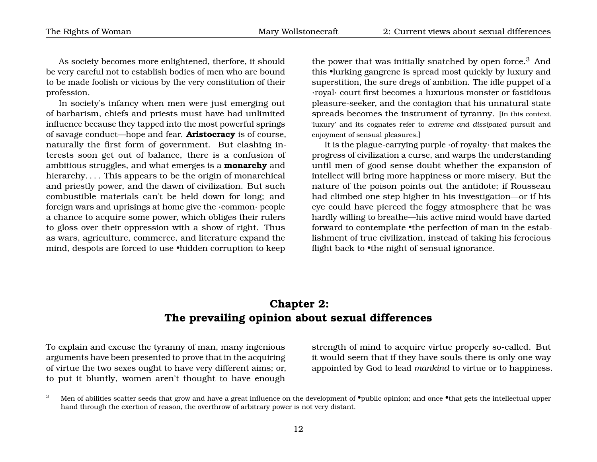As society becomes more enlightened, therfore, it should be very careful not to establish bodies of men who are bound to be made foolish or vicious by the very constitution of their profession.

In society's infancy when men were just emerging out of barbarism, chiefs and priests must have had unlimited influence because they tapped into the most powerful springs of savage conduct—hope and fear. **Aristocracy** is of course, naturally the first form of government. But clashing interests soon get out of balance, there is a confusion of ambitious struggles, and what emerges is a **monarchy** and hierarchy.... This appears to be the origin of monarchical and priestly power, and the dawn of civilization. But such combustible materials can't be held down for long; and foreign wars and uprisings at home give the ·common· people a chance to acquire some power, which obliges their rulers to gloss over their oppression with a show of right. Thus as wars, agriculture, commerce, and literature expand the mind, despots are forced to use •hidden corruption to keep

the power that was initially snatched by open force.<sup>[3](#page-15-1)</sup> And this •lurking gangrene is spread most quickly by luxury and superstition, the sure dregs of ambition. The idle puppet of a ·royal· court first becomes a luxurious monster or fastidious pleasure-seeker, and the contagion that his unnatural state spreads becomes the instrument of tyranny. [In this context, 'luxury' and its cognates refer to *extreme and dissipated* pursuit and enjoyment of sensual pleasures.]

It is the plague-carrying purple ·of royalty· that makes the progress of civilization a curse, and warps the understanding until men of good sense doubt whether the expansion of intellect will bring more happiness or more misery. But the nature of the poison points out the antidote; if Rousseau had climbed one step higher in his investigation—or if his eye could have pierced the foggy atmosphere that he was hardly willing to breathe—his active mind would have darted forward to contemplate •the perfection of man in the establishment of true civilization, instead of taking his ferocious flight back to •the night of sensual ignorance.

### **Chapter 2: The prevailing opinion about sexual differences**

To explain and excuse the tyranny of man, many ingenious arguments have been presented to prove that in the acquiring of virtue the two sexes ought to have very different aims; or, to put it bluntly, women aren't thought to have enough

<span id="page-15-0"></span>strength of mind to acquire virtue properly so-called. But it would seem that if they have souls there is only one way appointed by God to lead *mankind* to virtue or to happiness.

<span id="page-15-1"></span><sup>&</sup>lt;sup>3</sup> Men of abilities scatter seeds that grow and have a great influence on the development of  $\bullet$ public opinion; and once  $\bullet$ that gets the intellectual upper hand through the exertion of reason, the overthrow of arbitrary power is not very distant.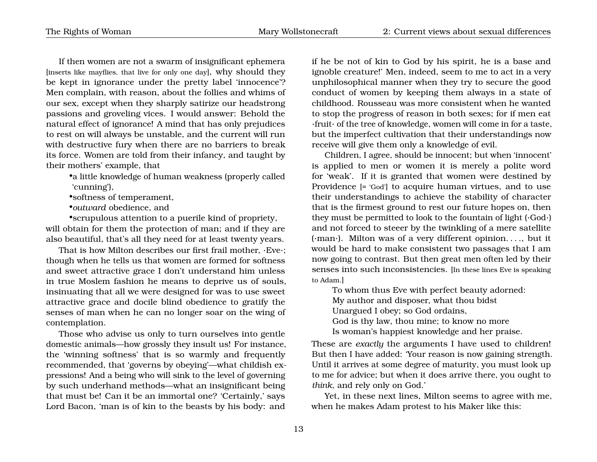If then women are not a swarm of insignificant ephemera [inserts like mayflies, that live for only one day], why should they be kept in ignorance under the pretty label 'innocence'? Men complain, with reason, about the follies and whims of our sex, except when they sharply satirize our headstrong passions and groveling vices. I would answer: Behold the natural effect of ignorance! A mind that has only prejudices to rest on will always be unstable, and the current will run with destructive fury when there are no barriers to break its force. Women are told from their infancy, and taught by their mothers' example, that

•a little knowledge of human weakness (properly called 'cunning'),

•softness of temperament,

•*outward* obedience, and

•scrupulous attention to a puerile kind of propriety, will obtain for them the protection of man; and if they are also beautiful, that's all they need for at least twenty years.

That is how Milton describes our first frail mother, ·Eve·; though when he tells us that women are formed for softness and sweet attractive grace I don't understand him unless in true Moslem fashion he means to deprive us of souls, insinuating that all we were designed for was to use sweet attractive grace and docile blind obedience to gratify the senses of man when he can no longer soar on the wing of contemplation.

Those who advise us only to turn ourselves into gentle domestic animals—how grossly they insult us! For instance, the 'winning softness' that is so warmly and frequently recommended, that 'governs by obeying'—what childish expressions! And a being who will sink to the level of governing by such underhand methods—what an insignificant being that must be! Can it be an immortal one? 'Certainly,' says Lord Bacon, 'man is of kin to the beasts by his body: and

if he be not of kin to God by his spirit, he is a base and ignoble creature!' Men, indeed, seem to me to act in a very unphilosophical manner when they try to secure the good conduct of women by keeping them always in a state of childhood. Rousseau was more consistent when he wanted to stop the progress of reason in both sexes; for if men eat ·fruit· of the tree of knowledge, women will come in for a taste, but the imperfect cultivation that their understandings now receive will give them only a knowledge of evil.

Children, I agree, should be innocent; but when 'innocent' is applied to men or women it is merely a polite word for 'weak'. If it is granted that women were destined by Providence [= 'God'] to acquire human virtues, and to use their understandings to achieve the stability of character that is the firmest ground to rest our future hopes on, then they must be permitted to look to the fountain of light (·God·) and not forced to steeer by the twinkling of a mere satellite (·man·). Milton was of a very different opinion. . . ., but it would be hard to make consistent two passages that I am now going to contrast. But then great men often led by their senses into such inconsistencies. [In these lines Eve is speaking to Adam.]

To whom thus Eve with perfect beauty adorned:

My author and disposer, what thou bidst

Unargued I obey; so God ordains,

God is thy law, thou mine; to know no more

Is woman's happiest knowledge and her praise.

These are *exactly* the arguments I have used to children! But then I have added: 'Your reason is now gaining strength. Until it arrives at some degree of maturity, you must look up to me for advice; but when it does arrive there, you ought to *think*, and rely only on God.'

Yet, in these next lines, Milton seems to agree with me, when he makes Adam protest to his Maker like this: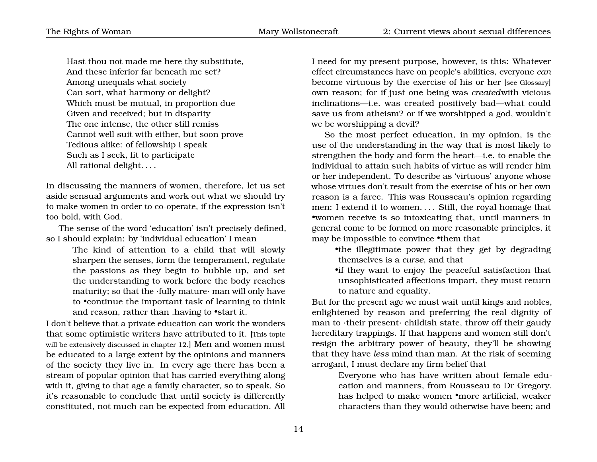Hast thou not made me here thy substitute, And these inferior far beneath me set? Among unequals what society Can sort, what harmony or delight? Which must be mutual, in proportion due Given and received; but in disparity The one intense, the other still remiss Cannot well suit with either, but soon prove Tedious alike: of fellowship I speak Such as I seek, fit to participate All rational delight. . . .

In discussing the manners of women, therefore, let us set aside sensual arguments and work out what we should try to make women in order to co-operate, if the expression isn't too bold, with God.

The sense of the word 'education' isn't precisely defined, so I should explain: by 'individual education' I mean

> The kind of attention to a child that will slowly sharpen the senses, form the temperament, regulate the passions as they begin to bubble up, and set the understanding to work before the body reaches maturity; so that the ·fully mature· man will only have to •continue the important task of learning to think and reason, rather than .having to •start it.

I don't believe that a private education can work the wonders that some optimistic writers have attributed to it. [This topic will be extensively discussed in chapter 12.] Men and women must be educated to a large extent by the opinions and manners of the society they live in. In every age there has been a stream of popular opinion that has carried everything along with it, giving to that age a family character, so to speak. So it's reasonable to conclude that until society is differently constituted, not much can be expected from education. All I need for my present purpose, however, is this: Whatever effect circumstances have on people's abilities, everyone *can* become virtuous by the exercise of his or her [see Glossary] own reason; for if just one being was *created*with vicious inclinations—i.e. was created positively bad—what could save us from atheism? or if we worshipped a god, wouldn't we be worshipping a devil?

So the most perfect education, in my opinion, is the use of the understanding in the way that is most likely to strengthen the body and form the heart—i.e. to enable the individual to attain such habits of virtue as will render him or her independent. To describe as 'virtuous' anyone whose whose virtues don't result from the exercise of his or her own reason is a farce. This was Rousseau's opinion regarding men: I extend it to women. . . . Still, the royal homage that •women receive is so intoxicating that, until manners in general come to be formed on more reasonable principles, it may be impossible to convince •them that

•the illegitimate power that they get by degrading themselves is a *curse*, and that

•if they want to enjoy the peaceful satisfaction that unsophisticated affections impart, they must return to nature and equality.

But for the present age we must wait until kings and nobles, enlightened by reason and preferring the real dignity of man to ·their present· childish state, throw off their gaudy hereditary trappings. If that happens and women still don't resign the arbitrary power of beauty, they'll be showing that they have *less* mind than man. At the risk of seeming arrogant, I must declare my firm belief that

> Everyone who has have written about female education and manners, from Rousseau to Dr Gregory, has helped to make women •more artificial, weaker characters than they would otherwise have been; and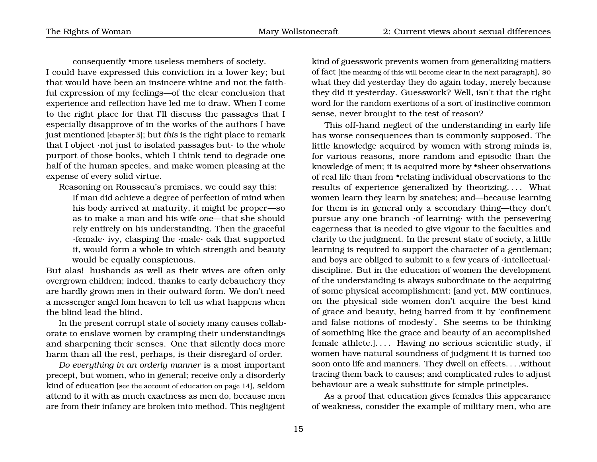consequently •more useless members of society. I could have expressed this conviction in a lower key; but that would have been an insincere whine and not the faithful expression of my feelings—of the clear conclusion that experience and reflection have led me to draw. When I come to the right place for that I'll discuss the passages that I especially disapprove of in the works of the authors I have just mentioned [chapter 5]; but *this* is the right place to remark that I object ·not just to isolated passages but· to the whole purport of those books, which I think tend to degrade one half of the human species, and make women pleasing at the expense of every solid virtue.

Reasoning on Rousseau's premises, we could say this:

If man did achieve a degree of perfection of mind when his body arrived at maturity, it might be proper—so as to make a man and his wife *one*—that she should rely entirely on his understanding. Then the graceful ·female· ivy, clasping the ·male· oak that supported it, would form a whole in which strength and beauty would be equally conspicuous.

But alas! husbands as well as their wives are often only overgrown children; indeed, thanks to early debauchery they are hardly grown men in their outward form. We don't need a messenger angel fom heaven to tell us what happens when the blind lead the blind.

In the present corrupt state of society many causes collaborate to enslave women by cramping their understandings and sharpening their senses. One that silently does more harm than all the rest, perhaps, is their disregard of order.

*Do everything in an orderly manner* is a most important precept, but women, who in general; receive only a disorderly kind of education [see the account of education on page [14](#page-15-0)], seldom attend to it with as much exactness as men do, because men are from their infancy are broken into method. This negligent kind of guesswork prevents women from generalizing matters of fact [the meaning of this will become clear in the next paragraph], so what they did yesterday they do again today, merely because they did it yesterday. Guesswork? Well, isn't that the right word for the random exertions of a sort of instinctive common sense, never brought to the test of reason?

This off-hand neglect of the understanding in early life has worse consequences than is commonly supposed. The little knowledge acquired by women with strong minds is, for various reasons, more random and episodic than the knowledge of men; it is acquired more by •sheer observations of real life than from •relating individual observations to the results of experience generalized by theorizing. . . . What women learn they learn by snatches; and—because learning for them is in general only a secondary thing—they don't pursue any one branch ·of learning· with the persevering eagerness that is needed to give vigour to the faculties and clarity to the judgment. In the present state of society, a little learning is required to support the character of a gentleman; and boys are obliged to submit to a few years of ·intellectual· discipline. But in the education of women the development of the understanding is always subordinate to the acquiring of some physical accomplishment; [and yet, MW continues, on the physical side women don't acquire the best kind of grace and beauty, being barred from it by 'confinement and false notions of modesty'. She seems to be thinking of something like the grace and beauty of an accomplished female athlete.].... Having no serious scientific study, if women have natural soundness of judgment it is turned too soon onto life and manners. They dwell on effects. . . .without tracing them back to causes; and complicated rules to adjust behaviour are a weak substitute for simple principles.

As a proof that education gives females this appearance of weakness, consider the example of military men, who are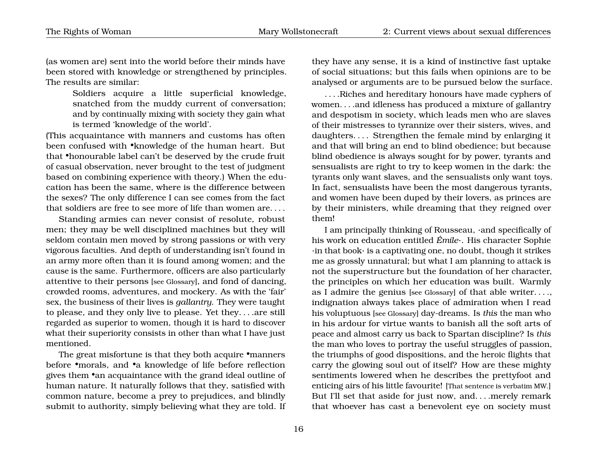(as women are) sent into the world before their minds have been stored with knowledge or strengthened by principles. The results are similar:

> Soldiers acquire a little superficial knowledge, snatched from the muddy current of conversation; and by continually mixing with society they gain what is termed 'knowledge of the world'.

(This acquaintance with manners and customs has often been confused with •knowledge of the human heart. But that •honourable label can't be deserved by the crude fruit of casual observation, never brought to the test of judgment based on combining experience with theory.) When the education has been the same, where is the difference between the sexes? The only difference I can see comes from the fact that soldiers are free to see more of life than women are. . . .

Standing armies can never consist of resolute, robust men; they may be well disciplined machines but they will seldom contain men moved by strong passions or with very vigorous faculties. And depth of understanding isn't found in an army more often than it is found among women; and the cause is the same. Furthermore, officers are also particularly attentive to their persons [see Glossary], and fond of dancing, crowded rooms, adventures, and mockery. As with the 'fair' sex, the business of their lives is *gallantry*. They were taught to please, and they only live to please. Yet they. . . .are still regarded as superior to women, though it is hard to discover what their superiority consists in other than what I have just mentioned.

The great misfortune is that they both acquire •manners before •morals, and •a knowledge of life before reflection gives them •an acquaintance with the grand ideal outline of human nature. It naturally follows that they, satisfied with common nature, become a prey to prejudices, and blindly submit to authority, simply believing what they are told. If they have any sense, it is a kind of instinctive fast uptake of social situations; but this fails when opinions are to be analysed or arguments are to be pursued below the surface.

. . . .Riches and hereditary honours have made cyphers of women. . . .and idleness has produced a mixture of gallantry and despotism in society, which leads men who are slaves of their mistresses to tyrannize over their sisters, wives, and daughters. . . . Strengthen the female mind by enlarging it and that will bring an end to blind obedience; but because blind obedience is always sought for by power, tyrants and sensualists are right to try to keep women in the dark: the tyrants only want slaves, and the sensualists only want toys. In fact, sensualists have been the most dangerous tyrants, and women have been duped by their lovers, as princes are by their ministers, while dreaming that they reigned over them!

I am principally thinking of Rousseau, ·and specifically of his work on education entitled *Émile*·. His character Sophie ·in that book· is a captivating one, no doubt, though it strikes me as grossly unnatural; but what I am planning to attack is not the superstructure but the foundation of her character, the principles on which her education was built. Warmly as I admire the genius [see Glossary] of that able writer. . . ., indignation always takes place of admiration when I read his voluptuous [see Glossary] day-dreams. Is *this* the man who in his ardour for virtue wants to banish all the soft arts of peace and almost carry us back to Spartan discipline? Is *this* the man who loves to portray the useful struggles of passion, the triumphs of good dispositions, and the heroic flights that carry the glowing soul out of itself? How are these mighty sentiments lowered when he describes the prettyfoot and enticing airs of his little favourite! [That sentence is verbatim MW.] But I'll set that aside for just now, and. . . .merely remark that whoever has cast a benevolent eye on society must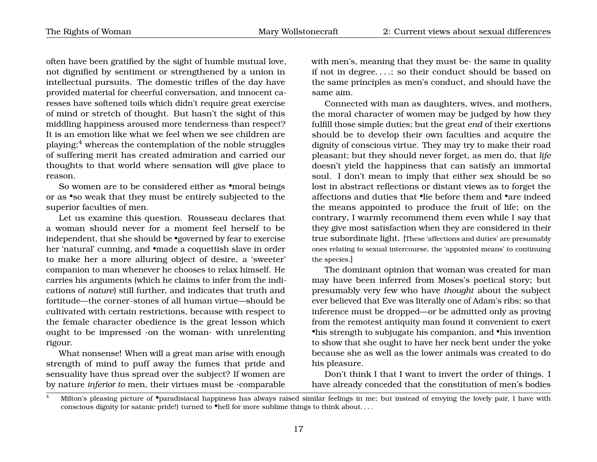often have been gratified by the sight of humble mutual love, not dignified by sentiment or strengthened by a union in intellectual pursuits. The domestic trifles of the day have provided material for cheerful conversation, and innocent caresses have softened toils which didn't require great exercise of mind or stretch of thought. But hasn't the sight of this middling happiness aroused more tenderness than respect? It is an emotion like what we feel when we see children are playing;[4](#page-20-0) whereas the contemplation of the noble struggles of suffering merit has created admiration and carried our thoughts to that world where sensation will give place to reason.

So women are to be considered either as •moral beings or as •so weak that they must be entirely subjected to the superior faculties of men.

Let us examine this question. Rousseau declares that a woman should never for a moment feel herself to be independent, that she should be •governed by fear to exercise her 'natural' cunning, and •made a coquettish slave in order to make her a more alluring object of desire, a 'sweeter' companion to man whenever he chooses to relax himself. He carries his arguments (which he claims to infer from the indications of *nature*) still further, and indicates that truth and fortitude—the corner-stones of all human virtue—should be cultivated with certain restrictions, because with respect to the female character obedience is the great lesson which ought to be impressed ·on the woman· with unrelenting rigour.

What nonsense! When will a great man arise with enough strength of mind to puff away the fumes that pride and sensuality have thus spread over the subject? If women are by nature *inferior to* men, their virtues must be ·comparable with men's, meaning that they must be $\cdot$  the same in quality if not in degree. . . .; so their conduct should be based on the same principles as men's conduct, and should have the same aim.

Connected with man as daughters, wives, and mothers, the moral character of women may be judged by how they fulfill those simple duties; but the great *end* of their exertions should be to develop their own faculties and acquire the dignity of conscious virtue. They may try to make their road pleasant; but they should never forget, as men do, that *life* doesn't yield the happiness that can satisfy an immortal soul. I don't mean to imply that either sex should be so lost in abstract reflections or distant views as to forget the affections and duties that •lie before them and •are indeed the means appointed to produce the fruit of life; on the contrary, I warmly recommend them even while I say that they give most satisfaction when they are considered in their true subordinate light. [These 'affections and duties' are presumably ones relating to sexual intercourse, the 'appointed means' to continuing the species.]

The dominant opinion that woman was created for man may have been inferred from Moses's poetical story; but presumably very few who have *thought* about the subject ever believed that Eve was literally one of Adam's ribs; so that inference must be dropped—or be admitted only as proving from the remotest antiquity man found it convenient to exert •his strength to subjugate his companion, and •his invention to show that she ought to have her neck bent under the yoke because she as well as the lower animals was created to do his pleasure.

Don't think I that I want to invert the order of things. I have already conceded that the constitution of men's bodies

<span id="page-20-0"></span>Milton's pleasing picture of •paradisiacal happiness has always raised similar feelings in me; but instead of envying the lovely pair, I have with conscious dignity (or satanic pride!) turned to •hell for more sublime things to think about....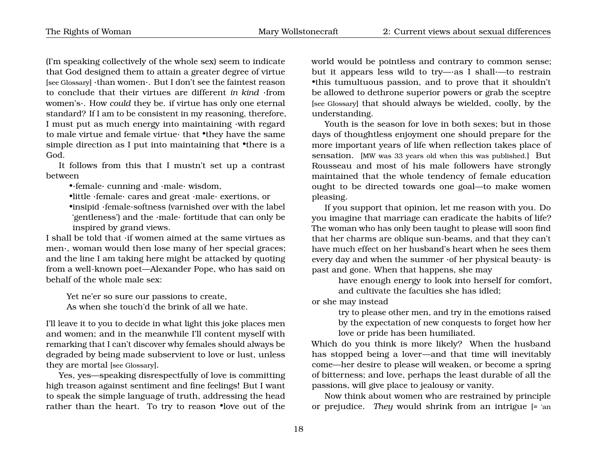(I'm speaking collectively of the whole sex) seem to indicate that God designed them to attain a greater degree of virtue [see Glossary] ·than women·. But I don't see the faintest reason to conclude that their virtues are different *in kind* ·from women's·. How *could* they be. if virtue has only one eternal standard? If I am to be consistent in my reasoning, therefore, I must put as much energy into maintaining ·with regard to male virtue and female virtue· that •they have the same simple direction as I put into maintaining that •there is a God.

It follows from this that I mustn't set up a contrast between

•·female· cunning and ·male· wisdom,

•little ·female· cares and great ·male· exertions, or

•insipid ·female·softness (varnished over with the label 'gentleness') and the ·male· fortitude that can only be inspired by grand views.

I shall be told that ·if women aimed at the same virtues as men·, woman would then lose many of her special graces; and the line I am taking here might be attacked by quoting from a well-known poet—Alexander Pope, who has said on behalf of the whole male sex:

Yet ne'er so sure our passions to create, As when she touch'd the brink of all we hate.

I'll leave it to you to decide in what light this joke places men and women; and in the meanwhile I'll content myself with remarking that I can't discover why females should always be degraded by being made subservient to love or lust, unless they are mortal [see Glossary].

Yes, yes—speaking disrespectfully of love is committing high treason against sentiment and fine feelings! But I want to speak the simple language of truth, addressing the head rather than the heart. To try to reason •love out of the world would be pointless and contrary to common sense; but it appears less wild to try—·as I shall·—to restrain •this tumultuous passion, and to prove that it shouldn't be allowed to dethrone superior powers or grab the sceptre [see Glossary] that should always be wielded, coolly, by the understanding.

Youth is the season for love in both sexes; but in those days of thoughtless enjoyment one should prepare for the more important years of life when reflection takes place of sensation. [MW was 33 years old when this was published.] But Rousseau and most of his male followers have strongly maintained that the whole tendency of female education ought to be directed towards one goal—to make women pleasing.

If you support that opinion, let me reason with you. Do you imagine that marriage can eradicate the habits of life? The woman who has only been taught to please will soon find that her charms are oblique sun-beams, and that they can't have much effect on her husband's heart when he sees them every day and when the summer ·of her physical beauty· is past and gone. When that happens, she may

have enough energy to look into herself for comfort, and cultivate the faculties she has idled;

or she may instead

try to please other men, and try in the emotions raised by the expectation of new conquests to forget how her love or pride has been humiliated.

Which do you think is more likely? When the husband has stopped being a lover—and that time will inevitably come—her desire to please will weaken, or become a spring of bitterness; and love, perhaps the least durable of all the passions, will give place to jealousy or vanity.

Now think about women who are restrained by principle or prejudice. *They* would shrink from an intrigue [= 'an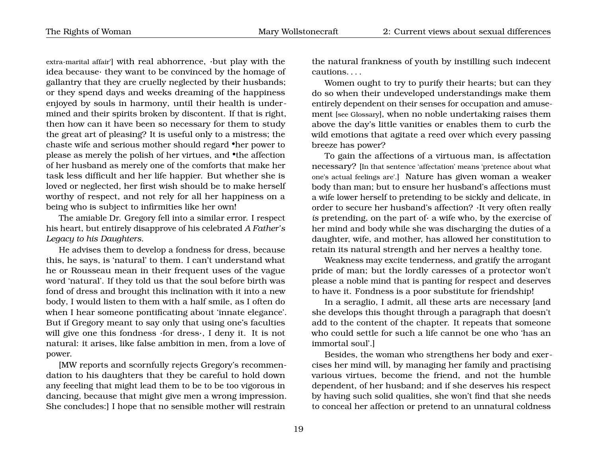extra-marital affair'] with real abhorrence, ·but play with the idea because· they want to be convinced by the homage of gallantry that they are cruelly neglected by their husbands; or they spend days and weeks dreaming of the happiness enjoyed by souls in harmony, until their health is undermined and their spirits broken by discontent. If that is right, then how can it have been so necessary for them to study the great art of pleasing? It is useful only to a mistress; the chaste wife and serious mother should regard •her power to please as merely the polish of her virtues, and •the affection of her husband as merely one of the comforts that make her task less difficult and her life happier. But whether she is loved or neglected, her first wish should be to make herself worthy of respect, and not rely for all her happiness on a being who is subject to infirmities like her own!

The amiable Dr. Gregory fell into a similar error. I respect his heart, but entirely disapprove of his celebrated *A Father's Legacy to his Daughters*.

He advises them to develop a fondness for dress, because this, he says, is 'natural' to them. I can't understand what he or Rousseau mean in their frequent uses of the vague word 'natural'. If they told us that the soul before birth was fond of dress and brought this inclination with it into a new body, I would listen to them with a half smile, as I often do when I hear someone pontificating about 'innate elegance'. But if Gregory meant to say only that using one's faculties will give one this fondness ·for dress·, I deny it. It is not natural: it arises, like false ambition in men, from a love of power.

[MW reports and scornfully rejects Gregory's recommendation to his daughters that they be careful to hold down any feeeling that might lead them to be to be too vigorous in dancing, because that might give men a wrong impression. She concludes:] I hope that no sensible mother will restrain the natural frankness of youth by instilling such indecent cautions. . . .

Women ought to try to purify their hearts; but can they do so when their undeveloped understandings make them entirely dependent on their senses for occupation and amusement [see Glossary], when no noble undertaking raises them above the day's little vanities or enables them to curb the wild emotions that agitate a reed over which every passing breeze has power?

To gain the affections of a virtuous man, is affectation necessary? [In that sentence 'affectation' means 'pretence about what one's actual feelings are'.] Nature has given woman a weaker body than man; but to ensure her husband's affections must a wife lower herself to pretending to be sickly and delicate, in order to secure her husband's affection? ·It very often really *is* pretending, on the part of· a wife who, by the exercise of her mind and body while she was discharging the duties of a daughter, wife, and mother, has allowed her constitution to retain its natural strength and her nerves a healthy tone.

Weakness may excite tenderness, and gratify the arrogant pride of man; but the lordly caresses of a protector won't please a noble mind that is panting for respect and deserves to have it. Fondness is a poor substitute for friendship!

In a seraglio, I admit, all these arts are necessary [and she develops this thought through a paragraph that doesn't add to the content of the chapter. It repeats that someone who could settle for such a life cannot be one who 'has an immortal soul'.]

Besides, the woman who strengthens her body and exercises her mind will, by managing her family and practising various virtues, become the friend, and not the humble dependent, of her husband; and if she deserves his respect by having such solid qualities, she won't find that she needs to conceal her affection or pretend to an unnatural coldness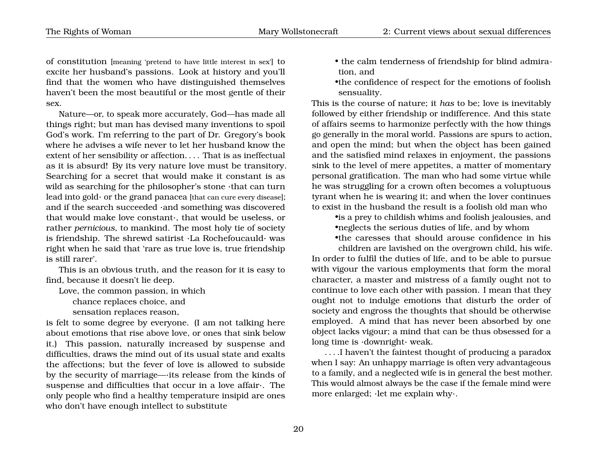of constitution [meaning 'pretend to have little interest in sex'] to excite her husband's passions. Look at history and you'll find that the women who have distinguished themselves haven't been the most beautiful or the most gentle of their sex.

Nature—or, to speak more accurately, God—has made all things right; but man has devised many inventions to spoil God's work. I'm referring to the part of Dr. Gregory's book where he advises a wife never to let her husband know the extent of her sensibility or affection. . . . That is as ineffectual as it is absurd! By its very nature love must be transitory. Searching for a secret that would make it constant is as wild as searching for the philosopher's stone ·that can turn lead into gold $\cdot$  or the grand panacea [that can cure every disease]; and if the search succeeded ·and something was discovered that would make love constant·, that would be useless, or rather *pernicious*, to mankind. The most holy tie of society is friendship. The shrewd satirist ·La Rochefoucauld· was right when he said that 'rare as true love is, true friendship is still rarer'.

This is an obvious truth, and the reason for it is easy to find, because it doesn't lie deep.

Love, the common passion, in which

chance replaces choice, and

sensation replaces reason,

is felt to some degree by everyone. (I am not talking here about emotions that rise above love, or ones that sink below it.) This passion, naturally increased by suspense and difficulties, draws the mind out of its usual state and exalts the affections; but the fever of love is allowed to subside by the security of marriage—·its release from the kinds of suspense and difficulties that occur in a love affair·. The only people who find a healthy temperature insipid are ones who don't have enough intellect to substitute

- the calm tenderness of friendship for blind admiration, and
- •the confidence of respect for the emotions of foolish sensuality.

This is the course of nature; it *has* to be; love is inevitably followed by either friendship or indifference. And this state of affairs seems to harmonize perfectly with the how things go generally in the moral world. Passions are spurs to action, and open the mind; but when the object has been gained and the satisfied mind relaxes in enjoyment, the passions sink to the level of mere appetites, a matter of momentary personal gratification. The man who had some virtue while he was struggling for a crown often becomes a voluptuous tyrant when he is wearing it; and when the lover continues to exist in the husband the result is a foolish old man who

•is a prey to childish whims and foolish jealousies, and •neglects the serious duties of life, and by whom

•the caresses that should arouse confidence in his

children are lavished on the overgrown child, his wife. In order to fulfil the duties of life, and to be able to pursue with vigour the various employments that form the moral character, a master and mistress of a family ought not to continue to love each other with passion. I mean that they ought not to indulge emotions that disturb the order of society and engross the thoughts that should be otherwise employed. A mind that has never been absorbed by one object lacks vigour; a mind that can be thus obsessed for a long time is ·downright· weak.

. . . .I haven't the faintest thought of producing a paradox when I say: An unhappy marriage is often very advantageous to a family, and a neglected wife is in general the best mother. This would almost always be the case if the female mind were more enlarged; ·let me explain why·.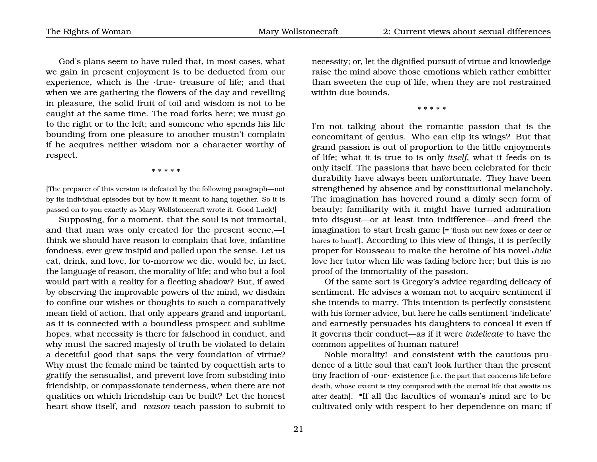God's plans seem to have ruled that, in most cases, what we gain in present enjoyment is to be deducted from our experience, which is the ·true· treasure of life; and that when we are gathering the flowers of the day and revelling in pleasure, the solid fruit of toil and wisdom is not to be caught at the same time. The road forks here; we must go to the right or to the left; and someone who spends his life bounding from one pleasure to another mustn't complain if he acquires neither wisdom nor a character worthy of respect.

\* \* \* \* \*

[The preparer of this version is defeated by the following paragraph—not by its individual episodes but by how it meant to hang together. So it is passed on to you exactly as Mary Wollstonecraft wrote it. Good Luck!]

Supposing, for a moment, that the soul is not immortal, and that man was only created for the present scene,—I think we should have reason to complain that love, infantine fondness, ever grew insipid and palled upon the sense. Let us eat, drink, and love, for to-morrow we die, would be, in fact, the language of reason, the morality of life; and who but a fool would part with a reality for a fleeting shadow? But, if awed by observing the improvable powers of the mind, we disdain to confine our wishes or thoughts to such a comparatively mean field of action, that only appears grand and important, as it is connected with a boundless prospect and sublime hopes, what necessity is there for falsehood in conduct, and why must the sacred majesty of truth be violated to detain a deceitful good that saps the very foundation of virtue? Why must the female mind be tainted by coquettish arts to gratify the sensualist, and prevent love from subsiding into friendship, or compassionate tenderness, when there are not qualities on which friendship can be built? Let the honest heart show itself, and *reason* teach passion to submit to

necessity; or, let the dignified pursuit of virtue and knowledge raise the mind above those emotions which rather embitter than sweeten the cup of life, when they are not restrained within due bounds.

\* \* \* \* \*

I'm not talking about the romantic passion that is the concomitant of genius. Who can clip its wings? But that grand passion is out of proportion to the little enjoyments of life; what it is true to is only *itself*, what it feeds on is only itself. The passions that have been celebrated for their durability have always been unfortunate. They have been strengthened by absence and by constitutional melancholy. The imagination has hovered round a dimly seen form of beauty; familiarity with it might have turned admiration into disgust—or at least into indifference—and freed the imagination to start fresh game [= 'flush out new foxes or deer or hares to hunt']. According to this view of things, it is perfectly proper for Rousseau to make the heroine of his novel *Julie* love her tutor when life was fading before her; but this is no proof of the immortality of the passion.

Of the same sort is Gregory's advice regarding delicacy of sentiment. He advises a woman not to acquire sentiment if she intends to marry. This intention is perfectly consistent with his former advice, but here he calls sentiment 'indelicate' and earnestly persuades his daughters to conceal it even if it governs their conduct—as if it were *indelicate* to have the common appetites of human nature!

Noble morality! and consistent with the cautious prudence of a little soul that can't look further than the present tiny fraction of  $\cdot$ our $\cdot$  existence [i.e. the part that concerns life before death, whose extent is tiny compared with the eternal life that awaits us after death]. •If all the faculties of woman's mind are to be cultivated only with respect to her dependence on man; if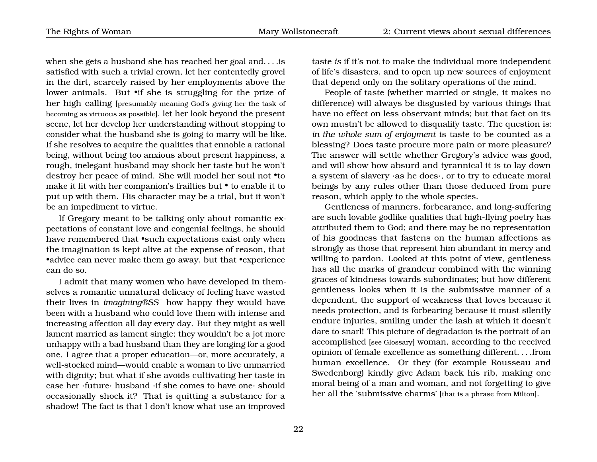The Rights of Woman Mary Wollstonecraft 2: Current views about sexual differences

when she gets a husband she has reached her goal and. . . .is satisfied with such a trivial crown, let her contentedly grovel in the dirt, scarcely raised by her employments above the lower animals. But •if she is struggling for the prize of her high calling [presumably meaning God's giving her the task of becoming as virtuous as possible], let her look beyond the present scene, let her develop her understanding without stopping to consider what the husband she is going to marry will be like. If she resolves to acquire the qualities that ennoble a rational being, without being too anxious about present happiness, a rough, inelegant husband may shock her taste but he won't destroy her peace of mind. She will model her soul not •to make it fit with her companion's frailties but • to enable it to put up with them. His character may be a trial, but it won't be an impediment to virtue.

If Gregory meant to be talking only about romantic expectations of constant love and congenial feelings, he should have remembered that •such expectations exist only when the imagination is kept alive at the expense of reason, that •advice can never make them go away, but that •experience can do so.

I admit that many women who have developed in themselves a romantic unnatural delicacy of feeling have wasted their lives in *imagining®SS¯* how happy they would have been with a husband who could love them with intense and increasing affection all day every day. But they might as well lament married as lament single; they wouldn't be a jot more unhappy with a bad husband than they are longing for a good one. I agree that a proper education—or, more accurately, a well-stocked mind—would enable a woman to live unmarried with dignity; but what if she avoids cultivating her taste in case her ·future· husband ·if she comes to have one· should occasionally shock it? That is quitting a substance for a shadow! The fact is that I don't know what use an improved

taste *is* if it's not to make the individual more independent of life's disasters, and to open up new sources of enjoyment that depend only on the solitary operations of the mind.

People of taste (whether married or single, it makes no difference) will always be disgusted by various things that have no effect on less observant minds; but that fact on its own mustn't be allowed to disqualify taste. The question is: *in the whole sum of enjoyment* is taste to be counted as a blessing? Does taste procure more pain or more pleasure? The answer will settle whether Gregory's advice was good, and will show how absurd and tyrannical it is to lay down a system of slavery ·as he does·, or to try to educate moral beings by any rules other than those deduced from pure reason, which apply to the whole species.

Gentleness of manners, forbearance, and long-suffering are such lovable godlike qualities that high-flying poetry has attributed them to God; and there may be no representation of his goodness that fastens on the human affections as strongly as those that represent him abundant in mercy and willing to pardon. Looked at this point of view, gentleness has all the marks of grandeur combined with the winning graces of kindness towards subordinates; but how different gentleness looks when it is the submissive manner of a dependent, the support of weakness that loves because it needs protection, and is forbearing because it must silently endure injuries, smiling under the lash at which it doesn't dare to snarl! This picture of degradation is the portrait of an accomplished [see Glossary] woman, according to the received opinion of female excellence as something different. . . .from human excellence. Or they (for example Rousseau and Swedenborg) kindly give Adam back his rib, making one moral being of a man and woman, and not forgetting to give her all the 'submissive charms' [that is a phrase from Milton].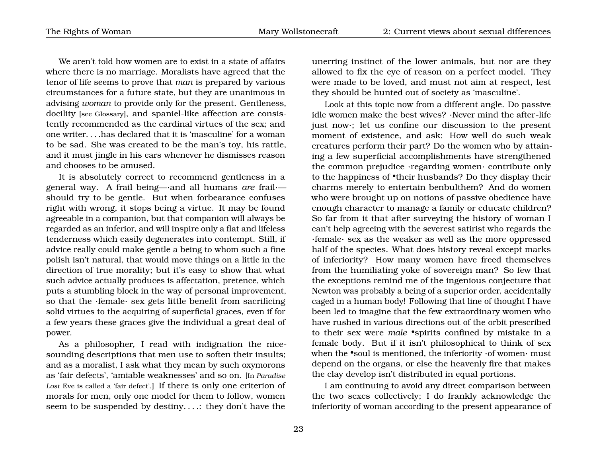We aren't told how women are to exist in a state of affairs where there is no marriage. Moralists have agreed that the tenor of life seems to prove that *man* is prepared by various circumstances for a future state, but they are unanimous in advising *woman* to provide only for the present. Gentleness, docility [see Glossary], and spaniel-like affection are consistently recommended as the cardinal virtues of the sex; and one writer. . . .has declared that it is 'masculine' for a woman to be sad. She was created to be the man's toy, his rattle, and it must jingle in his ears whenever he dismisses reason and chooses to be amused.

It is absolutely correct to recommend gentleness in a general way. A frail being—·and all humans *are* frail· should try to be gentle. But when forbearance confuses right with wrong, it stops being a virtue. It may be found agreeable in a companion, but that companion will always be regarded as an inferior, and will inspire only a flat and lifeless tenderness which easily degenerates into contempt. Still, if advice really could make gentle a being to whom such a fine polish isn't natural, that would move things on a little in the direction of true morality; but it's easy to show that what such advice actually produces is affectation, pretence, which puts a stumbling block in the way of personal improvement, so that the ·female· sex gets little benefit from sacrificing solid virtues to the acquiring of superficial graces, even if for a few years these graces give the individual a great deal of power.

As a philosopher, I read with indignation the nicesounding descriptions that men use to soften their insults; and as a moralist, I ask what they mean by such oxymorons as 'fair defects', 'amiable weaknesses' and so on. [In *Paradise Lost* Eve is called a 'fair defect'.] If there is only one criterion of morals for men, only one model for them to follow, women seem to be suspended by destiny. . . .: they don't have the

unerring instinct of the lower animals, but nor are they allowed to fix the eye of reason on a perfect model. They were made to be loved, and must not aim at respect, lest they should be hunted out of society as 'masculine'.

Look at this topic now from a different angle. Do passive idle women make the best wives? ·Never mind the after-life just now·; let us confine our discussion to the present moment of existence, and ask: How well do such weak creatures perform their part? Do the women who by attaining a few superficial accomplishments have strengthened the common prejudice ·regarding women· contribute only to the happiness of •their husbands? Do they display their charms merely to entertain benbulthem? And do women who were brought up on notions of passive obedience have enough character to manage a family or educate children? So far from it that after surveying the history of woman I can't help agreeing with the severest satirist who regards the ·female· sex as the weaker as well as the more oppressed half of the species. What does history reveal except marks of inferiority? How many women have freed themselves from the humiliating yoke of sovereign man? So few that the exceptions remind me of the ingenious conjecture that Newton was probably a being of a superior order, accidentally caged in a human body! Following that line of thought I have been led to imagine that the few extraordinary women who have rushed in various directions out of the orbit prescribed to their sex were *male* •spirits confined by mistake in a female body. But if it isn't philosophical to think of sex when the •soul is mentioned, the inferiority  $\cdot$  of women $\cdot$  must depend on the organs, or else the heavenly fire that makes the clay develop isn't distributed in equal portions.

I am continuing to avoid any direct comparison between the two sexes collectively; I do frankly acknowledge the inferiority of woman according to the present appearance of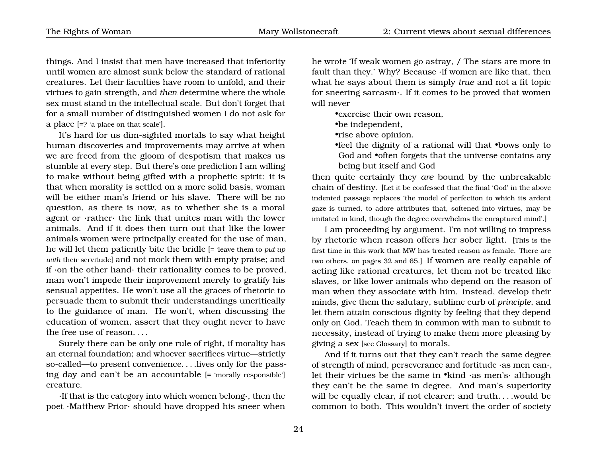things. And I insist that men have increased that inferiority until women are almost sunk below the standard of rational creatures. Let their faculties have room to unfold, and their virtues to gain strength, and *then* determine where the whole sex must stand in the intellectual scale. But don't forget that for a small number of distinguished women I do not ask for a place [=? 'a place on that scale'].

It's hard for us dim-sighted mortals to say what height human discoveries and improvements may arrive at when we are freed from the gloom of despotism that makes us stumble at every step. But there's one prediction I am willing to make without being gifted with a prophetic spirit: it is that when morality is settled on a more solid basis, woman will be either man's friend or his slave. There will be no question, as there is now, as to whether she is a moral agent or ·rather· the link that unites man with the lower animals. And if it does then turn out that like the lower animals women were principally created for the use of man, he will let them patiently bite the bridle [= 'leave them to *put up with* their servitude] and not mock them with empty praise; and if ·on the other hand· their rationality comes to be proved, man won't impede their improvement merely to gratify his sensual appetites. He won't use all the graces of rhetoric to persuade them to submit their understandings uncritically to the guidance of man. He won't, when discussing the education of women, assert that they ought never to have the free use of reason. . . .

Surely there can be only one rule of right, if morality has an eternal foundation; and whoever sacrifices virtue—strictly so-called—to present convenience. . . .lives only for the passing day and can't be an accountable [= 'morally responsible'] creature.

·If that is the category into which women belong·, then the poet ·Matthew Prior· should have dropped his sneer when he wrote 'If weak women go astray, / The stars are more in fault than they.' Why? Because ·if women are like that, then what he says about them is simply *true* and not a fit topic for sneering sarcasm·. If it comes to be proved that women will never

•exercise their own reason,

•be independent,

•rise above opinion,

•feel the dignity of a rational will that •bows only to God and  $\bullet$ often forgets that the universe contains any being but itself and God

then quite certainly they *are* bound by the unbreakable chain of destiny. [Let it be confessed that the final 'God' in the above indented passage replaces 'the model of perfection to which its ardent gaze is turned, to adore attributes that, softened into virtues, may be imitated in kind, though the degree overwhelms the enraptured mind'.]

I am proceeding by argument. I'm not willing to impress by rhetoric when reason offers her sober light. [This is the first time in this work that MW has treated reason as female. There are two others, on pages [32](#page-29-0) and [65.](#page-68-0)] If women are really capable of acting like rational creatures, let them not be treated like slaves, or like lower animals who depend on the reason of man when they associate with him. Instead, develop their minds, give them the salutary, sublime curb of *principle*, and let them attain conscious dignity by feeling that they depend only on God. Teach them in common with man to submit to necessity, instead of trying to make them more pleasing by giving a sex [see Glossary] to morals.

And if it turns out that they can't reach the same degree of strength of mind, perseverance and fortitude ·as men can·, let their virtues be the same in •kind ·as men's· although they can't be the same in degree. And man's superiority will be equally clear, if not clearer; and truth. . . .would be common to both. This wouldn't invert the order of society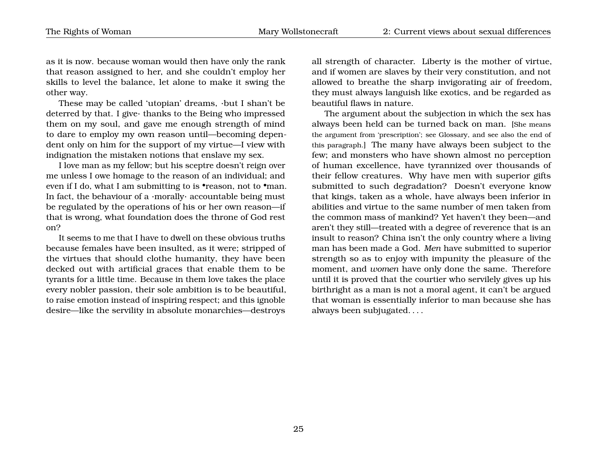as it is now. because woman would then have only the rank that reason assigned to her, and she couldn't employ her skills to level the balance, let alone to make it swing the other way.

These may be called 'utopian' dreams, ·but I shan't be deterred by that. I give· thanks to the Being who impressed them on my soul, and gave me enough strength of mind to dare to employ my own reason until—becoming dependent only on him for the support of my virtue—I view with indignation the mistaken notions that enslave my sex.

I love man as my fellow; but his sceptre doesn't reign over me unless I owe homage to the reason of an individual; and even if I do, what I am submitting to is •reason, not to •man. In fact, the behaviour of a ·morally· accountable being must be regulated by the operations of his or her own reason—if that is wrong, what foundation does the throne of God rest on?

It seems to me that I have to dwell on these obvious truths because females have been insulted, as it were; stripped of the virtues that should clothe humanity, they have been decked out with artificial graces that enable them to be tyrants for a little time. Because in them love takes the place every nobler passion, their sole ambition is to be beautiful, to raise emotion instead of inspiring respect; and this ignoble desire—like the servility in absolute monarchies—destroys

all strength of character. Liberty is the mother of virtue, and if women are slaves by their very constitution, and not allowed to breathe the sharp invigorating air of freedom, they must always languish like exotics, and be regarded as beautiful flaws in nature.

The argument about the subjection in which the sex has always been held can be turned back on man. [She means the argument from 'prescription'; see Glossary, and see also the end of this paragraph.] The many have always been subject to the few; and monsters who have shown almost no perception of human excellence, have tyrannized over thousands of their fellow creatures. Why have men with superior gifts submitted to such degradation? Doesn't everyone know that kings, taken as a whole, have always been inferior in abilities and virtue to the same number of men taken from the common mass of mankind? Yet haven't they been—and aren't they still—treated with a degree of reverence that is an insult to reason? China isn't the only country where a living man has been made a God. *Men* have submitted to superior strength so as to enjoy with impunity the pleasure of the moment, and *women* have only done the same. Therefore until it is proved that the courtier who servilely gives up his birthright as a man is not a moral agent, it can't be argued that woman is essentially inferior to man because she has always been subjugated. . . .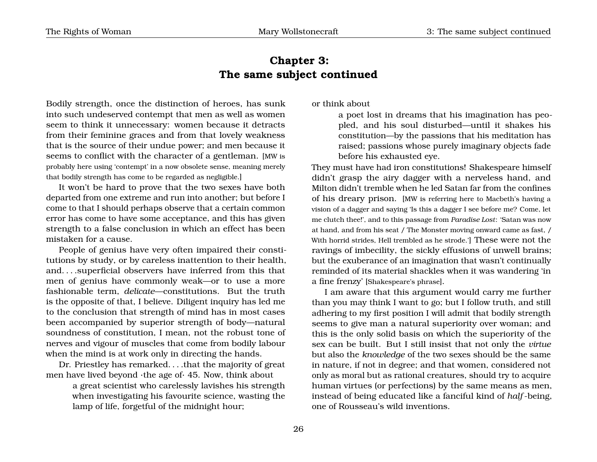# <span id="page-29-0"></span>**Chapter 3: The same subject continued**

Bodily strength, once the distinction of heroes, has sunk into such undeserved contempt that men as well as women seem to think it unnecessary: women because it detracts from their feminine graces and from that lovely weakness that is the source of their undue power; and men because it seems to conflict with the character of a gentleman. [MW is probably here using 'contempt' in a now obsolete sense, meaning merely that bodily strength has come to be regarded as negligible.]

It won't be hard to prove that the two sexes have both departed from one extreme and run into another; but before I come to that I should perhaps observe that a certain common error has come to have some acceptance, and this has given strength to a false conclusion in which an effect has been mistaken for a cause.

People of genius have very often impaired their constitutions by study, or by careless inattention to their health, and. . . .superficial observers have inferred from this that men of genius have commonly weak—or to use a more fashionable term, *delicate*—constitutions. But the truth is the opposite of that, I believe. Diligent inquiry has led me to the conclusion that strength of mind has in most cases been accompanied by superior strength of body—natural soundness of constitution, I mean, not the robust tone of nerves and vigour of muscles that come from bodily labour when the mind is at work only in directing the hands.

Dr. Priestley has remarked. . . .that the majority of great men have lived beyond ·the age of· 45. Now, think about

> a great scientist who carelessly lavishes his strength when investigating his favourite science, wasting the lamp of life, forgetful of the midnight hour;

or think about

a poet lost in dreams that his imagination has peopled, and his soul disturbed—until it shakes his constitution—by the passions that his meditation has raised; passions whose purely imaginary objects fade before his exhausted eye.

They must have had iron constitutions! Shakespeare himself didn't grasp the airy dagger with a nerveless hand, and Milton didn't tremble when he led Satan far from the confines of his dreary prison. [MW is referring here to Macbeth's having a vision of a dagger and saying 'Is this a dagger I see before me? Come, let me clutch thee!', and to this passage from *Paradise Lost*: 'Satan was now at hand, and from his seat / The Monster moving onward came as fast, / With horrid strides, Hell trembled as he strode.'] These were not the ravings of imbecility, the sickly effusions of unwell brains; but the exuberance of an imagination that wasn't continually reminded of its material shackles when it was wandering 'in a fine frenzy' [Shakespeare's phrase].

I am aware that this argument would carry me further than you may think I want to go; but I follow truth, and still adhering to my first position I will admit that bodily strength seems to give man a natural superiority over woman; and this is the only solid basis on which the superiority of the sex can be built. But I still insist that not only the *virtue* but also the *knowledge* of the two sexes should be the same in nature, if not in degree; and that women, considered not only as moral but as rational creatures, should try to acquire human virtues (or perfections) by the same means as men, instead of being educated like a fanciful kind of *half* -being, one of Rousseau's wild inventions.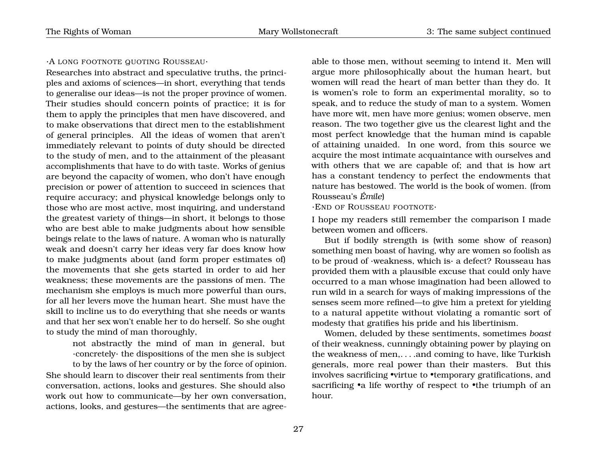#### ·A LONG FOOTNOTE QUOTING ROUSSEAU·

Researches into abstract and speculative truths, the principles and axioms of sciences—in short, everything that tends to generalise our ideas—is not the proper province of women. Their studies should concern points of practice; it is for them to apply the principles that men have discovered, and to make observations that direct men to the establishment of general principles. All the ideas of women that aren't immediately relevant to points of duty should be directed to the study of men, and to the attainment of the pleasant accomplishments that have to do with taste. Works of genius are beyond the capacity of women, who don't have enough precision or power of attention to succeed in sciences that require accuracy; and physical knowledge belongs only to those who are most active, most inquiring, and understand the greatest variety of things—in short, it belongs to those who are best able to make judgments about how sensible beings relate to the laws of nature. A woman who is naturally weak and doesn't carry her ideas very far does know how to make judgments about (and form proper estimates of) the movements that she gets started in order to aid her weakness; these movements are the passions of men. The mechanism she employs is much more powerful than ours, for all her levers move the human heart. She must have the skill to incline us to do everything that she needs or wants and that her sex won't enable her to do herself. So she ought to study the mind of man thoroughly,

not abstractly the mind of man in general, but ·concretely· the dispositions of the men she is subject to by the laws of her country or by the force of opinion. She should learn to discover their real sentiments from their conversation, actions, looks and gestures. She should also work out how to communicate—by her own conversation, actions, looks, and gestures—the sentiments that are agree-

able to those men, without seeming to intend it. Men will argue more philosophically about the human heart, but women will read the heart of man better than they do. It is women's role to form an experimental morality, so to speak, and to reduce the study of man to a system. Women have more wit, men have more genius; women observe, men reason. The two together give us the clearest light and the most perfect knowledge that the human mind is capable of attaining unaided. In one word, from this source we acquire the most intimate acquaintance with ourselves and with others that we are capable of; and that is how art has a constant tendency to perfect the endowments that nature has bestowed. The world is the book of women. (from Rousseau's *Émile*)

·END OF ROUSSEAU FOOTNOTE·

I hope my readers still remember the comparison I made between women and officers.

But if bodily strength is (with some show of reason) something men boast of having, why are women so foolish as to be proud of ·weakness, which is· a defect? Rousseau has provided them with a plausible excuse that could only have occurred to a man whose imagination had been allowed to run wild in a search for ways of making impressions of the senses seem more refined—to give him a pretext for yielding to a natural appetite without violating a romantic sort of modesty that gratifies his pride and his libertinism.

Women, deluded by these sentiments, sometimes *boast* of their weakness, cunningly obtaining power by playing on the weakness of men,. . . .and coming to have, like Turkish generals, more real power than their masters. But this involves sacrificing •virtue to •temporary gratifications, and sacrificing •a life worthy of respect to •the triumph of an hour.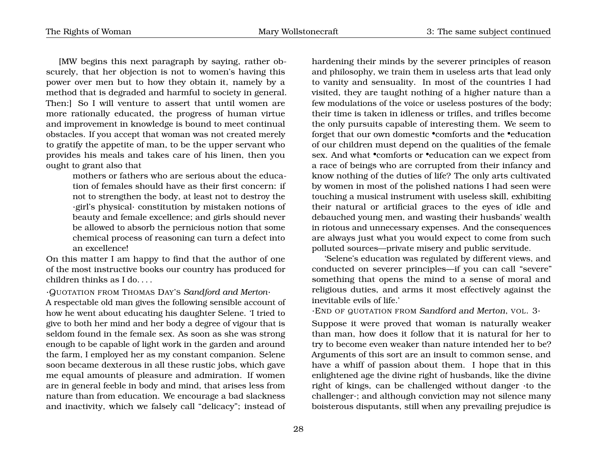[MW begins this next paragraph by saying, rather obscurely, that her objection is not to women's having this power over men but to how they obtain it, namely by a method that is degraded and harmful to society in general. Then:] So I will venture to assert that until women are more rationally educated, the progress of human virtue and improvement in knowledge is bound to meet continual obstacles. If you accept that woman was not created merely to gratify the appetite of man, to be the upper servant who provides his meals and takes care of his linen, then you ought to grant also that

> mothers or fathers who are serious about the education of females should have as their first concern: if not to strengthen the body, at least not to destroy the ·girl's physical· constitution by mistaken notions of beauty and female excellence; and girls should never be allowed to absorb the pernicious notion that some chemical process of reasoning can turn a defect into an excellence!

On this matter I am happy to find that the author of one of the most instructive books our country has produced for children thinks as I do. . . .

·QUOTATION FROM THOMAS DAY'S *Sandford and Merton*·

A respectable old man gives the following sensible account of how he went about educating his daughter Selene. 'I tried to give to both her mind and her body a degree of vigour that is seldom found in the female sex. As soon as she was strong enough to be capable of light work in the garden and around the farm, I employed her as my constant companion. Selene soon became dexterous in all these rustic jobs, which gave me equal amounts of pleasure and admiration. If women are in general feeble in body and mind, that arises less from nature than from education. We encourage a bad slackness and inactivity, which we falsely call "delicacy"; instead of hardening their minds by the severer principles of reason and philosophy, we train them in useless arts that lead only to vanity and sensuality. In most of the countries I had visited, they are taught nothing of a higher nature than a few modulations of the voice or useless postures of the body; their time is taken in idleness or trifles, and trifles become the only pursuits capable of interesting them. We seem to forget that our own domestic •comforts and the •education of our children must depend on the qualities of the female sex. And what •comforts or •education can we expect from a race of beings who are corrupted from their infancy and know nothing of the duties of life? The only arts cultivated by women in most of the polished nations I had seen were touching a musical instrument with useless skill, exhibiting their natural or artificial graces to the eyes of idle and debauched young men, and wasting their husbands' wealth in riotous and unnecessary expenses. And the consequences are always just what you would expect to come from such polluted sources—private misery and public servitude.

'Selene's education was regulated by different views, and conducted on severer principles—if you can call "severe" something that opens the mind to a sense of moral and religious duties, and arms it most effectively against the inevitable evils of life.'

·END OF QUOTATION FROM Sandford and Merton, VOL. 3·

Suppose it were proved that woman is naturally weaker than man, how does it follow that it is natural for her to try to become even weaker than nature intended her to be? Arguments of this sort are an insult to common sense, and have a whiff of passion about them. I hope that in this enlightened age the divine right of husbands, like the divine right of kings, can be challenged without danger ·to the challenger·; and although conviction may not silence many boisterous disputants, still when any prevailing prejudice is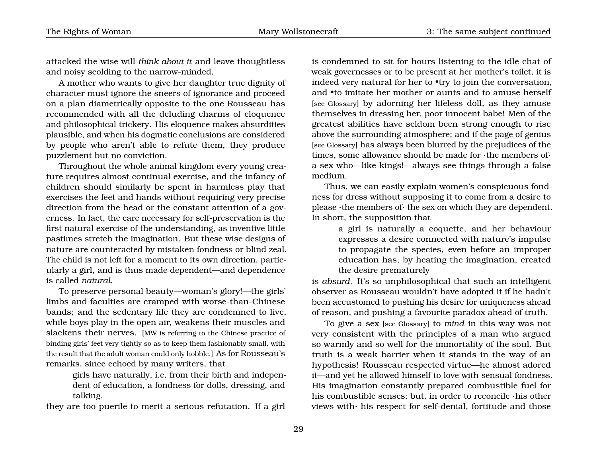attacked the wise will *think about it* and leave thoughtless and noisy scolding to the narrow-minded.

A mother who wants to give her daughter true dignity of character must ignore the sneers of ignorance and proceed on a plan diametrically opposite to the one Rousseau has recommended with all the deluding charms of eloquence and philosophical trickery. His eloquence makes absurdities plausible, and when his dogmatic conclusions are considered by people who aren't able to refute them, they produce puzzlement but no conviction.

Throughout the whole animal kingdom every young creature requires almost continual exercise, and the infancy of children should similarly be spent in harmless play that exercises the feet and hands without requiring very precise direction from the head or the constant attention of a governess. In fact, the care necessary for self-preservation is the first natural exercise of the understanding, as inventive little pastimes stretch the imagination. But these wise designs of nature are counteracted by mistaken fondness or blind zeal. The child is not left for a moment to its own direction, particularly a girl, and is thus made dependent—and dependence is called *natural*.

To preserve personal beauty—woman's glory!—the girls' limbs and faculties are cramped with worse-than-Chinese bands; and the sedentary life they are condemned to live, while boys play in the open air, weakens their muscles and slackens their nerves. [MW is referring to the Chinese practice of binding girls' feet very tightly so as to keep them fashionably small, with the result that the adult woman could only hobble.] As for Rousseau's remarks, since echoed by many writers, that

> girls have naturally, i.e. from their birth and independent of education, a fondness for dolls, dressing, and talking,

they are too puerile to merit a serious refutation. If a girl

is condemned to sit for hours listening to the idle chat of weak governesses or to be present at her mother's toilet, it is indeed very natural for her to  $*$ try to join the conversation, and •to imitate her mother or aunts and to amuse herself [see Glossary] by adorning her lifeless doll, as they amuse themselves in dressing her, poor innocent babe! Men of the greatest abilities have seldom been strong enough to rise above the surrounding atmosphere; and if the page of genius [see Glossary] has always been blurred by the prejudices of the times, some allowance should be made for ·the members of· a sex who—like kings!—always see things through a false medium.

Thus, we can easily explain women's conspicuous fondness for dress without supposing it to come from a desire to please ·the members of· the sex on which they are dependent. In short, the supposition that

> a girl is naturally a coquette, and her behaviour expresses a desire connected with nature's impulse to propagate the species, even before an improper education has, by heating the imagination, created the desire prematurely

is *absurd*. It's so unphilosophical that such an intelligent observer as Rousseau wouldn't have adopted it if he hadn't been accustomed to pushing his desire for uniqueness ahead of reason, and pushing a favourite paradox ahead of truth.

To give a sex [see Glossary] to *mind* in this way was not very consistent with the principles of a man who argued so warmly and so well for the immortality of the soul. But truth is a weak barrier when it stands in the way of an hypothesis! Rousseau respected virtue—he almost adored it—and yet he allowed himself to love with sensual fondness. His imagination constantly prepared combustible fuel for his combustible senses; but, in order to reconcile ·his other views with· his respect for self-denial, fortitude and those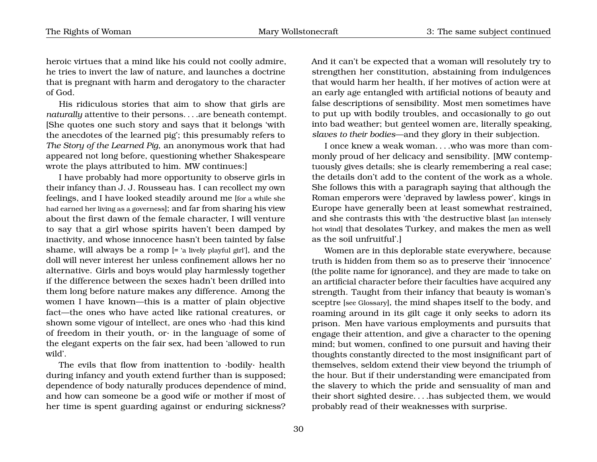heroic virtues that a mind like his could not coolly admire, he tries to invert the law of nature, and launches a doctrine that is pregnant with harm and derogatory to the character of God.

His ridiculous stories that aim to show that girls are *naturally* attentive to their persons. . . .are beneath contempt. [She quotes one such story and says that it belongs 'with the anecdotes of the learned pig'; this presumably refers to *The Story of the Learned Pig*, an anonymous work that had appeared not long before, questioning whether Shakespeare wrote the plays attributed to him. MW continues:]

I have probably had more opportunity to observe girls in their infancy than J. J. Rousseau has. I can recollect my own feelings, and I have looked steadily around me [for a while she had earned her living as a governess]; and far from sharing his view about the first dawn of the female character, I will venture to say that a girl whose spirits haven't been damped by inactivity, and whose innocence hasn't been tainted by false shame, will always be a romp [= 'a lively playful girl'], and the doll will never interest her unless confinement allows her no alternative. Girls and boys would play harmlessly together if the difference between the sexes hadn't been drilled into them long before nature makes any difference. Among the women I have known—this is a matter of plain objective fact—the ones who have acted like rational creatures, or shown some vigour of intellect, are ones who ·had this kind of freedom in their youth, or· in the language of some of the elegant experts on the fair sex, had been 'allowed to run wild'.

The evils that flow from inattention to ·bodily· health during infancy and youth extend further than is supposed; dependence of body naturally produces dependence of mind, and how can someone be a good wife or mother if most of her time is spent guarding against or enduring sickness? And it can't be expected that a woman will resolutely try to strengthen her constitution, abstaining from indulgences that would harm her health, if her motives of action were at an early age entangled with artificial notions of beauty and false descriptions of sensibility. Most men sometimes have to put up with bodily troubles, and occasionally to go out into bad weather; but genteel women are, literally speaking, *slaves to their bodies*—and they glory in their subjection.

I once knew a weak woman. . . .who was more than commonly proud of her delicacy and sensibility. [MW contemptuously gives details; she is clearly remembering a real case; the details don't add to the content of the work as a whole. She follows this with a paragraph saying that although the Roman emperors were 'depraved by lawless power', kings in Europe have generally been at least somewhat restrained, and she contrasts this with 'the destructive blast [an intensely hot wind] that desolates Turkey, and makes the men as well as the soil unfruitful'.]

Women are in this deplorable state everywhere, because truth is hidden from them so as to preserve their 'innocence' (the polite name for ignorance), and they are made to take on an artificial character before their faculties have acquired any strength. Taught from their infancy that beauty is woman's sceptre [see Glossary], the mind shapes itself to the body, and roaming around in its gilt cage it only seeks to adorn its prison. Men have various employments and pursuits that engage their attention, and give a character to the opening mind; but women, confined to one pursuit and having their thoughts constantly directed to the most insignificant part of themselves, seldom extend their view beyond the triumph of the hour. But if their understanding were emancipated from the slavery to which the pride and sensuality of man and their short sighted desire. . . .has subjected them, we would probably read of their weaknesses with surprise.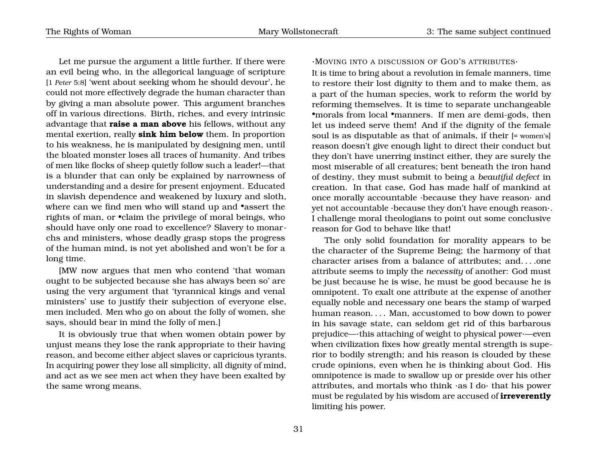Let me pursue the argument a little further. If there were an evil being who, in the allegorical language of scripture [1 *Peter* 5:8] 'went about seeking whom he should devour', he could not more effectively degrade the human character than by giving a man absolute power. This argument branches off in various directions. Birth, riches, and every intrinsic advantage that **raise a man above** his fellows, without any mental exertion, really **sink him below** them. In proportion to his weakness, he is manipulated by designing men, until the bloated monster loses all traces of humanity. And tribes of men like flocks of sheep quietly follow such a leader!—that is a blunder that can only be explained by narrowness of understanding and a desire for present enjoyment. Educated in slavish dependence and weakened by luxury and sloth, where can we find men who will stand up and •assert the rights of man, or •claim the privilege of moral beings, who should have only one road to excellence? Slavery to monarchs and ministers, whose deadly grasp stops the progress of the human mind, is not yet abolished and won't be for a long time.

[MW now argues that men who contend 'that woman ought to be subjected because she has always been so' are using the very argument that 'tyrannical kings and venal ministers' use to justify their subjection of everyone else, men included. Men who go on about the folly of women, she says, should bear in mind the folly of men.]

It is obviously true that when women obtain power by unjust means they lose the rank appropriate to their having reason, and become either abject slaves or capricious tyrants. In acquiring power they lose all simplicity, all dignity of mind, and act as we see men act when they have been exalted by the same wrong means.

#### ·MOVING INTO A DISCUSSION OF GOD'S ATTRIBUTES·

It is time to bring about a revolution in female manners, time to restore their lost dignity to them and to make them, as a part of the human species, work to reform the world by reforming themselves. It is time to separate unchangeable •morals from local •manners. If men are demi-gods, then let us indeed serve them! And if the dignity of the female soul is as disputable as that of animals, if their [= women's] reason doesn't give enough light to direct their conduct but they don't have unerring instinct either, they are surely the most miserable of all creatures; bent beneath the iron hand of destiny, they must submit to being a *beautiful defect* in creation. In that case, God has made half of mankind at once morally accountable ·because they have reason· and yet not accountable ·because they don't have enough reason·. I challenge moral theologians to point out some conclusive reason for God to behave like that!

The only solid foundation for morality appears to be the character of the Supreme Being; the harmony of that character arises from a balance of attributes; and. . . .one attribute seems to imply the *necessity* of another: God must be just because he is wise, he must be good because he is omnipotent. To exalt one attribute at the expense of another equally noble and necessary one bears the stamp of warped human reason. . . . Man, accustomed to bow down to power in his savage state, can seldom get rid of this barbarous prejudice—·this attaching of weight to physical power·—even when civilization fixes how greatly mental strength is superior to bodily strength; and his reason is clouded by these crude opinions, even when he is thinking about God. His omnipotence is made to swallow up or preside over his other attributes, and mortals who think ·as I do· that his power must be regulated by his wisdom are accused of **irreverently** limiting his power.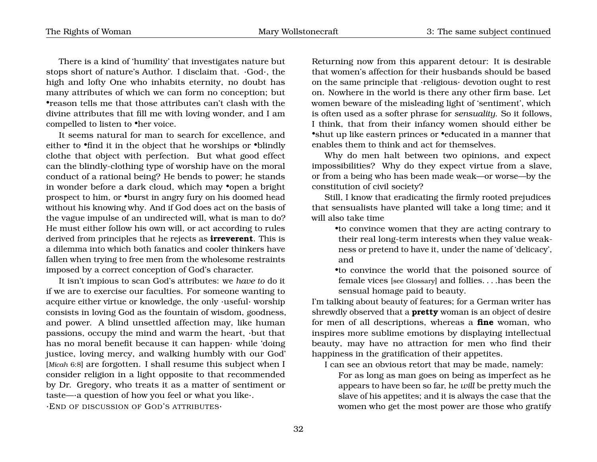There is a kind of 'humility' that investigates nature but stops short of nature's Author. I disclaim that. ·God·, the high and lofty One who inhabits eternity, no doubt has many attributes of which we can form no conception; but •reason tells me that those attributes can't clash with the divine attributes that fill me with loving wonder, and I am compelled to listen to •her voice.

It seems natural for man to search for excellence, and either to •find it in the object that he worships or •blindly clothe that object with perfection. But what good effect can the blindly-clothing type of worship have on the moral conduct of a rational being? He bends to power; he stands in wonder before a dark cloud, which may •open a bright prospect to him, or •burst in angry fury on his doomed head without his knowing why. And if God does act on the basis of the vague impulse of an undirected will, what is man to do? He must either follow his own will, or act according to rules derived from principles that he rejects as **irreverent**. This is a dilemma into which both fanatics and cooler thinkers have fallen when trying to free men from the wholesome restraints imposed by a correct conception of God's character.

It isn't impious to scan God's attributes: we *have to* do it if we are to exercise our faculties. For someone wanting to acquire either virtue or knowledge, the only ·useful· worship consists in loving God as the fountain of wisdom, goodness, and power. A blind unsettled affection may, like human passions, occupy the mind and warm the heart, ·but that has no moral benefit because it can happen· while 'doing justice, loving mercy, and walking humbly with our God' [*Micah* 6:8] are forgotten. I shall resume this subject when I consider religion in a light opposite to that recommended by Dr. Gregory, who treats it as a matter of sentiment or taste—·a question of how you feel or what you like·. ·END OF DISCUSSION OF GOD'S ATTRIBUTES·

Returning now from this apparent detour: It is desirable that women's affection for their husbands should be based on the same principle that ·religious· devotion ought to rest on. Nowhere in the world is there any other firm base. Let women beware of the misleading light of 'sentiment', which is often used as a softer phrase for *sensuality*. So it follows, I think, that from their infancy women should either be •shut up like eastern princes or •educated in a manner that enables them to think and act for themselves.

Why do men halt between two opinions, and expect impossibilities? Why do they expect virtue from a slave, or from a being who has been made weak—or worse—by the constitution of civil society?

Still, I know that eradicating the firmly rooted prejudices that sensualists have planted will take a long time; and it will also take time

•to convince women that they are acting contrary to their real long-term interests when they value weakness or pretend to have it, under the name of 'delicacy', and

•to convince the world that the poisoned source of female vices [see Glossary] and follies. . . .has been the sensual homage paid to beauty.

I'm talking about beauty of features; for a German writer has shrewdly observed that a **pretty** woman is an object of desire for men of all descriptions, whereas a **fine** woman, who inspires more sublime emotions by displaying intellectual beauty, may have no attraction for men who find their happiness in the gratification of their appetites.

I can see an obvious retort that may be made, namely:

For as long as man goes on being as imperfect as he appears to have been so far, he *will* be pretty much the slave of his appetites; and it is always the case that the women who get the most power are those who gratify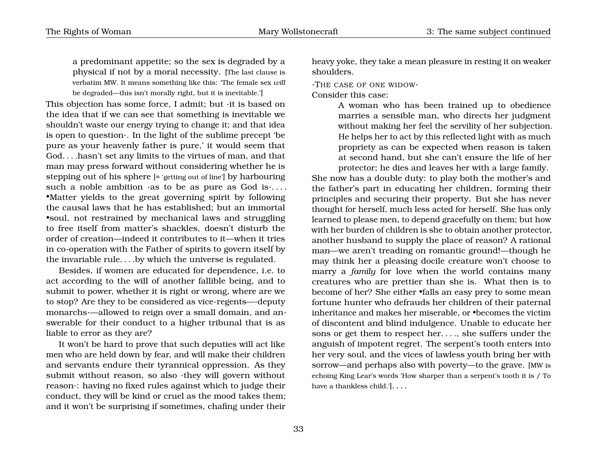a predominant appetite; so the sex is degraded by a physical if not by a moral necessity. [The last clause is verbatim MW. It means something like this: 'The female sex *will* be degraded—this isn't morally right, but it is inevitable.']

This objection has some force, I admit; but ·it is based on the idea that if we can see that something is inevitable we shouldn't waste our energy trying to change it; and that idea is open to question·. In the light of the sublime precept 'be pure as your heavenly father is pure,' it would seem that God. . . .hasn't set any limits to the virtues of man, and that man may press forward without considering whether he is stepping out of his sphere [= 'getting out of line'] by harbouring such a noble ambition  $\cdot$ as to be as pure as God is $\cdot \dots$ . •Matter yields to the great governing spirit by following the causal laws that he has established; but an immortal •soul, not restrained by mechanical laws and struggling to free itself from matter's shackles, doesn't disturb the order of creation—indeed it contributes to it—when it tries in co-operation with the Father of spirits to govern itself by the invariable rule. . . .by which the universe is regulated.

Besides, if women are educated for dependence, i.e. to act according to the will of another fallible being, and to submit to power, whether it is right or wrong, where are we to stop? Are they to be considered as vice-regents—·deputy monarchs·—allowed to reign over a small domain, and answerable for their conduct to a higher tribunal that is as liable to error as they are?

It won't be hard to prove that such deputies will act like men who are held down by fear, and will make their children and servants endure their tyrannical oppression. As they submit without reason, so also ·they will govern without reason·: having no fixed rules against which to judge their conduct, they will be kind or cruel as the mood takes them; and it won't be surprising if sometimes, chafing under their heavy yoke, they take a mean pleasure in resting it on weaker shoulders.

·THE CASE OF ONE WIDOW·

Consider this case:

A woman who has been trained up to obedience marries a sensible man, who directs her judgment without making her feel the servility of her subjection. He helps her to act by this reflected light with as much propriety as can be expected when reason is taken at second hand, but she can't ensure the life of her protector; he dies and leaves her with a large family.

She now has a double duty: to play both the mother's and the father's part in educating her children, forming their principles and securing their property. But she has never thought for herself, much less acted for herself. She has only learned to please men, to depend gracefully on them; but how with her burden of children is she to obtain another protector, another husband to supply the place of reason? A rational man—we aren't treading on romantic ground!—though he may think her a pleasing docile creature won't choose to marry a *family* for love when the world contains many creatures who are prettier than she is. What then is to become of her? She either •falls an easy prey to some mean fortune hunter who defrauds her children of their paternal inheritance and makes her miserable, or •becomes the victim of discontent and blind indulgence. Unable to educate her sons or get them to respect her. . . ., she suffers under the anguish of impotent regret. The serpent's tooth enters into her very soul, and the vices of lawless youth bring her with sorrow—and perhaps also with poverty—to the grave. [MW is echoing King Lear's words 'How sharper than a serpent's tooth it is / To have a thankless child.']. . . .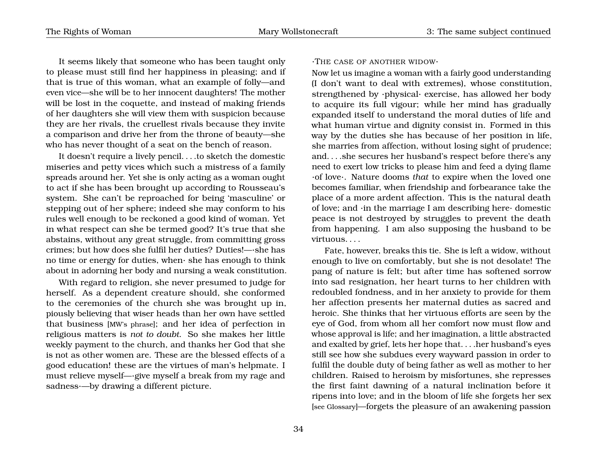It seems likely that someone who has been taught only to please must still find her happiness in pleasing; and if that is true of this woman, what an example of folly—and even vice—she will be to her innocent daughters! The mother will be lost in the coquette, and instead of making friends of her daughters she will view them with suspicion because they are her rivals, the cruellest rivals because they invite a comparison and drive her from the throne of beauty—she who has never thought of a seat on the bench of reason.

It doesn't require a lively pencil. . . .to sketch the domestic miseries and petty vices which such a mistress of a family spreads around her. Yet she is only acting as a woman ought to act if she has been brought up according to Rousseau's system. She can't be reproached for being 'masculine' or stepping out of her sphere; indeed she may conform to his rules well enough to be reckoned a good kind of woman. Yet in what respect can she be termed good? It's true that she abstains, without any great struggle, from committing gross crimes; but how does she fulfil her duties? Duties!—·she has no time or energy for duties, when· she has enough to think about in adorning her body and nursing a weak constitution.

With regard to religion, she never presumed to judge for herself. As a dependent creature should, she conformed to the ceremonies of the church she was brought up in, piously believing that wiser heads than her own have settled that business [MW's phrase]; and her idea of perfection in religious matters is *not to doubt*. So she makes her little weekly payment to the church, and thanks her God that she is not as other women are. These are the blessed effects of a good education! these are the virtues of man's helpmate. I must relieve myself—·give myself a break from my rage and sadness·—by drawing a different picture.

### ·THE CASE OF ANOTHER WIDOW·

Now let us imagine a woman with a fairly good understanding (I don't want to deal with extremes), whose constitution, strengthened by ·physical· exercise, has allowed her body to acquire its full vigour; while her mind has gradually expanded itself to understand the moral duties of life and what human virtue and dignity consist in. Formed in this way by the duties she has because of her position in life, she marries from affection, without losing sight of prudence; and. . . .she secures her husband's respect before there's any need to exert low tricks to please him and feed a dying flame ·of love·. Nature dooms *that* to expire when the loved one becomes familiar, when friendship and forbearance take the place of a more ardent affection. This is the natural death of love; and ·in the marriage I am describing here· domestic peace is not destroyed by struggles to prevent the death from happening. I am also supposing the husband to be virtuous. . . .

Fate, however, breaks this tie. She is left a widow, without enough to live on comfortably, but she is not desolate! The pang of nature is felt; but after time has softened sorrow into sad resignation, her heart turns to her children with redoubled fondness, and in her anxiety to provide for them her affection presents her maternal duties as sacred and heroic. She thinks that her virtuous efforts are seen by the eye of God, from whom all her comfort now must flow and whose approval is life; and her imagination, a little abstracted and exalted by grief, lets her hope that. . . .her husband's eyes still see how she subdues every wayward passion in order to fulfil the double duty of being father as well as mother to her children. Raised to heroism by misfortunes, she represses the first faint dawning of a natural inclination before it ripens into love; and in the bloom of life she forgets her sex [see Glossary]—forgets the pleasure of an awakening passion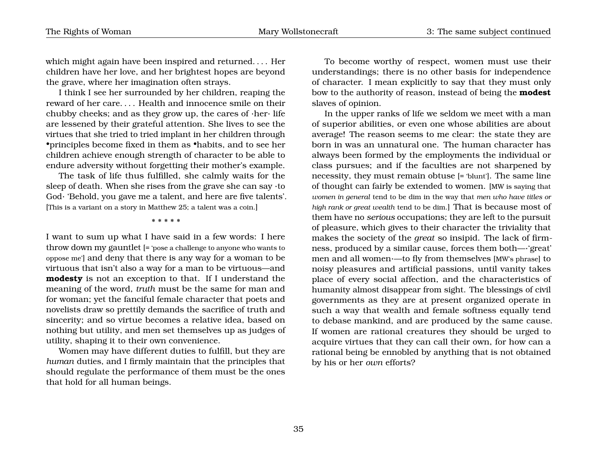which might again have been inspired and returned. . . . Her children have her love, and her brightest hopes are beyond the grave, where her imagination often strays.

I think I see her surrounded by her children, reaping the reward of her care. . . . Health and innocence smile on their chubby cheeks; and as they grow up, the cares of ·her· life are lessened by their grateful attention. She lives to see the virtues that she tried to tried implant in her children through •principles become fixed in them as •habits, and to see her children achieve enough strength of character to be able to endure adversity without forgetting their mother's example.

The task of life thus fulfilled, she calmly waits for the sleep of death. When she rises from the grave she can say ·to God· 'Behold, you gave me a talent, and here are five talents'. [This is a variant on a story in Matthew 25; a talent was a coin.]

\* \* \* \* \*

I want to sum up what I have said in a few words: I here throw down my gauntlet [= 'pose a challenge to anyone who wants to oppose me'] and deny that there is any way for a woman to be virtuous that isn't also a way for a man to be virtuous—and **modesty** is not an exception to that. If I understand the meaning of the word, *truth* must be the same for man and for woman; yet the fanciful female character that poets and novelists draw so prettily demands the sacrifice of truth and sincerity; and so virtue becomes a relative idea, based on nothing but utility, and men set themselves up as judges of utility, shaping it to their own convenience.

Women may have different duties to fulfill, but they are *human* duties, and I firmly maintain that the principles that should regulate the performance of them must be the ones that hold for all human beings.

To become worthy of respect, women must use their understandings; there is no other basis for independence of character. I mean explicitly to say that they must only bow to the authority of reason, instead of being the **modest** slaves of opinion.

In the upper ranks of life we seldom we meet with a man of superior abilities, or even one whose abilities are about average! The reason seems to me clear: the state they are born in was an unnatural one. The human character has always been formed by the employments the individual or class pursues; and if the faculties are not sharpened by necessity, they must remain obtuse [= 'blunt']. The same line of thought can fairly be extended to women. [MW is saying that *women in general* tend to be dim in the way that *men who have titles or high rank or great wealth* tend to be dim.] That is because most of them have no *serious* occupations; they are left to the pursuit of pleasure, which gives to their character the triviality that makes the society of the *great* so insipid. The lack of firmness, produced by a similar cause, forces them both—·'great' men and all women·—to fly from themselves [MW's phrase] to noisy pleasures and artificial passions, until vanity takes place of every social affection, and the characteristics of humanity almost disappear from sight. The blessings of civil governments as they are at present organized operate in such a way that wealth and female softness equally tend to debase mankind, and are produced by the same cause. If women are rational creatures they should be urged to acquire virtues that they can call their own, for how can a rational being be ennobled by anything that is not obtained by his or her *own* efforts?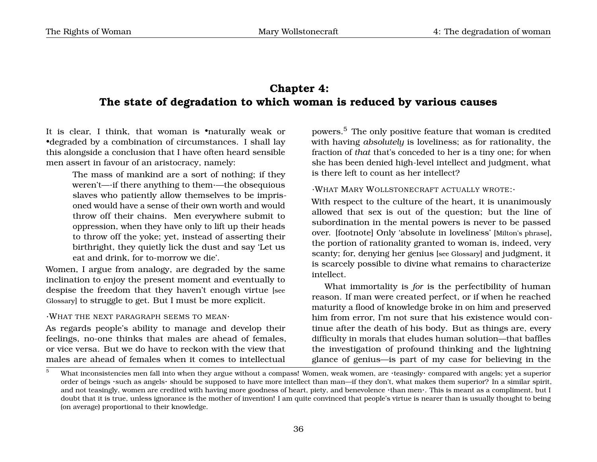# **Chapter 4: The state of degradation to which woman is reduced by various causes**

It is clear, I think, that woman is •naturally weak or •degraded by a combination of circumstances. I shall lay this alongside a conclusion that I have often heard sensible men assert in favour of an aristocracy, namely:

> The mass of mankind are a sort of nothing; if they weren't—·if there anything to them·—the obsequious slaves who patiently allow themselves to be imprisoned would have a sense of their own worth and would throw off their chains. Men everywhere submit to oppression, when they have only to lift up their heads to throw off the yoke; yet, instead of asserting their birthright, they quietly lick the dust and say 'Let us eat and drink, for to-morrow we die'.

Women, I argue from analogy, are degraded by the same inclination to enjoy the present moment and eventually to despise the freedom that they haven't enough virtue [see Glossary] to struggle to get. But I must be more explicit.

### ·WHAT THE NEXT PARAGRAPH SEEMS TO MEAN·

As regards people's ability to manage and develop their feelings, no-one thinks that males are ahead of females, or vice versa. But we do have to reckon with the view that males are ahead of females when it comes to intellectual

<span id="page-39-1"></span>powers.[5](#page-39-0) The only positive feature that woman is credited with having *absolutely* is loveliness; as for rationality, the fraction of *that* that's conceded to her is a tiny one; for when she has been denied high-level intellect and judgment, what is there left to count as her intellect?

## ·WHAT MARY WOLLSTONECRAFT ACTUALLY WROTE:·

With respect to the culture of the heart, it is unanimously allowed that sex is out of the question; but the line of subordination in the mental powers is never to be passed over. [footnote] Only 'absolute in loveliness' [Milton's phrase], the portion of rationality granted to woman is, indeed, very scanty; for, denying her genius [see Glossary] and judgment, it is scarcely possible to divine what remains to characterize intellect.

What immortality is *for* is the perfectibility of human reason. If man were created perfect, or if when he reached maturity a flood of knowledge broke in on him and preserved him from error, I'm not sure that his existence would continue after the death of his body. But as things are, every difficulty in morals that eludes human solution—that baffles the investigation of profound thinking and the lightning glance of genius—is part of my case for believing in the

<span id="page-39-0"></span><sup>&</sup>lt;sup>5</sup> What inconsistencies men fall into when they argue without a compass! Women, weak women, are ·teasingly· compared with angels; yet a superior order of beings ·such as angels· should be supposed to have more intellect than man—if they don't, what makes them superior? In a similar spirit, and not teasingly, women are credited with having more goodness of heart, piety, and benevolence ·than men·. This is meant as a compliment, but I doubt that it is true, unless ignorance is the mother of invention! I am quite convinced that people's virtue is nearer than is usually thought to being (on average) proportional to their knowledge.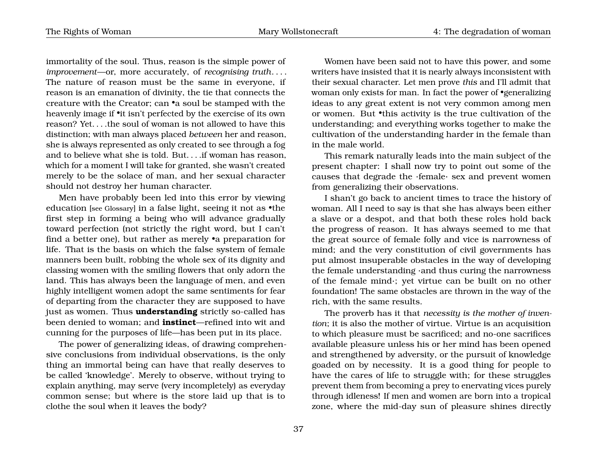immortality of the soul. Thus, reason is the simple power of *improvement*—or, more accurately, of *recognising truth*. . . . The nature of reason must be the same in everyone, if reason is an emanation of divinity, the tie that connects the creature with the Creator; can •a soul be stamped with the heavenly image if •it isn't perfected by the exercise of its own reason? Yet. . . .the soul of woman is not allowed to have this distinction; with man always placed *between* her and reason, she is always represented as only created to see through a fog and to believe what she is told. But. . . .if woman has reason, which for a moment I will take for granted, she wasn't created merely to be the solace of man, and her sexual character should not destroy her human character.

Men have probably been led into this error by viewing education [see Glossary] in a false light, seeing it not as •the first step in forming a being who will advance gradually toward perfection (not strictly the right word, but I can't find a better one), but rather as merely •a preparation for life. That is the basis on which the false system of female manners been built, robbing the whole sex of its dignity and classing women with the smiling flowers that only adorn the land. This has always been the language of men, and even highly intelligent women adopt the same sentiments for fear of departing from the character they are supposed to have just as women. Thus **understanding** strictly so-called has been denied to woman; and **instinct**—refined into wit and cunning for the purposes of life—has been put in its place.

The power of generalizing ideas, of drawing comprehensive conclusions from individual observations, is the only thing an immortal being can have that really deserves to be called 'knowledge'. Merely to observe, without trying to explain anything, may serve (very incompletely) as everyday common sense; but where is the store laid up that is to clothe the soul when it leaves the body?

Women have been said not to have this power, and some writers have insisted that it is nearly always inconsistent with their sexual character. Let men prove *this* and I'll admit that woman only exists for man. In fact the power of •generalizing ideas to any great extent is not very common among men or women. But •this activity is the true cultivation of the understanding; and everything works together to make the cultivation of the understanding harder in the female than in the male world.

This remark naturally leads into the main subject of the present chapter: I shall now try to point out some of the causes that degrade the ·female· sex and prevent women from generalizing their observations.

I shan't go back to ancient times to trace the history of woman. All I need to say is that she has always been either a slave or a despot, and that both these roles hold back the progress of reason. It has always seemed to me that the great source of female folly and vice is narrowness of mind; and the very constitution of civil governments has put almost insuperable obstacles in the way of developing the female understanding ·and thus curing the narrowness of the female mind·; yet virtue can be built on no other foundation! The same obstacles are thrown in the way of the rich, with the same results.

The proverb has it that *necessity is the mother of invention*; it is also the mother of virtue. Virtue is an acquisition to which pleasure must be sacrificed; and no-one sacrifices available pleasure unless his or her mind has been opened and strengthened by adversity, or the pursuit of knowledge goaded on by necessity. It is a good thing for people to have the cares of life to struggle with; for these struggles prevent them from becoming a prey to enervating vices purely through idleness! If men and women are born into a tropical zone, where the mid-day sun of pleasure shines directly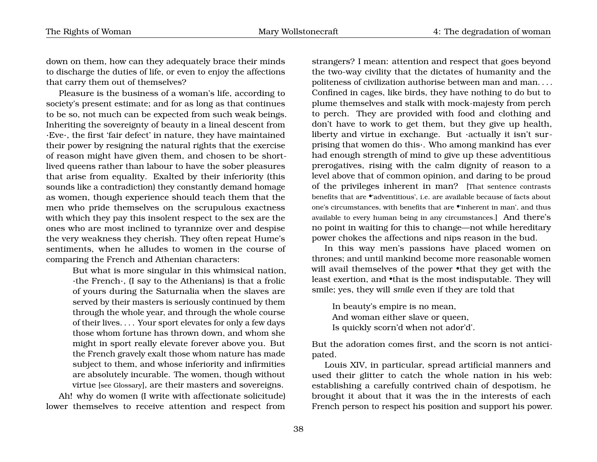down on them, how can they adequately brace their minds to discharge the duties of life, or even to enjoy the affections that carry them out of themselves?

Pleasure is the business of a woman's life, according to society's present estimate; and for as long as that continues to be so, not much can be expected from such weak beings. Inheriting the sovereignty of beauty in a lineal descent from ·Eve·, the first 'fair defect' in nature, they have maintained their power by resigning the natural rights that the exercise of reason might have given them, and chosen to be shortlived queens rather than labour to have the sober pleasures that arise from equality. Exalted by their inferiority (this sounds like a contradiction) they constantly demand homage as women, though experience should teach them that the men who pride themselves on the scrupulous exactness with which they pay this insolent respect to the sex are the ones who are most inclined to tyrannize over and despise the very weakness they cherish. They often repeat Hume's sentiments, when he alludes to women in the course of comparing the French and Athenian characters:

> But what is more singular in this whimsical nation, ·the French·, (I say to the Athenians) is that a frolic of yours during the Saturnalia when the slaves are served by their masters is seriously continued by them through the whole year, and through the whole course of their lives. . . . Your sport elevates for only a few days those whom fortune has thrown down, and whom she might in sport really elevate forever above you. But the French gravely exalt those whom nature has made subject to them, and whose inferiority and infirmities are absolutely incurable. The women, though without virtue [see Glossary], are their masters and sovereigns.

Ah! why do women (I write with affectionate solicitude) lower themselves to receive attention and respect from

strangers? I mean: attention and respect that goes beyond the two-way civility that the dictates of humanity and the politeness of civilization authorise between man and man. . . . Confined in cages, like birds, they have nothing to do but to plume themselves and stalk with mock-majesty from perch to perch. They are provided with food and clothing and don't have to work to get them, but they give up health, liberty and virtue in exchange. But ·actually it isn't surprising that women do this·. Who among mankind has ever had enough strength of mind to give up these adventitious prerogatives, rising with the calm dignity of reason to a level above that of common opinion, and daring to be proud of the privileges inherent in man? [That sentence contrasts benefits that are •'adventitious', i.e. are available because of facts about one's circumstances, with benefits that are •'inherent in man', and thus available to every human being in any circumstances.] And there's no point in waiting for this to change—not while hereditary power chokes the affections and nips reason in the bud.

In this way men's passions have placed women on thrones; and until mankind become more reasonable women will avail themselves of the power •that they get with the least exertion, and •that is the most indisputable. They will smile; yes, they will *smile* even if they are told that

In beauty's empire is no mean, And woman either slave or queen, Is quickly scorn'd when not ador'd'.

But the adoration comes first, and the scorn is not anticipated.

Louis XIV, in particular, spread artificial manners and used their glitter to catch the whole nation in his web: establishing a carefully contrived chain of despotism, he brought it about that it was the in the interests of each French person to respect his position and support his power.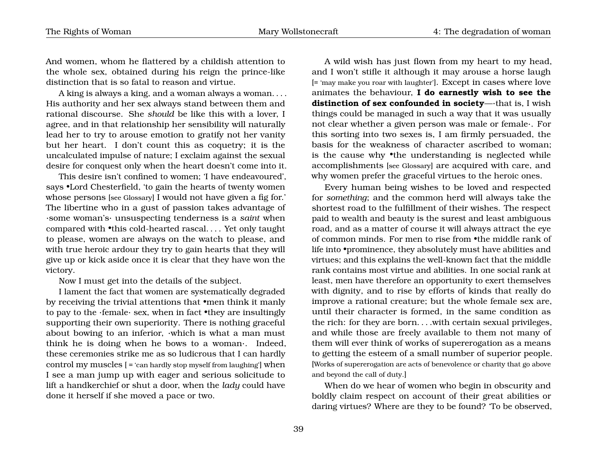And women, whom he flattered by a childish attention to the whole sex, obtained during his reign the prince-like distinction that is so fatal to reason and virtue.

A king is always a king, and a woman always a woman. . . . His authority and her sex always stand between them and rational discourse. She *should* be like this with a lover, I agree, and in that relationship her sensibility will naturally lead her to try to arouse emotion to gratify not her vanity but her heart. I don't count this as coquetry; it is the uncalculated impulse of nature; I exclaim against the sexual desire for conquest only when the heart doesn't come into it.

This desire isn't confined to women; 'I have endeavoured', says •Lord Chesterfield, 'to gain the hearts of twenty women whose persons [see Glossary] I would not have given a fig for.' The libertine who in a gust of passion takes advantage of ·some woman's· unsuspecting tenderness is a *saint* when compared with •this cold-hearted rascal.... Yet only taught to please, women are always on the watch to please, and with true heroic ardour they try to gain hearts that they will give up or kick aside once it is clear that they have won the victory.

Now I must get into the details of the subject.

I lament the fact that women are systematically degraded by receiving the trivial attentions that •men think it manly to pay to the ·female· sex, when in fact •they are insultingly supporting their own superiority. There is nothing graceful about bowing to an inferior, ·which is what a man must think he is doing when he bows to a woman·. Indeed, these ceremonies strike me as so ludicrous that I can hardly control my muscles [ = 'can hardly stop myself from laughing'] when I see a man jump up with eager and serious solicitude to lift a handkerchief or shut a door, when the *lady* could have done it herself if she moved a pace or two.

A wild wish has just flown from my heart to my head, and I won't stifle it although it may arouse a horse laugh [= 'may make you roar with laughter']. Except in cases where love animates the behaviour, **I do earnestly wish to see the distinction of sex confounded in society**—·that is, I wish things could be managed in such a way that it was usually not clear whether a given person was male or female·. For this sorting into two sexes is, I am firmly persuaded, the basis for the weakness of character ascribed to woman; is the cause why •the understanding is neglected while accomplishments [see Glossary] are acquired with care, and why women prefer the graceful virtues to the heroic ones.

Every human being wishes to be loved and respected for *something*; and the common herd will always take the shortest road to the fulfillment of their wishes. The respect paid to wealth and beauty is the surest and least ambiguous road, and as a matter of course it will always attract the eye of common minds. For men to rise from •the middle rank of life into •prominence, they absolutely must have abilities and virtues; and this explains the well-known fact that the middle rank contains most virtue and abilities. In one social rank at least, men have therefore an opportunity to exert themselves with dignity, and to rise by efforts of kinds that really do improve a rational creature; but the whole female sex are, until their character is formed, in the same condition as the rich: for they are born. . . .with certain sexual privileges, and while those are freely available to them not many of them will ever think of works of supererogation as a means to getting the esteem of a small number of superior people. [Works of supererogation are acts of benevolence or charity that go above and beyond the call of duty.]

When do we hear of women who begin in obscurity and boldly claim respect on account of their great abilities or daring virtues? Where are they to be found? To be observed,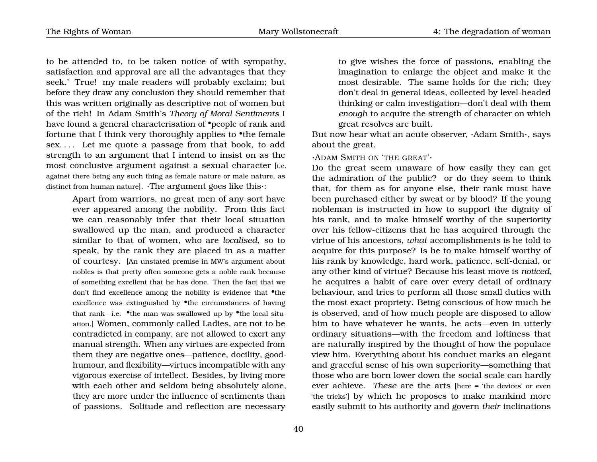to be attended to, to be taken notice of with sympathy, satisfaction and approval are all the advantages that they seek.' True! my male readers will probably exclaim; but before they draw any conclusion they should remember that this was written originally as descriptive not of women but of the rich! In Adam Smith's *Theory of Moral Sentiments* I have found a general characterisation of **•**people of rank and fortune that I think very thoroughly applies to •the female sex. . . . Let me quote a passage from that book, to add strength to an argument that I intend to insist on as the most conclusive argument against a sexual character [i.e. against there being any such thing as female nature or male nature, as distinct from human nature]. ·The argument goes like this·:

> Apart from warriors, no great men of any sort have ever appeared among the nobility. From this fact we can reasonably infer that their local situation swallowed up the man, and produced a character similar to that of women, who are *localised*, so to speak, by the rank they are placed in as a matter of courtesy. [An unstated premise in MW's argument about nobles is that pretty often someone gets a noble rank because of something excellent that he has done. Then the fact that we don't find excellence among the nobility is evidence that •the excellence was extinguished by  $\bullet$ the circumstances of having that rank—i.e. •the man was swallowed up by •the local situation.] Women, commonly called Ladies, are not to be contradicted in company, are not allowed to exert any manual strength. When any virtues are expected from them they are negative ones—patience, docility, goodhumour, and flexibility—virtues incompatible with any vigorous exercise of intellect. Besides, by living more with each other and seldom being absolutely alone, they are more under the influence of sentiments than of passions. Solitude and reflection are necessary

to give wishes the force of passions, enabling the imagination to enlarge the object and make it the most desirable. The same holds for the rich; they don't deal in general ideas, collected by level-headed thinking or calm investigation—don't deal with them *enough* to acquire the strength of character on which great resolves are built.

But now hear what an acute observer, ·Adam Smith·, says about the great.

#### ·ADAM SMITH ON 'THE GREAT'·

Do the great seem unaware of how easily they can get the admiration of the public? or do they seem to think that, for them as for anyone else, their rank must have been purchased either by sweat or by blood? If the young nobleman is instructed in how to support the dignity of his rank, and to make himself worthy of the superiority over his fellow-citizens that he has acquired through the virtue of his ancestors, *what* accomplishments is he told to acquire for this purpose? Is he to make himself worthy of his rank by knowledge, hard work, patience, self-denial, or any other kind of virtue? Because his least move is *noticed*, he acquires a habit of care over every detail of ordinary behaviour, and tries to perform all those small duties with the most exact propriety. Being conscious of how much he is observed, and of how much people are disposed to allow him to have whatever he wants, he acts—even in utterly ordinary situations—with the freedom and loftiness that are naturally inspired by the thought of how the populace view him. Everything about his conduct marks an elegant and graceful sense of his own superiority—something that those who are born lower down the social scale can hardly ever achieve. *These* are the arts [here = 'the devices' or even 'the tricks'] by which he proposes to make mankind more easily submit to his authority and govern *their* inclinations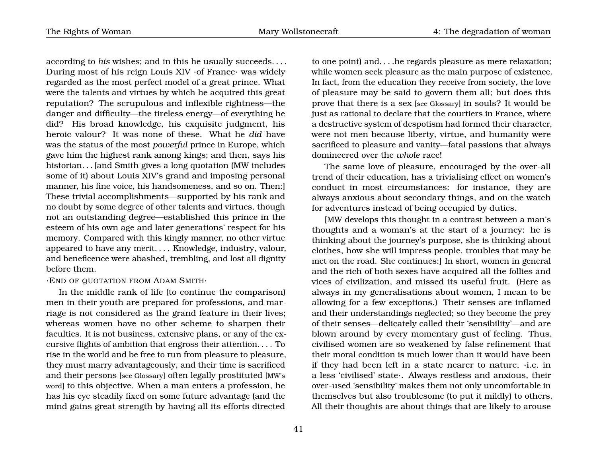according to *his* wishes; and in this he usually succeeds. . . . During most of his reign Louis XIV ·of France· was widely regarded as the most perfect model of a great prince. What were the talents and virtues by which he acquired this great reputation? The scrupulous and inflexible rightness—the danger and difficulty—the tireless energy—of everything he did? His broad knowledge, his exquisite judgment, his heroic valour? It was none of these. What he *did* have was the status of the most *powerful* prince in Europe, which gave him the highest rank among kings; and then, says his historian. . . [and Smith gives a long quotation (MW includes some of it) about Louis XIV's grand and imposing personal manner, his fine voice, his handsomeness, and so on. Then:] These trivial accomplishments—supported by his rank and no doubt by some degree of other talents and virtues, though not an outstanding degree—established this prince in the esteem of his own age and later generations' respect for his memory. Compared with this kingly manner, no other virtue appeared to have any merit. . . . Knowledge, industry, valour, and beneficence were abashed, trembling, and lost all dignity before them.

### ·END OF QUOTATION FROM ADAM SMITH·

In the middle rank of life (to continue the comparison) men in their youth are prepared for professions, and marriage is not considered as the grand feature in their lives; whereas women have no other scheme to sharpen their faculties. It is not business, extensive plans, or any of the excursive flights of ambition that engross their attention. . . . To rise in the world and be free to run from pleasure to pleasure, they must marry advantageously, and their time is sacrificed and their persons [see Glossary] often legally prostituted [MW's word] to this objective. When a man enters a profession, he has his eye steadily fixed on some future advantage (and the mind gains great strength by having all its efforts directed

to one point) and. . . .he regards pleasure as mere relaxation; while women seek pleasure as the main purpose of existence. In fact, from the education they receive from society, the love of pleasure may be said to govern them all; but does this prove that there is a sex [see Glossary] in souls? It would be just as rational to declare that the courtiers in France, where a destructive system of despotism had formed their character, were not men because liberty, virtue, and humanity were sacrificed to pleasure and vanity—fatal passions that always domineered over the *whole* race!

The same love of pleasure, encouraged by the over-all trend of their education, has a trivialising effect on women's conduct in most circumstances: for instance, they are always anxious about secondary things, and on the watch for adventures instead of being occupied by duties.

[MW develops this thought in a contrast between a man's thoughts and a woman's at the start of a journey: he is thinking about the journey's purpose, she is thinking about clothes, how she will impress people, troubles that may be met on the road. She continues:] In short, women in general and the rich of both sexes have acquired all the follies and vices of civilization, and missed its useful fruit. (Here as always in my generalisations about women, I mean to be allowing for a few exceptions.) Their senses are inflamed and their understandings neglected; so they become the prey of their senses—delicately called their 'sensibility'—and are blown around by every momentary gust of feeling. Thus, civilised women are so weakened by false refinement that their moral condition is much lower than it would have been if they had been left in a state nearer to nature, ·i.e. in a less 'civilised' state·. Always restless and anxious, their over-used 'sensibility' makes them not only uncomfortable in themselves but also troublesome (to put it mildly) to others. All their thoughts are about things that are likely to arouse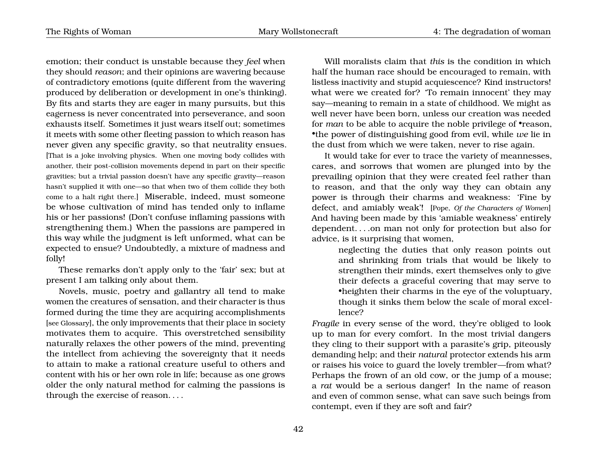emotion; their conduct is unstable because they *feel* when they should *reason*; and their opinions are wavering because of contradictory emotions (quite different from the wavering produced by deliberation or development in one's thinking). By fits and starts they are eager in many pursuits, but this eagerness is never concentrated into perseverance, and soon exhausts itself. Sometimes it just wears itself out; sometimes it meets with some other fleeting passion to which reason has never given any specific gravity, so that neutrality ensues. [That is a joke involving physics. When one moving body collides with another, their post-collision movements depend in part on their specific gravities; but a trivial passion doesn't have any specific gravity—reason hasn't supplied it with one—so that when two of them collide they both come to a halt right there.] Miserable, indeed, must someone be whose cultivation of mind has tended only to inflame his or her passions! (Don't confuse inflaming passions with strengthening them.) When the passions are pampered in this way while the judgment is left unformed, what can be expected to ensue? Undoubtedly, a mixture of madness and folly!

These remarks don't apply only to the 'fair' sex; but at present I am talking only about them.

Novels, music, poetry and gallantry all tend to make women the creatures of sensation, and their character is thus formed during the time they are acquiring accomplishments [see Glossary], the only improvements that their place in society motivates them to acquire. This overstretched sensibility naturally relaxes the other powers of the mind, preventing the intellect from achieving the sovereignty that it needs to attain to make a rational creature useful to others and content with his or her own role in life; because as one grows older the only natural method for calming the passions is through the exercise of reason. . . .

Will moralists claim that *this* is the condition in which half the human race should be encouraged to remain, with listless inactivity and stupid acquiescence? Kind instructors! what were we created for? To remain innocent' they may say—meaning to remain in a state of childhood. We might as well never have been born, unless our creation was needed for *man* to be able to acquire the noble privilege of •reason, •the power of distinguishing good from evil, while *we* lie in the dust from which we were taken, never to rise again.

It would take for ever to trace the variety of meannesses, cares, and sorrows that women are plunged into by the prevailing opinion that they were created feel rather than to reason, and that the only way they can obtain any power is through their charms and weakness: 'Fine by defect, and amiably weak'! [Pope, *Of the Characters of Women*] And having been made by this 'amiable weakness' entirely dependent. . . .on man not only for protection but also for advice, is it surprising that women,

> neglecting the duties that only reason points out and shrinking from trials that would be likely to strengthen their minds, exert themselves only to give their defects a graceful covering that may serve to •heighten their charms in the eye of the voluptuary, though it sinks them below the scale of moral excellence?

*Fragile* in every sense of the word, they're obliged to look up to man for every comfort. In the most trivial dangers they cling to their support with a parasite's grip, piteously demanding help; and their *natural* protector extends his arm or raises his voice to guard the lovely trembler—from what? Perhaps the frown of an old cow, or the jump of a mouse; a *rat* would be a serious danger! In the name of reason and even of common sense, what can save such beings from contempt, even if they are soft and fair?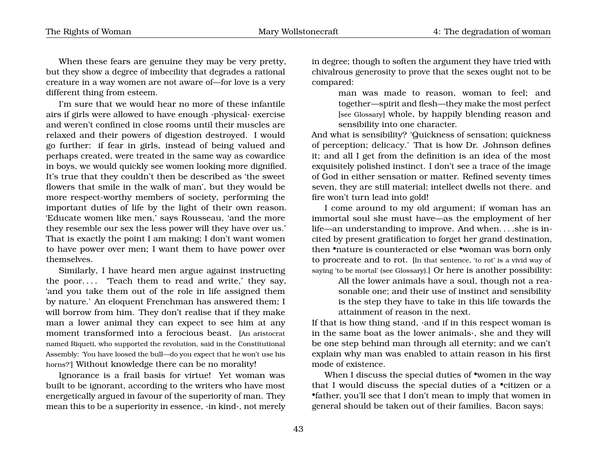When these fears are genuine they may be very pretty, but they show a degree of imbecility that degrades a rational creature in a way women are not aware of—for love is a very different thing from esteem.

I'm sure that we would hear no more of these infantile airs if girls were allowed to have enough ·physical· exercise and weren't confined in close rooms until their muscles are relaxed and their powers of digestion destroyed. I would go further: if fear in girls, instead of being valued and perhaps created, were treated in the same way as cowardice in boys, we would quickly see women looking more dignified. It's true that they couldn't then be described as 'the sweet flowers that smile in the walk of man', but they would be more respect-worthy members of society, performing the important duties of life by the light of their own reason. 'Educate women like men,' says Rousseau, 'and the more they resemble our sex the less power will they have over us.' That is exactly the point I am making; I don't want women to have power over men; I want them to have power over themselves.

Similarly, I have heard men argue against instructing the poor.... Teach them to read and write,' they say, 'and you take them out of the role in life assigned them by nature.' An eloquent Frenchman has answered them; I will borrow from him. They don't realise that if they make man a lower animal they can expect to see him at any moment transformed into a ferocious beast. [An aristocrat named Riqueti, who supported the revolution, said in the Constitutional Assembly: 'You have loosed the bull—do you expect that he won't use his horns?'] Without knowledge there can be no morality!

Ignorance is a frail basis for virtue! Yet woman was built to be ignorant, according to the writers who have most energetically argued in favour of the superiority of man. They mean this to be a superiority in essence, ·in kind·, not merely in degree; though to soften the argument they have tried with chivalrous generosity to prove that the sexes ought not to be compared:

> man was made to reason, woman to feel; and together—spirit and flesh—they make the most perfect [see Glossary] whole, by happily blending reason and sensibility into one character.

And what is sensibility? 'Quickness of sensation; quickness of perception; delicacy.' That is how Dr. Johnson defines it; and all I get from the definition is an idea of the most exquisitely polished instinct. I don't see a trace of the image of God in either sensation or matter. Refined seventy times seven, they are still material; intellect dwells not there. and fire won't turn lead into gold!

I come around to my old argument; if woman has an immortal soul she must have—as the employment of her life—an understanding to improve. And when. . . .she is incited by present gratification to forget her grand destination, then •nature is counteracted or else •woman was born only to procreate and to rot. [In that sentence, 'to rot' is a vivid way of saying 'to be mortal' (see Glossary).] Or here is another possibility:

> All the lower animals have a soul, though not a reasonable one; and their use of instinct and sensibility is the step they have to take in this life towards the attainment of reason in the next.

If that is how thing stand, ·and if in this respect woman is in the same boat as the lower animals·, she and they will be one step behind man through all eternity; and we can't explain why man was enabled to attain reason in his first mode of existence.

When I discuss the special duties of •women in the way that I would discuss the special duties of a •citizen or a •father, you'll see that I don't mean to imply that women in general should be taken out of their families. Bacon says: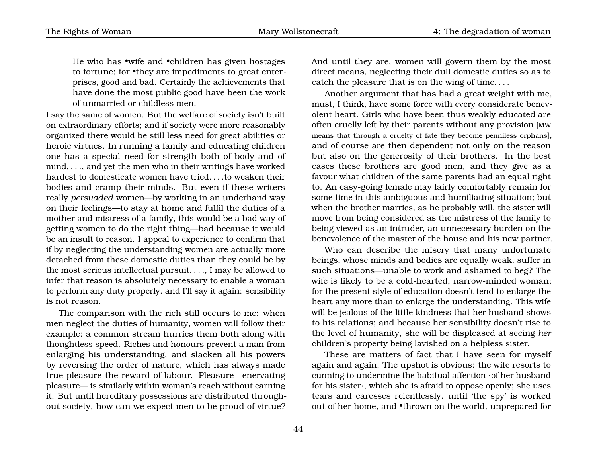He who has •wife and •children has given hostages to fortune; for •they are impediments to great enterprises, good and bad. Certainly the achievements that have done the most public good have been the work of unmarried or childless men.

I say the same of women. But the welfare of society isn't built on extraordinary efforts; and if society were more reasonably organized there would be still less need for great abilities or heroic virtues. In running a family and educating children one has a special need for strength both of body and of mind. . . ., and yet the men who in their writings have worked hardest to domesticate women have tried. . . .to weaken their bodies and cramp their minds. But even if these writers really *persuaded* women—by working in an underhand way on their feelings—to stay at home and fulfil the duties of a mother and mistress of a family, this would be a bad way of getting women to do the right thing—bad because it would be an insult to reason. I appeal to experience to confirm that if by neglecting the understanding women are actually more detached from these domestic duties than they could be by the most serious intellectual pursuit. . . ., I may be allowed to infer that reason is absolutely necessary to enable a woman to perform any duty properly, and I'll say it again: sensibility is not reason.

The comparison with the rich still occurs to me: when men neglect the duties of humanity, women will follow their example; a common stream hurries them both along with thoughtless speed. Riches and honours prevent a man from enlarging his understanding, and slacken all his powers by reversing the order of nature, which has always made true pleasure the reward of labour. Pleasure—enervating pleasure— is similarly within woman's reach without earning it. But until hereditary possessions are distributed throughout society, how can we expect men to be proud of virtue? And until they are, women will govern them by the most direct means, neglecting their dull domestic duties so as to catch the pleasure that is on the wing of time. . . .

Another argument that has had a great weight with me, must, I think, have some force with every considerate benevolent heart. Girls who have been thus weakly educated are often cruelly left by their parents without any provision [MW means that through a cruelty of fate they become penniless orphans], and of course are then dependent not only on the reason but also on the generosity of their brothers. In the best cases these brothers are good men, and they give as a favour what children of the same parents had an equal right to. An easy-going female may fairly comfortably remain for some time in this ambiguous and humiliating situation; but when the brother marries, as he probably will, the sister will move from being considered as the mistress of the family to being viewed as an intruder, an unnecessary burden on the benevolence of the master of the house and his new partner.

Who can describe the misery that many unfortunate beings, whose minds and bodies are equally weak, suffer in such situations—unable to work and ashamed to beg? The wife is likely to be a cold-hearted, narrow-minded woman; for the present style of education doesn't tend to enlarge the heart any more than to enlarge the understanding. This wife will be jealous of the little kindness that her husband shows to his relations; and because her sensibility doesn't rise to the level of humanity, she will be displeased at seeing *her* children's property being lavished on a helpless sister.

These are matters of fact that I have seen for myself again and again. The upshot is obvious: the wife resorts to cunning to undermine the habitual affection ·of her husband for his sister·, which she is afraid to oppose openly; she uses tears and caresses relentlessly, until 'the spy' is worked out of her home, and •thrown on the world, unprepared for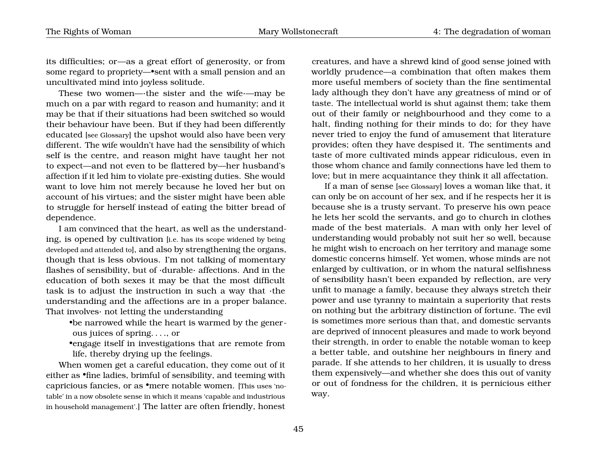its difficulties; or—as a great effort of generosity, or from some regard to propriety—•sent with a small pension and an uncultivated mind into joyless solitude.

These two women—·the sister and the wife·—may be much on a par with regard to reason and humanity; and it may be that if their situations had been switched so would their behaviour have been. But if they had been differently educated [see Glossary] the upshot would also have been very different. The wife wouldn't have had the sensibility of which self is the centre, and reason might have taught her not to expect—and not even to be flattered by—her husband's affection if it led him to violate pre-existing duties. She would want to love him not merely because he loved her but on account of his virtues; and the sister might have been able to struggle for herself instead of eating the bitter bread of dependence.

I am convinced that the heart, as well as the understanding, is opened by cultivation [i.e. has its scope widened by being developed and attended to], and also by strengthening the organs, though that is less obvious. I'm not talking of momentary flashes of sensibility, but of ·durable· affections. And in the education of both sexes it may be that the most difficult task is to adjust the instruction in such a way that ·the understanding and the affections are in a proper balance. That involves· not letting the understanding

•be narrowed while the heart is warmed by the generous juices of spring. . . ., or

•engage itself in investigations that are remote from life, thereby drying up the feelings.

When women get a careful education, they come out of it either as •fine ladies, brimful of sensibility, and teeming with capricious fancies, or as •mere notable women. [This uses 'notable' in a now obsolete sense in which it means 'capable and industrious in household management'.] The latter are often friendly, honest creatures, and have a shrewd kind of good sense joined with worldly prudence—a combination that often makes them more useful members of society than the fine sentimental lady although they don't have any greatness of mind or of taste. The intellectual world is shut against them; take them out of their family or neighbourhood and they come to a halt, finding nothing for their minds to do; for they have never tried to enjoy the fund of amusement that literature provides; often they have despised it. The sentiments and taste of more cultivated minds appear ridiculous, even in those whom chance and family connections have led them to love; but in mere acquaintance they think it all affectation.

If a man of sense [see Glossary] loves a woman like that, it can only be on account of her sex, and if he respects her it is because she is a trusty servant. To preserve his own peace he lets her scold the servants, and go to church in clothes made of the best materials. A man with only her level of understanding would probably not suit her so well, because he might wish to encroach on her territory and manage some domestic concerns himself. Yet women, whose minds are not enlarged by cultivation, or in whom the natural selfishness of sensibility hasn't been expanded by reflection, are very unfit to manage a family, because they always stretch their power and use tyranny to maintain a superiority that rests on nothing but the arbitrary distinction of fortune. The evil is sometimes more serious than that, and domestic servants are deprived of innocent pleasures and made to work beyond their strength, in order to enable the notable woman to keep a better table, and outshine her neighbours in finery and parade. If she attends to her children, it is usually to dress them expensively—and whether she does this out of vanity or out of fondness for the children, it is pernicious either way.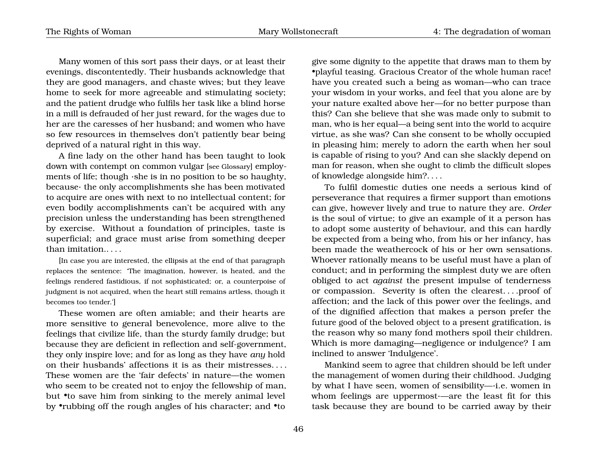Many women of this sort pass their days, or at least their evenings, discontentedly. Their husbands acknowledge that they are good managers, and chaste wives; but they leave home to seek for more agreeable and stimulating society; and the patient drudge who fulfils her task like a blind horse in a mill is defrauded of her just reward, for the wages due to her are the caresses of her husband; and women who have so few resources in themselves don't patiently bear being deprived of a natural right in this way.

A fine lady on the other hand has been taught to look down with contempt on common vulgar [see Glossary] employments of life; though ·she is in no position to be so haughty, because· the only accomplishments she has been motivated to acquire are ones with next to no intellectual content; for even bodily accomplishments can't be acquired with any precision unless the understanding has been strengthened by exercise. Without a foundation of principles, taste is superficial; and grace must arise from something deeper than imitation.. . . .

[In case you are interested, the ellipsis at the end of that paragraph replaces the sentence: 'The imagination, however, is heated, and the feelings rendered fastidious, if not sophisticated; or, a counterpoise of judgment is not acquired, when the heart still remains artless, though it becomes too tender.']

These women are often amiable; and their hearts are more sensitive to general benevolence, more alive to the feelings that civilize life, than the sturdy family drudge; but because they are deficient in reflection and self-government, they only inspire love; and for as long as they have *any* hold on their husbands' affections it is as their mistresses. . . . These women are the 'fair defects' in nature—the women who seem to be created not to enjoy the fellowship of man, but •to save him from sinking to the merely animal level by •rubbing off the rough angles of his character; and •to

give some dignity to the appetite that draws man to them by •playful teasing. Gracious Creator of the whole human race! have you created such a being as woman—who can trace your wisdom in your works, and feel that you alone are by your nature exalted above her—for no better purpose than this? Can she believe that she was made only to submit to man, who is her equal—a being sent into the world to acquire virtue, as she was? Can she consent to be wholly occupied in pleasing him; merely to adorn the earth when her soul is capable of rising to you? And can she slackly depend on man for reason, when she ought to climb the difficult slopes of knowledge alongside him?. . . .

To fulfil domestic duties one needs a serious kind of perseverance that requires a firmer support than emotions can give, however lively and true to nature they are. *Order* is the soul of virtue; to give an example of it a person has to adopt some austerity of behaviour, and this can hardly be expected from a being who, from his or her infancy, has been made the weathercock of his or her own sensations. Whoever rationally means to be useful must have a plan of conduct; and in performing the simplest duty we are often obliged to act *against* the present impulse of tenderness or compassion. Severity is often the clearest. . . .proof of affection; and the lack of this power over the feelings, and of the dignified affection that makes a person prefer the future good of the beloved object to a present gratification, is the reason why so many fond mothers spoil their children. Which is more damaging—negligence or indulgence? I am inclined to answer 'Indulgence'.

Mankind seem to agree that children should be left under the management of women during their childhood. Judging by what I have seen, women of sensibility—·i.e. women in whom feelings are uppermost·—are the least fit for this task because they are bound to be carried away by their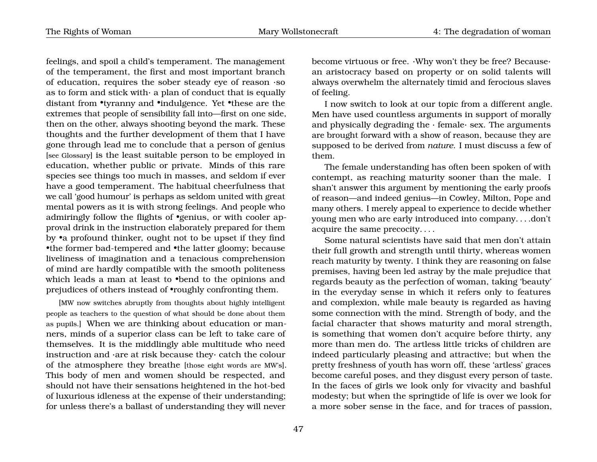feelings, and spoil a child's temperament. The management of the temperament, the first and most important branch of education, requires the sober steady eye of reason ·so as to form and stick with $\cdot$  a plan of conduct that is equally distant from •tyranny and •indulgence. Yet •these are the extremes that people of sensibility fall into—first on one side, then on the other, always shooting beyond the mark. These thoughts and the further development of them that I have gone through lead me to conclude that a person of genius [see Glossary] is the least suitable person to be employed in education, whether public or private. Minds of this rare species see things too much in masses, and seldom if ever have a good temperament. The habitual cheerfulness that we call 'good humour' is perhaps as seldom united with great mental powers as it is with strong feelings. And people who admiringly follow the flights of •genius, or with cooler approval drink in the instruction elaborately prepared for them by •a profound thinker, ought not to be upset if they find •the former bad-tempered and •the latter gloomy; because liveliness of imagination and a tenacious comprehension of mind are hardly compatible with the smooth politeness which leads a man at least to •bend to the opinions and prejudices of others instead of •roughly confronting them.

[MW now switches abruptly from thoughts about highly intelligent people as teachers to the question of what should be done about them as pupils.] When we are thinking about education or manners, minds of a superior class can be left to take care of themselves. It is the middlingly able multitude who need instruction and ·are at risk because they· catch the colour of the atmosphere they breathe [those eight words are MW's]. This body of men and women should be respected, and should not have their sensations heightened in the hot-bed of luxurious idleness at the expense of their understanding; for unless there's a ballast of understanding they will never

become virtuous or free. ·Why won't they be free? Because· an aristocracy based on property or on solid talents will always overwhelm the alternately timid and ferocious slaves of feeling.

I now switch to look at our topic from a different angle. Men have used countless arguments in support of morally and physically degrading the  $\cdot$  female $\cdot$  sex. The arguments are brought forward with a show of reason, because they are supposed to be derived from *nature*. I must discuss a few of them.

The female understanding has often been spoken of with contempt, as reaching maturity sooner than the male. I shan't answer this argument by mentioning the early proofs of reason—and indeed genius—in Cowley, Milton, Pope and many others. I merely appeal to experience to decide whether young men who are early introduced into company. . . .don't acquire the same precocity. . . .

Some natural scientists have said that men don't attain their full growth and strength until thirty, whereas women reach maturity by twenty. I think they are reasoning on false premises, having been led astray by the male prejudice that regards beauty as the perfection of woman, taking 'beauty' in the everyday sense in which it refers only to features and complexion, while male beauty is regarded as having some connection with the mind. Strength of body, and the facial character that shows maturity and moral strength, is something that women don't acquire before thirty, any more than men do. The artless little tricks of children are indeed particularly pleasing and attractive; but when the pretty freshness of youth has worn off, these 'artless' graces become careful poses, and they disgust every person of taste. In the faces of girls we look only for vivacity and bashful modesty; but when the springtide of life is over we look for a more sober sense in the face, and for traces of passion,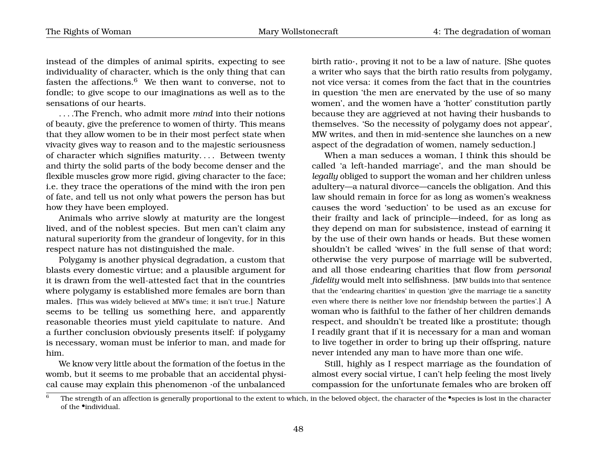instead of the dimples of animal spirits, expecting to see individuality of character, which is the only thing that can fasten the affections. $6$  We then want to converse, not to fondle; to give scope to our imaginations as well as to the sensations of our hearts.

. . . .The French, who admit more *mind* into their notions of beauty, give the preference to women of thirty. This means that they allow women to be in their most perfect state when vivacity gives way to reason and to the majestic seriousness of character which signifies maturity. . . . Between twenty and thirty the solid parts of the body become denser and the flexible muscles grow more rigid, giving character to the face; i.e. they trace the operations of the mind with the iron pen of fate, and tell us not only what powers the person has but how they have been employed.

Animals who arrive slowly at maturity are the longest lived, and of the noblest species. But men can't claim any natural superiority from the grandeur of longevity, for in this respect nature has not distinguished the male.

Polygamy is another physical degradation, a custom that blasts every domestic virtue; and a plausible argument for it is drawn from the well-attested fact that in the countries where polygamy is established more females are born than males. [This was widely believed at MW's time; it isn't true.] Nature seems to be telling us something here, and apparently reasonable theories must yield capitulate to nature. And a further conclusion obviously presents itself: if polygamy is necessary, woman must be inferior to man, and made for him.

We know very little about the formation of the foetus in the womb, but it seems to me probable that an accidental physical cause may explain this phenomenon ·of the unbalanced

birth ratio·, proving it not to be a law of nature. [She quotes a writer who says that the birth ratio results from polygamy, not vice versa: it comes from the fact that in the countries in question 'the men are enervated by the use of so many women', and the women have a 'hotter' constitution partly because they are aggrieved at not having their husbands to themselves. 'So the necessity of polygamy does not appear', MW writes, and then in mid-sentence she launches on a new aspect of the degradation of women, namely seduction.]

When a man seduces a woman, I think this should be called 'a left-handed marriage', and the man should be *legally* obliged to support the woman and her children unless adultery—a natural divorce—cancels the obligation. And this law should remain in force for as long as women's weakness causes the word 'seduction' to be used as an excuse for their frailty and lack of principle—indeed, for as long as they depend on man for subsistence, instead of earning it by the use of their own hands or heads. But these women shouldn't be called 'wives' in the full sense of that word; otherwise the very purpose of marriage will be subverted, and all those endearing charities that flow from *personal fidelity* would melt into selfishness. [MW builds into that sentence that the 'endearing charities' in question 'give the marriage tie a sanctity even where there is neither love nor friendship between the parties'.] A woman who is faithful to the father of her children demands respect, and shouldn't be treated like a prostitute; though I readily grant that if it is necessary for a man and woman to live together in order to bring up their offspring, nature never intended any man to have more than one wife.

Still, highly as I respect marriage as the foundation of almost every social virtue, I can't help feeling the most lively compassion for the unfortunate females who are broken off

<span id="page-51-0"></span>The strength of an affection is generally proportional to the extent to which, in the beloved object, the character of the •species is lost in the character of the •individual.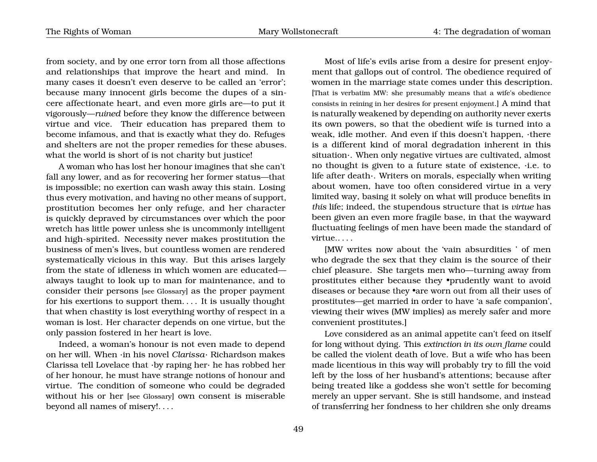from society, and by one error torn from all those affections and relationships that improve the heart and mind. In many cases it doesn't even deserve to be called an 'error'; because many innocent girls become the dupes of a sincere affectionate heart, and even more girls are—to put it vigorously—*ruined* before they know the difference between virtue and vice. Their education has prepared them to become infamous, and that is exactly what they do. Refuges and shelters are not the proper remedies for these abuses. what the world is short of is not charity but justice!

A woman who has lost her honour imagines that she can't fall any lower, and as for recovering her former status—that is impossible; no exertion can wash away this stain. Losing thus every motivation, and having no other means of support, prostitution becomes her only refuge, and her character is quickly depraved by circumstances over which the poor wretch has little power unless she is uncommonly intelligent and high-spirited. Necessity never makes prostitution the business of men's lives, but countless women are rendered systematically vicious in this way. But this arises largely from the state of idleness in which women are educated always taught to look up to man for maintenance, and to consider their persons [see Glossary] as the proper payment for his exertions to support them. . . . It is usually thought that when chastity is lost everything worthy of respect in a woman is lost. Her character depends on one virtue, but the only passion fostered in her heart is love.

Indeed, a woman's honour is not even made to depend on her will. When ·in his novel *Clarissa*· Richardson makes Clarissa tell Lovelace that ·by raping her· he has robbed her of her honour, he must have strange notions of honour and virtue. The condition of someone who could be degraded without his or her [see Glossary] own consent is miserable beyond all names of misery!. . . .

Most of life's evils arise from a desire for present enjoyment that gallops out of control. The obedience required of women in the marriage state comes under this description. [That is verbatim MW: she presumably means that a wife's obedience consists in reining in her desires for present enjoyment.] A mind that is naturally weakened by depending on authority never exerts its own powers, so that the obedient wife is turned into a weak, idle mother. And even if this doesn't happen, ·there is a different kind of moral degradation inherent in this situation·. When only negative virtues are cultivated, almost no thought is given to a future state of existence, ·i.e. to life after death·. Writers on morals, especially when writing about women, have too often considered virtue in a very limited way, basing it solely on what will produce benefits in *this* life; indeed, the stupendous structure that is *virtue* has been given an even more fragile base, in that the wayward fluctuating feelings of men have been made the standard of virtue.. . . .

[MW writes now about the 'vain absurdities ' of men who degrade the sex that they claim is the source of their chief pleasure. She targets men who—turning away from prostitutes either because they •prudently want to avoid diseases or because they •are worn out from all their uses of prostitutes—get married in order to have 'a safe companion', viewing their wives (MW implies) as merely safer and more convenient prostitutes.]

Love considered as an animal appetite can't feed on itself for long without dying. This *extinction in its own flame* could be called the violent death of love. But a wife who has been made licentious in this way will probably try to fill the void left by the loss of her husband's attentions; because after being treated like a goddess she won't settle for becoming merely an upper servant. She is still handsome, and instead of transferring her fondness to her children she only dreams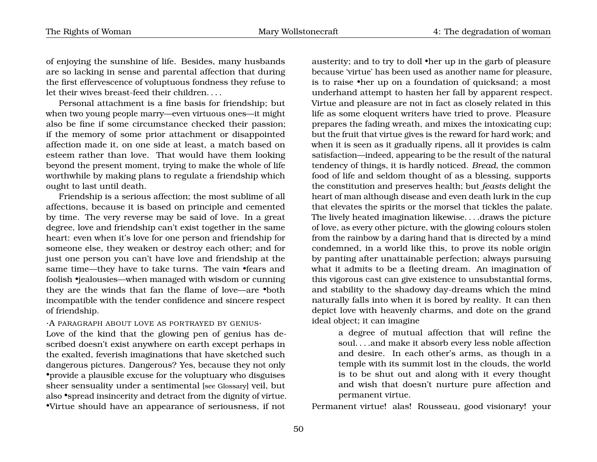of enjoying the sunshine of life. Besides, many husbands are so lacking in sense and parental affection that during the first effervescence of voluptuous fondness they refuse to let their wives breast-feed their children. . . .

Personal attachment is a fine basis for friendship; but when two young people marry—even virtuous ones—it might also be fine if some circumstance checked their passion; if the memory of some prior attachment or disappointed affection made it, on one side at least, a match based on esteem rather than love. That would have them looking beyond the present moment, trying to make the whole of life worthwhile by making plans to regulate a friendship which ought to last until death.

Friendship is a serious affection; the most sublime of all affections, because it is based on principle and cemented by time. The very reverse may be said of love. In a great degree, love and friendship can't exist together in the same heart: even when it's love for one person and friendship for someone else, they weaken or destroy each other; and for just one person you can't have love and friendship at the same time—they have to take turns. The vain •fears and foolish •jealousies—when managed with wisdom or cunning they are the winds that fan the flame of love—are •both incompatible with the tender confidence and sincere respect of friendship.

 $\cdot$ A PARAGRAPH ABOUT LOVE AS PORTRAYED BY GENIUS $\cdot$ 

Love of the kind that the glowing pen of genius has described doesn't exist anywhere on earth except perhaps in the exalted, feverish imaginations that have sketched such dangerous pictures. Dangerous? Yes, because they not only •provide a plausible excuse for the voluptuary who disguises sheer sensuality under a sentimental [see Glossary] veil, but also •spread insincerity and detract from the dignity of virtue. •Virtue should have an appearance of seriousness, if not

austerity; and to try to doll •her up in the garb of pleasure because 'virtue' has been used as another name for pleasure, is to raise •her up on a foundation of quicksand; a most underhand attempt to hasten her fall by apparent respect. Virtue and pleasure are not in fact as closely related in this life as some eloquent writers have tried to prove. Pleasure prepares the fading wreath, and mixes the intoxicating cup; but the fruit that virtue gives is the reward for hard work; and when it is seen as it gradually ripens, all it provides is calm satisfaction—indeed, appearing to be the result of the natural tendency of things, it is hardly noticed. *Bread*, the common food of life and seldom thought of as a blessing, supports the constitution and preserves health; but *feasts* delight the heart of man although disease and even death lurk in the cup that elevates the spirits or the morsel that tickles the palate. The lively heated imagination likewise. . . .draws the picture of love, as every other picture, with the glowing colours stolen from the rainbow by a daring hand that is directed by a mind condemned, in a world like this, to prove its noble origin by panting after unattainable perfection; always pursuing what it admits to be a fleeting dream. An imagination of this vigorous cast can give existence to unsubstantial forms, and stability to the shadowy day-dreams which the mind naturally falls into when it is bored by reality. It can then depict love with heavenly charms, and dote on the grand ideal object; it can imagine

> a degree of mutual affection that will refine the soul. . . .and make it absorb every less noble affection and desire. In each other's arms, as though in a temple with its summit lost in the clouds, the world is to be shut out and along with it every thought and wish that doesn't nurture pure affection and permanent virtue.

Permanent virtue! alas! Rousseau, good visionary! your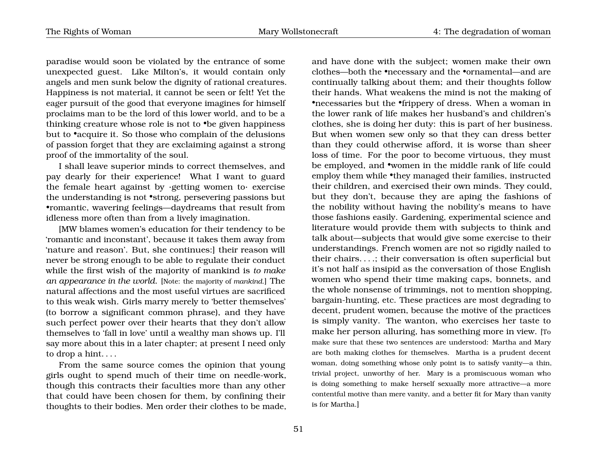paradise would soon be violated by the entrance of some unexpected guest. Like Milton's, it would contain only angels and men sunk below the dignity of rational creatures. Happiness is not material, it cannot be seen or felt! Yet the eager pursuit of the good that everyone imagines for himself proclaims man to be the lord of this lower world, and to be a thinking creature whose role is not to •be given happiness but to •acquire it. So those who complain of the delusions of passion forget that they are exclaiming against a strong proof of the immortality of the soul.

I shall leave superior minds to correct themselves, and pay dearly for their experience! What I want to guard the female heart against by ·getting women to· exercise the understanding is not •strong, persevering passions but •romantic, wavering feelings—daydreams that result from idleness more often than from a lively imagination.

[MW blames women's education for their tendency to be 'romantic and inconstant', because it takes them away from 'nature and reason'. But, she continues:] their reason will never be strong enough to be able to regulate their conduct while the first wish of the majority of mankind is *to make an appearance in the world*. [Note: the majority of *mankind*.] The natural affections and the most useful virtues are sacrificed to this weak wish. Girls marry merely to 'better themselves' (to borrow a significant common phrase), and they have such perfect power over their hearts that they don't allow themselves to 'fall in love' until a wealthy man shows up. I'll say more about this in a later chapter; at present I need only to drop a hint. . . .

From the same source comes the opinion that young girls ought to spend much of their time on needle-work, though this contracts their faculties more than any other that could have been chosen for them, by confining their thoughts to their bodies. Men order their clothes to be made,

and have done with the subject; women make their own clothes—both the •necessary and the •ornamental—and are continually talking about them; and their thoughts follow their hands. What weakens the mind is not the making of •necessaries but the •frippery of dress. When a woman in the lower rank of life makes her husband's and children's clothes, she is doing her duty: this is part of her business. But when women sew only so that they can dress better than they could otherwise afford, it is worse than sheer loss of time. For the poor to become virtuous, they must be employed, and •women in the middle rank of life could employ them while •they managed their families, instructed their children, and exercised their own minds. They could, but they don't, because they are aping the fashions of the nobility without having the nobility's means to have those fashions easily. Gardening, experimental science and literature would provide them with subjects to think and talk about—subjects that would give some exercise to their understandings. French women are not so rigidly nailed to their chairs. . . .; their conversation is often superficial but it's not half as insipid as the conversation of those English women who spend their time making caps, bonnets, and the whole nonsense of trimmings, not to mention shopping, bargain-hunting, etc. These practices are most degrading to decent, prudent women, because the motive of the practices is simply vanity. The wanton, who exercises her taste to make her person alluring, has something more in view. [To make sure that these two sentences are understood: Martha and Mary are both making clothes for themselves. Martha is a prudent decent woman, doing something whose only point is to satisfy vanity—a thin, trivial project, unworthy of her. Mary is a promiscuous woman who is doing something to make herself sexually more attractive—a more contentful motive than mere vanity, and a better fit for Mary than vanity is for Martha.]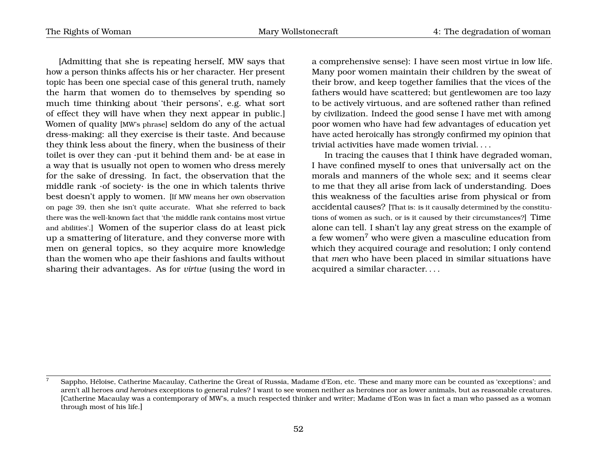[Admitting that she is repeating herself, MW says that how a person thinks affects his or her character. Her present topic has been one special case of this general truth, namely the harm that women do to themselves by spending so much time thinking about 'their persons', e.g. what sort of effect they will have when they next appear in public.] Women of quality [MW's phrase] seldom do any of the actual dress-making: all they exercise is their taste. And because they think less about the finery, when the business of their toilet is over they can ·put it behind them and· be at ease in a way that is usually not open to women who dress merely for the sake of dressing. In fact, the observation that the middle rank ·of society· is the one in which talents thrive best doesn't apply to women. [If MW means her own observation on page [39,](#page-39-1) then she isn't quite accurate. What she referred to back there was the well-known fact that 'the middle rank contains most virtue and abilities'.] Women of the superior class do at least pick up a smattering of literature, and they converse more with men on general topics, so they acquire more knowledge than the women who ape their fashions and faults without sharing their advantages. As for *virtue* (using the word in

a comprehensive sense): I have seen most virtue in low life. Many poor women maintain their children by the sweat of their brow, and keep together families that the vices of the fathers would have scattered; but gentlewomen are too lazy to be actively virtuous, and are softened rather than refined by civilization. Indeed the good sense I have met with among poor women who have had few advantages of education yet have acted heroically has strongly confirmed my opinion that trivial activities have made women trivial. . . .

In tracing the causes that I think have degraded woman, I have confined myself to ones that universally act on the morals and manners of the whole sex; and it seems clear to me that they all arise from lack of understanding. Does this weakness of the faculties arise from physical or from accidental causes? [That is: is it causally determined by the constitutions of women as such, or is it caused by their circumstances?] Time alone can tell. I shan't lay any great stress on the example of a few women[7](#page-55-0) who were given a masculine education from which they acquired courage and resolution; I only contend that *men* who have been placed in similar situations have acquired a similar character. . . .

<span id="page-55-0"></span><sup>7</sup> Sappho, Héloise, Catherine Macaulay, Catherine the Great of Russia, Madame d'Eon, etc. These and many more can be counted as 'exceptions'; and aren't all heroes *and heroines* exceptions to general rules? I want to see women neither as heroines nor as lower animals, but as reasonable creatures. [Catherine Macaulay was a contemporary of MW's, a much respected thinker and writer; Madame d'Eon was in fact a man who passed as a woman through most of his life.]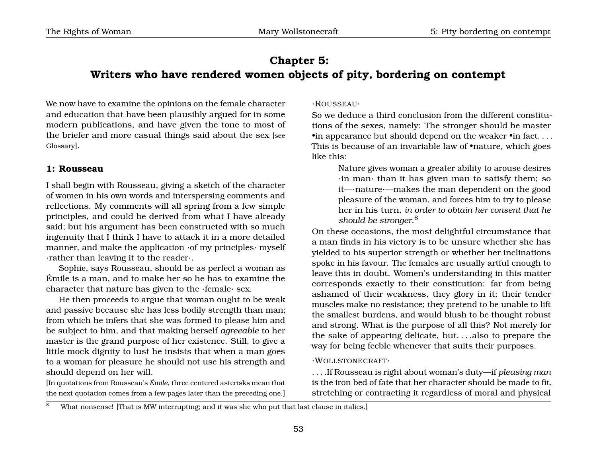# **Chapter 5: Writers who have rendered women objects of pity, bordering on contempt**

We now have to examine the opinions on the female character and education that have been plausibly argued for in some modern publications, and have given the tone to most of the briefer and more casual things said about the sex [see Glossary].

## **1: Rousseau**

I shall begin with Rousseau, giving a sketch of the character of women in his own words and interspersing comments and reflections. My comments will all spring from a few simple principles, and could be derived from what I have already said; but his argument has been constructed with so much ingenuity that I think I have to attack it in a more detailed manner, and make the application ·of my principles· myself ·rather than leaving it to the reader·.

Sophie, says Rousseau, should be as perfect a woman as Émile is a man, and to make her so he has to examine the character that nature has given to the ·female· sex.

He then proceeds to argue that woman ought to be weak and passive because she has less bodily strength than man; from which he infers that she was formed to please him and be subject to him, and that making herself *agreeable* to her master is the grand purpose of her existence. Still, to give a little mock dignity to lust he insists that when a man goes to a woman for pleasure he should not use his strength and should depend on her will.

[In quotations from Rousseau's *Émile*, three centered asterisks mean that the next quotation comes from a few pages later than the preceding one.] ·ROUSSEAU·

So we deduce a third conclusion from the different constitutions of the sexes, namely: The stronger should be master  $\bullet$  in appearance but should depend on the weaker  $\bullet$  in fact.  $\ldots$ This is because of an invariable law of •nature, which goes like this:

> Nature gives woman a greater ability to arouse desires ·in man· than it has given man to satisfy them; so it—·nature·—makes the man dependent on the good pleasure of the woman, and forces him to try to please her in his turn, *in order to obtain her consent that he should be stronger*. [8](#page-56-0)

On these occasions, the most delightful circumstance that a man finds in his victory is to be unsure whether she has yielded to his superior strength or whether her inclinations spoke in his favour. The females are usually artful enough to leave this in doubt. Women's understanding in this matter corresponds exactly to their constitution: far from being ashamed of their weakness, they glory in it; their tender muscles make no resistance; they pretend to be unable to lift the smallest burdens, and would blush to be thought robust and strong. What is the purpose of all this? Not merely for the sake of appearing delicate, but. . . .also to prepare the way for being feeble whenever that suits their purposes.

#### ·WOLLSTONECRAFT·

. . . .If Rousseau is right about woman's duty—if *pleasing man* is the iron bed of fate that her character should be made to fit, stretching or contracting it regardless of moral and physical

<span id="page-56-0"></span>What nonsense! [That is MW interrupting; and it was she who put that last clause in italics.]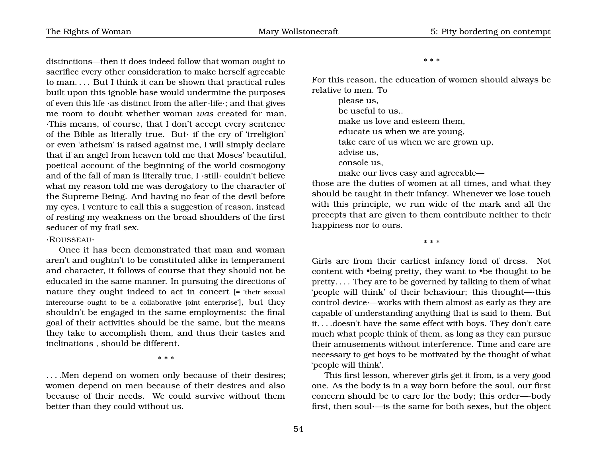distinctions—then it does indeed follow that woman ought to sacrifice every other consideration to make herself agreeable to man. . . . But I think it can be shown that practical rules built upon this ignoble base would undermine the purposes of even this life ·as distinct from the after-life·; and that gives me room to doubt whether woman *was* created for man. ·This means, of course, that I don't accept every sentence of the Bible as literally true. But· if the cry of 'irreligion' or even 'atheism' is raised against me, I will simply declare that if an angel from heaven told me that Moses' beautiful, poetical account of the beginning of the world cosmogony and of the fall of man is literally true, I ·still· couldn't believe what my reason told me was derogatory to the character of the Supreme Being. And having no fear of the devil before my eyes, I venture to call this a suggestion of reason, instead of resting my weakness on the broad shoulders of the first seducer of my frail sex.

## ·ROUSSEAU·

Once it has been demonstrated that man and woman aren't and oughtn't to be constituted alike in temperament and character, it follows of course that they should not be educated in the same manner. In pursuing the directions of nature they ought indeed to act in concert [= 'their sexual intercourse ought to be a collaborative joint enterprise'], but they shouldn't be engaged in the same employments: the final goal of their activities should be the same, but the means they take to accomplish them, and thus their tastes and inclinations , should be different.

\* \* \*

. . . .Men depend on women only because of their desires; women depend on men because of their desires and also because of their needs. We could survive without them better than they could without us.

#### \* \* \*

For this reason, the education of women should always be relative to men. To

> please us, be useful to us,. make us love and esteem them, educate us when we are young, take care of us when we are grown up, advise us, console us, make our lives easy and agreeable—

those are the duties of women at all times, and what they should be taught in their infancy. Whenever we lose touch with this principle, we run wide of the mark and all the precepts that are given to them contribute neither to their happiness nor to ours.

\* \* \*

Girls are from their earliest infancy fond of dress. Not content with •being pretty, they want to •be thought to be pretty. . . . They are to be governed by talking to them of what 'people will think' of their behaviour; this thought—·this control-device·—works with them almost as early as they are capable of understanding anything that is said to them. But it. . . .doesn't have the same effect with boys. They don't care much what people think of them, as long as they can pursue their amusements without interference. Time and care are necessary to get boys to be motivated by the thought of what 'people will think'.

This first lesson, wherever girls get it from, is a very good one. As the body is in a way born before the soul, our first concern should be to care for the body; this order—·body first, then soul·—is the same for both sexes, but the object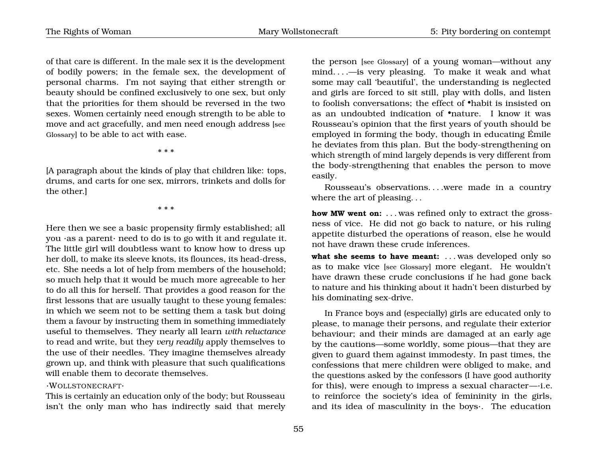of that care is different. In the male sex it is the development of bodily powers; in the female sex, the development of personal charms. I'm not saying that either strength or beauty should be confined exclusively to one sex, but only that the priorities for them should be reversed in the two sexes. Women certainly need enough strength to be able to move and act gracefully, and men need enough address [see Glossary] to be able to act with ease.

\* \* \*

[A paragraph about the kinds of play that children like: tops, drums, and carts for one sex, mirrors, trinkets and dolls for the other.]

\* \* \*

Here then we see a basic propensity firmly established; all you ·as a parent· need to do is to go with it and regulate it. The little girl will doubtless want to know how to dress up her doll, to make its sleeve knots, its flounces, its head-dress, etc. She needs a lot of help from members of the household; so much help that it would be much more agreeable to her to do all this for herself. That provides a good reason for the first lessons that are usually taught to these young females: in which we seem not to be setting them a task but doing them a favour by instructing them in something immediately useful to themselves. They nearly all learn *with reluctance* to read and write, but they *very readily* apply themselves to the use of their needles. They imagine themselves already grown up, and think with pleasure that such qualifications will enable them to decorate themselves.

## ·WOLLSTONECRAFT·

This is certainly an education only of the body; but Rousseau isn't the only man who has indirectly said that merely the person [see Glossary] of a young woman—without any mind. . . .—is very pleasing. To make it weak and what some may call 'beautiful', the understanding is neglected and girls are forced to sit still, play with dolls, and listen to foolish conversations; the effect of •habit is insisted on as an undoubted indication of •nature. I know it was Rousseau's opinion that the first years of youth should be employed in forming the body, though in educating Émile he deviates from this plan. But the body-strengthening on which strength of mind largely depends is very different from the body-strengthening that enables the person to move easily.

Rousseau's observations. . . .were made in a country where the art of pleasing. . .

**how MW went on:** . . . was refined only to extract the grossness of vice. He did not go back to nature, or his ruling appetite disturbed the operations of reason, else he would not have drawn these crude inferences.

what she seems to have meant: ... was developed only so as to make vice [see Glossary] more elegant. He wouldn't have drawn these crude conclusions if he had gone back to nature and his thinking about it hadn't been disturbed by his dominating sex-drive.

In France boys and (especially) girls are educated only to please, to manage their persons, and regulate their exterior behaviour; and their minds are damaged at an early age by the cautions—some worldly, some pious—that they are given to guard them against immodesty. In past times, the confessions that mere children were obliged to make, and the questions asked by the confessors (I have good authority for this), were enough to impress a sexual character—·i.e. to reinforce the society's idea of femininity in the girls, and its idea of masculinity in the boys·. The education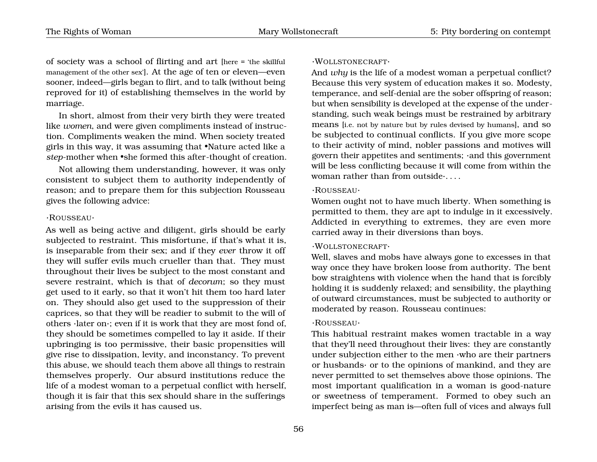of society was a school of flirting and art [here = 'the skillful management of the other sex']. At the age of ten or eleven—even sooner, indeed—girls began to flirt, and to talk (without being reproved for it) of establishing themselves in the world by marriage.

In short, almost from their very birth they were treated like *women*, and were given compliments instead of instruction. Compliments weaken the mind. When society treated girls in this way, it was assuming that •Nature acted like a *step*-mother when •she formed this after-thought of creation.

Not allowing them understanding, however, it was only consistent to subject them to authority independently of reason; and to prepare them for this subjection Rousseau gives the following advice:

#### ·ROUSSEAU·

As well as being active and diligent, girls should be early subjected to restraint. This misfortune, if that's what it is, is inseparable from their sex; and if they *ever* throw it off they will suffer evils much crueller than that. They must throughout their lives be subject to the most constant and severe restraint, which is that of *decorum*; so they must get used to it early, so that it won't hit them too hard later on. They should also get used to the suppression of their caprices, so that they will be readier to submit to the will of others ·later on·; even if it is work that they are most fond of, they should be sometimes compelled to lay it aside. If their upbringing is too permissive, their basic propensities will give rise to dissipation, levity, and inconstancy. To prevent this abuse, we should teach them above all things to restrain themselves properly. Our absurd institutions reduce the life of a modest woman to a perpetual conflict with herself, though it is fair that this sex should share in the sufferings arising from the evils it has caused us.

#### ·WOLLSTONECRAFT·

And *why* is the life of a modest woman a perpetual conflict? Because this very system of education makes it so. Modesty, temperance, and self-denial are the sober offspring of reason; but when sensibility is developed at the expense of the understanding, such weak beings must be restrained by arbitrary means [i.e. not by nature but by rules devised by humans], and so be subjected to continual conflicts. If you give more scope to their activity of mind, nobler passions and motives will govern their appetites and sentiments; ·and this government will be less conflicting because it will come from within the woman rather than from outside·. . . .

### ·ROUSSEAU·

Women ought not to have much liberty. When something is permitted to them, they are apt to indulge in it excessively. Addicted in everything to extremes, they are even more carried away in their diversions than boys.

### ·WOLLSTONECRAFT·

Well, slaves and mobs have always gone to excesses in that way once they have broken loose from authority. The bent bow straightens with violence when the hand that is forcibly holding it is suddenly relaxed; and sensibility, the plaything of outward circumstances, must be subjected to authority or moderated by reason. Rousseau continues:

#### ·ROUSSEAU·

This habitual restraint makes women tractable in a way that they'll need throughout their lives: they are constantly under subjection either to the men ·who are their partners or husbands· or to the opinions of mankind, and they are never permitted to set themselves above those opinions. The most important qualification in a woman is good-nature or sweetness of temperament. Formed to obey such an imperfect being as man is—often full of vices and always full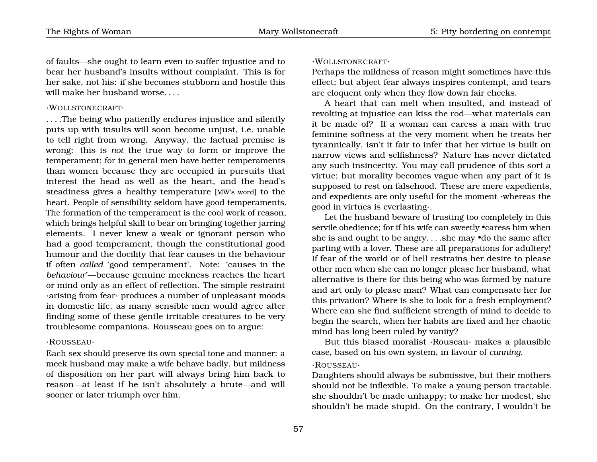of faults—she ought to learn even to suffer injustice and to bear her husband's insults without complaint. This is for her sake, not his: if she becomes stubborn and hostile this will make her husband worse. . . .

## ·WOLLSTONECRAFT·

. . . .The being who patiently endures injustice and silently puts up with insults will soon become unjust, i.e. unable to tell right from wrong. Anyway, the factual premise is wrong: this is *not* the true way to form or improve the temperament; for in general men have better temperaments than women because they are occupied in pursuits that interest the head as well as the heart, and the head's steadiness gives a healthy temperature [MW's word] to the heart. People of sensibility seldom have good temperaments. The formation of the temperament is the cool work of reason, which brings helpful skill to bear on bringing together jarring elements. I never knew a weak or ignorant person who had a good temperament, though the constitutional good humour and the docility that fear causes in the behaviour if often *called* 'good temperament'. Note: 'causes in the *behaviour*'—because genuine meekness reaches the heart or mind only as an effect of reflection. The simple restraint ·arising from fear· produces a number of unpleasant moods in domestic life, as many sensible men would agree after finding some of these gentle irritable creatures to be very troublesome companions. Rousseau goes on to argue:

#### ·ROUSSEAU·

Each sex should preserve its own special tone and manner: a meek husband may make a wife behave badly, but mildness of disposition on her part will always bring him back to reason—at least if he isn't absolutely a brute—and will sooner or later triumph over him.

#### ·WOLLSTONECRAFT·

Perhaps the mildness of reason might sometimes have this effect; but abject fear always inspires contempt, and tears are eloquent only when they flow down fair cheeks.

A heart that can melt when insulted, and instead of revolting at injustice can kiss the rod—what materials can it be made of? If a woman can caress a man with true feminine softness at the very moment when he treats her tyrannically, isn't it fair to infer that her virtue is built on narrow views and selfishness? Nature has never dictated any such insincerity. You may call prudence of this sort a virtue; but morality becomes vague when any part of it is supposed to rest on falsehood. These are mere expedients, and expedients are only useful for the moment ·whereas the good in virtues is everlasting·.

Let the husband beware of trusting too completely in this servile obedience; for if his wife can sweetly •caress him when she is and ought to be angry. . . .she may •do the same after parting with a lover. These are all preparations for adultery! If fear of the world or of hell restrains her desire to please other men when she can no longer please her husband, what alternative is there for this being who was formed by nature and art only to please man? What can compensate her for this privation? Where is she to look for a fresh employment? Where can she find sufficient strength of mind to decide to begin the search, when her habits are fixed and her chaotic mind has long been ruled by vanity?

But this biased moralist ·Rouseau· makes a plausible case, based on his own system, in favour of *cunning*. ·ROUSSEAU·

Daughters should always be submissive, but their mothers should not be inflexible. To make a young person tractable, she shouldn't be made unhappy; to make her modest, she shouldn't be made stupid. On the contrary, I wouldn't be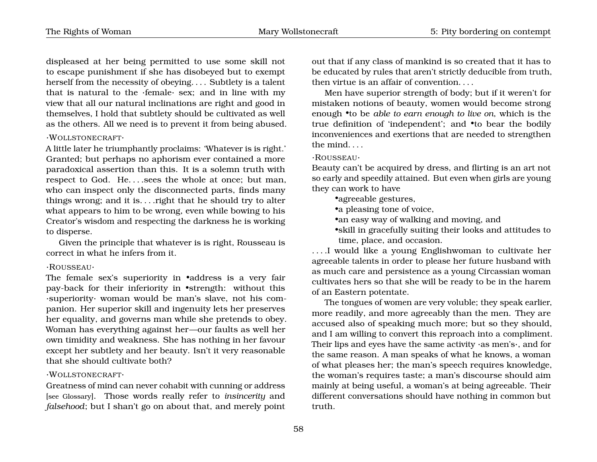displeased at her being permitted to use some skill not to escape punishment if she has disobeyed but to exempt herself from the necessity of obeying. . . . Subtlety is a talent that is natural to the ·female· sex; and in line with my view that all our natural inclinations are right and good in themselves, I hold that subtlety should be cultivated as well as the others. All we need is to prevent it from being abused.

#### ·WOLLSTONECRAFT·

A little later he triumphantly proclaims: 'Whatever is is right.' Granted; but perhaps no aphorism ever contained a more paradoxical assertion than this. It is a solemn truth with respect to God. He... sees the whole at once; but man, who can inspect only the disconnected parts, finds many things wrong; and it is... .right that he should try to alter what appears to him to be wrong, even while bowing to his Creator's wisdom and respecting the darkness he is working to disperse.

Given the principle that whatever is is right, Rousseau is correct in what he infers from it.

#### ·ROUSSEAU·

The female sex's superiority in •address is a very fair pay-back for their inferiority in •strength: without this ·superiority· woman would be man's slave, not his companion. Her superior skill and ingenuity lets her preserves her equality, and governs man while she pretends to obey. Woman has everything against her—our faults as well her own timidity and weakness. She has nothing in her favour except her subtlety and her beauty. Isn't it very reasonable that she should cultivate both?

#### ·WOLLSTONECRAFT·

Greatness of mind can never cohabit with cunning or address [see Glossary]. Those words really refer to *insincerity* and *falsehood*; but I shan't go on about that, and merely point

out that if any class of mankind is so created that it has to be educated by rules that aren't strictly deducible from truth, then virtue is an affair of convention. . . .

Men have superior strength of body; but if it weren't for mistaken notions of beauty, women would become strong enough •to be *able to earn enough to live on*, which is the true definition of 'independent'; and •to bear the bodily inconveniences and exertions that are needed to strengthen the mind. . . .

#### ·ROUSSEAU·

Beauty can't be acquired by dress, and flirting is an art not so early and speedily attained. But even when girls are young they can work to have

•agreeable gestures,

•a pleasing tone of voice,

•an easy way of walking and moving, and

•skill in gracefully suiting their looks and attitudes to time, place, and occasion.

. . . .I would like a young Englishwoman to cultivate her agreeable talents in order to please her future husband with as much care and persistence as a young Circassian woman cultivates hers so that she will be ready to be in the harem of an Eastern potentate.

The tongues of women are very voluble; they speak earlier, more readily, and more agreeably than the men. They are accused also of speaking much more; but so they should, and I am willing to convert this reproach into a compliment. Their lips and eyes have the same activity ·as men's·, and for the same reason. A man speaks of what he knows, a woman of what pleases her; the man's speech requires knowledge, the woman's requires taste; a man's discourse should aim mainly at being useful, a woman's at being agreeable. Their different conversations should have nothing in common but truth.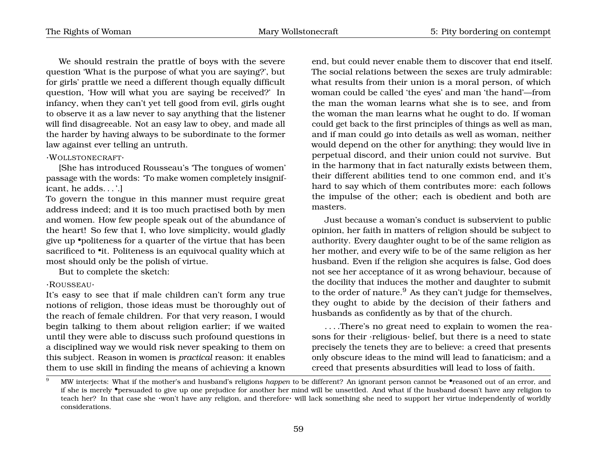We should restrain the prattle of boys with the severe question 'What is the purpose of what you are saying?', but for girls' prattle we need a different though equally difficult question, 'How will what you are saying be received?' In infancy, when they can't yet tell good from evil, girls ought to observe it as a law never to say anything that the listener will find disagreeable. Not an easy law to obey, and made all the harder by having always to be subordinate to the former law against ever telling an untruth.

#### ·WOLLSTONECRAFT·

[She has introduced Rousseau's 'The tongues of women' passage with the words: 'To make women completely insignificant, he adds. . . '.]

To govern the tongue in this manner must require great address indeed; and it is too much practised both by men and women. How few people speak out of the abundance of the heart! So few that I, who love simplicity, would gladly give up •politeness for a quarter of the virtue that has been sacrificed to •it. Politeness is an equivocal quality which at most should only be the polish of virtue.

But to complete the sketch:

#### ·ROUSSEAU·

It's easy to see that if male children can't form any true notions of religion, those ideas must be thoroughly out of the reach of female children. For that very reason, I would begin talking to them about religion earlier; if we waited until they were able to discuss such profound questions in a disciplined way we would risk never speaking to them on this subject. Reason in women is *practical* reason: it enables them to use skill in finding the means of achieving a known

end, but could never enable them to discover that end itself. The social relations between the sexes are truly admirable: what results from their union is a moral person, of which woman could be called 'the eyes' and man 'the hand'—from the man the woman learns what she is to see, and from the woman the man learns what he ought to do. If woman could get back to the first principles of things as well as man, and if man could go into details as well as woman, neither would depend on the other for anything; they would live in perpetual discord, and their union could not survive. But in the harmony that in fact naturally exists between them, their different abilities tend to one common end, and it's hard to say which of them contributes more: each follows the impulse of the other; each is obedient and both are masters.

Just because a woman's conduct is subservient to public opinion, her faith in matters of religion should be subject to authority. Every daughter ought to be of the same religion as her mother, and every wife to be of the same religion as her husband. Even if the religion she acquires is false, God does not see her acceptance of it as wrong behaviour, because of the docility that induces the mother and daughter to submit to the order of nature. $9$  As they can't judge for themselves, they ought to abide by the decision of their fathers and husbands as confidently as by that of the church.

. . . .There's no great need to explain to women the reasons for their ·religious· belief, but there is a need to state precisely the tenets they are to believe: a creed that presents only obscure ideas to the mind will lead to fanaticism; and a creed that presents absurdities will lead to loss of faith.

<span id="page-62-0"></span><sup>9</sup> MW interjects: What if the mother's and husband's religions *happen* to be different? An ignorant person cannot be •reasoned out of an error, and if she is merely •persuaded to give up one prejudice for another her mind will be unsettled. And what if the husband doesn't have any religion to teach her? In that case she ·won't have any religion, and therefore· will lack something she need to support her virtue independently of worldly considerations.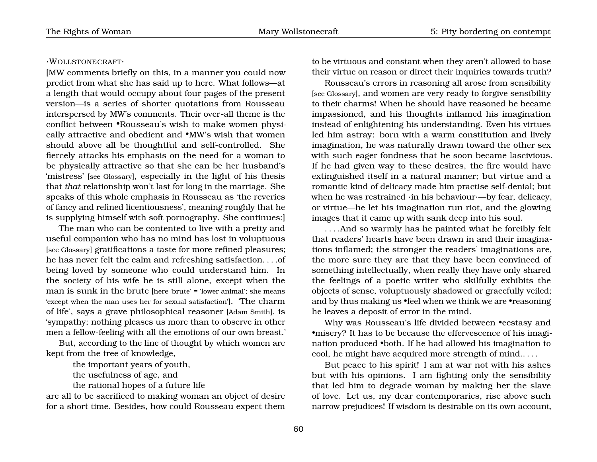#### ·WOLLSTONECRAFT·

[MW comments briefly on this, in a manner you could now predict from what she has said up to here. What follows—at a length that would occupy about four pages of the present version—is a series of shorter quotations from Rousseau interspersed by MW's comments. Their over-all theme is the conflict between •Rousseau's wish to make women physically attractive and obedient and •MW's wish that women should above all be thoughtful and self-controlled. She fiercely attacks his emphasis on the need for a woman to be physically attractive so that she can be her husband's 'mistress' [see Glossary], especially in the light of his thesis that *that* relationship won't last for long in the marriage. She speaks of this whole emphasis in Rousseau as 'the reveries of fancy and refined licentiousness', meaning roughly that he is supplying himself with soft pornography. She continues:]

The man who can be contented to live with a pretty and useful companion who has no mind has lost in voluptuous [see Glossary] gratifications a taste for more refined pleasures; he has never felt the calm and refreshing satisfaction. . . .of being loved by someone who could understand him. In the society of his wife he is still alone, except when the man is sunk in the brute [here 'brute' = 'lower animal'; she means 'except when the man uses her for sexual satisfaction']. 'The charm of life', says a grave philosophical reasoner [Adam Smith], is 'sympathy; nothing pleases us more than to observe in other men a fellow-feeling with all the emotions of our own breast.'

But, according to the line of thought by which women are kept from the tree of knowledge,

the important years of youth,

the usefulness of age, and

the rational hopes of a future life

are all to be sacrificed to making woman an object of desire for a short time. Besides, how could Rousseau expect them to be virtuous and constant when they aren't allowed to base their virtue on reason or direct their inquiries towards truth?

Rousseau's errors in reasoning all arose from sensibility [see Glossary], and women are very ready to forgive sensibility to their charms! When he should have reasoned he became impassioned, and his thoughts inflamed his imagination instead of enlightening his understanding. Even his virtues led him astray: born with a warm constitution and lively imagination, he was naturally drawn toward the other sex with such eager fondness that he soon became lascivious. If he had given way to these desires, the fire would have extinguished itself in a natural manner; but virtue and a romantic kind of delicacy made him practise self-denial; but when he was restrained ·in his behaviour·—by fear, delicacy, or virtue—he let his imagination run riot, and the glowing images that it came up with sank deep into his soul.

. . . .And so warmly has he painted what he forcibly felt that readers' hearts have been drawn in and their imaginations inflamed; the stronger the readers' imaginations are, the more sure they are that they have been convinced of something intellectually, when really they have only shared the feelings of a poetic writer who skilfully exhibits the objects of sense, voluptuously shadowed or gracefully veiled; and by thus making us •feel when we think we are •reasoning he leaves a deposit of error in the mind.

Why was Rousseau's life divided between •ecstasy and •misery? It has to be because the effervescence of his imagination produced •both. If he had allowed his imagination to cool, he might have acquired more strength of mind.. . . .

But peace to his spirit! I am at war not with his ashes but with his opinions. I am fighting only the sensibility that led him to degrade woman by making her the slave of love. Let us, my dear contemporaries, rise above such narrow prejudices! If wisdom is desirable on its own account,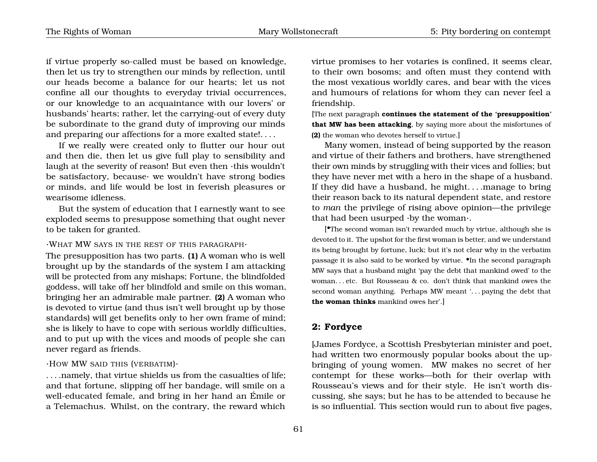if virtue properly so-called must be based on knowledge, then let us try to strengthen our minds by reflection, until our heads become a balance for our hearts; let us not confine all our thoughts to everyday trivial occurrences, or our knowledge to an acquaintance with our lovers' or husbands' hearts; rather, let the carrying-out of every duty be subordinate to the grand duty of improving our minds and preparing our affections for a more exalted state!. . . .

If we really were created only to flutter our hour out and then die, then let us give full play to sensibility and laugh at the severity of reason! But even then ·this wouldn't be satisfactory, because· we wouldn't have strong bodies or minds, and life would be lost in feverish pleasures or wearisome idleness.

But the system of education that I earnestly want to see exploded seems to presuppose something that ought never to be taken for granted.

·WHAT MW SAYS IN THE REST OF THIS PARAGRAPH·

The presupposition has two parts. **(1)** A woman who is well brought up by the standards of the system I am attacking will be protected from any mishaps; Fortune, the blindfolded goddess, will take off her blindfold and smile on this woman, bringing her an admirable male partner. **(2)** A woman who is devoted to virtue (and thus isn't well brought up by those standards) will get benefits only to her own frame of mind; she is likely to have to cope with serious worldly difficulties, and to put up with the vices and moods of people she can never regard as friends.

·HOW MW SAID THIS (VERBATIM)·

. . . .namely, that virtue shields us from the casualties of life; and that fortune, slipping off her bandage, will smile on a well-educated female, and bring in her hand an Émile or a Telemachus. Whilst, on the contrary, the reward which virtue promises to her votaries is confined, it seems clear, to their own bosoms; and often must they contend with the most vexatious worldly cares, and bear with the vices and humours of relations for whom they can never feel a friendship.

[The next paragraph **continues the statement of the 'presupposition' that MW has been attacking**, by saying more about the misfortunes of **(2)** the woman who devotes herself to virtue.]

Many women, instead of being supported by the reason and virtue of their fathers and brothers, have strengthened their own minds by struggling with their vices and follies; but they have never met with a hero in the shape of a husband. If they did have a husband, he might. . . .manage to bring their reason back to its natural dependent state, and restore to *man* the privilege of rising above opinion—the privilege that had been usurped ·by the woman·.

[•The second woman isn't rewarded much by virtue, although she is devoted to it. The upshot for the first woman is better, and we understand its being brought by fortune, luck; but it's not clear why in the verbatim passage it is also said to be worked by virtue. •In the second paragraph MW says that a husband might 'pay the debt that mankind owed' to the woman. . . etc. But Rousseau & co. don't think that mankind owes the second woman anything. Perhaps MW meant '... paying the debt that **the woman thinks** mankind owes her'.]

# **2: Fordyce**

[James Fordyce, a Scottish Presbyterian minister and poet, had written two enormously popular books about the upbringing of young women. MW makes no secret of her contempt for these works—both for their overlap with Rousseau's views and for their style. He isn't worth discussing, she says; but he has to be attended to because he is so influential. This section would run to about five pages,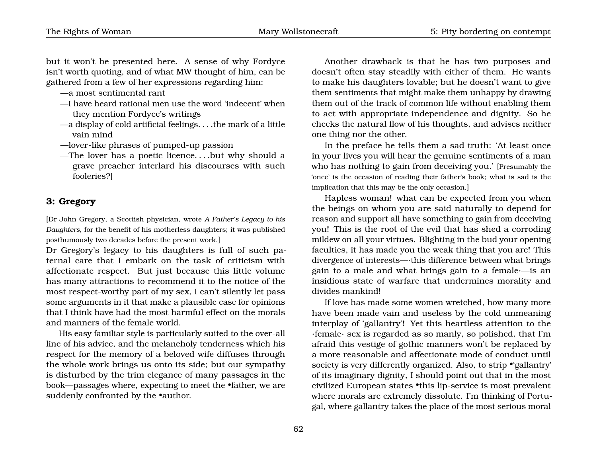but it won't be presented here. A sense of why Fordyce isn't worth quoting, and of what MW thought of him, can be gathered from a few of her expressions regarding him:

- —a most sentimental rant
- —I have heard rational men use the word 'indecent' when they mention Fordyce's writings
- —a display of cold artificial feelings. . . .the mark of a little vain mind
- —lover-like phrases of pumped-up passion
- —The lover has a poetic licence. . . .but why should a grave preacher interlard his discourses with such fooleries?]

## **3: Gregory**

[Dr John Gregory, a Scottish physician, wrote *A Father's Legacy to his Daughters*, for the benefit of his motherless daughters; it was published posthumously two decades before the present work.]

Dr Gregory's legacy to his daughters is full of such paternal care that I embark on the task of criticism with affectionate respect. But just because this little volume has many attractions to recommend it to the notice of the most respect-worthy part of my sex, I can't silently let pass some arguments in it that make a plausible case for opinions that I think have had the most harmful effect on the morals and manners of the female world.

His easy familiar style is particularly suited to the over-all line of his advice, and the melancholy tenderness which his respect for the memory of a beloved wife diffuses through the whole work brings us onto its side; but our sympathy is disturbed by the trim elegance of many passages in the book—passages where, expecting to meet the •father, we are suddenly confronted by the •author.

Another drawback is that he has two purposes and doesn't often stay steadily with either of them. He wants to make his daughters lovable; but he doesn't want to give them sentiments that might make them unhappy by drawing them out of the track of common life without enabling them to act with appropriate independence and dignity. So he checks the natural flow of his thoughts, and advises neither one thing nor the other.

In the preface he tells them a sad truth: 'At least once in your lives you will hear the genuine sentiments of a man who has nothing to gain from deceiving you.' [Presumably the 'once' is the occasion of reading their father's book; what is sad is the implication that this may be the only occasion.]

Hapless woman! what can be expected from you when the beings on whom you are said naturally to depend for reason and support all have something to gain from deceiving you! This is the root of the evil that has shed a corroding mildew on all your virtues. Blighting in the bud your opening faculties, it has made you the weak thing that you are! This divergence of interests—·this difference between what brings gain to a male and what brings gain to a female·—is an insidious state of warfare that undermines morality and divides mankind!

If love has made some women wretched, how many more have been made vain and useless by the cold unmeaning interplay of 'gallantry'! Yet this heartless attention to the ·female· sex is regarded as so manly, so polished, that I'm afraid this vestige of gothic manners won't be replaced by a more reasonable and affectionate mode of conduct until society is very differently organized. Also, to strip •'gallantry' of its imaginary dignity, I should point out that in the most civilized European states •this lip-service is most prevalent where morals are extremely dissolute. I'm thinking of Portugal, where gallantry takes the place of the most serious moral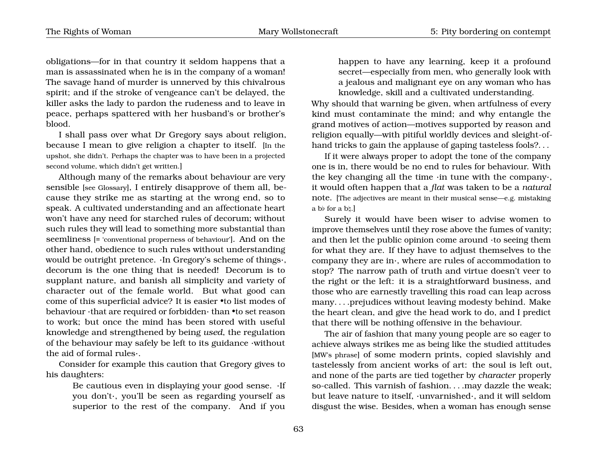The Rights of Woman Mary Wollstonecraft 5: Pity bordering on contempt

obligations—for in that country it seldom happens that a man is assassinated when he is in the company of a woman! The savage hand of murder is unnerved by this chivalrous spirit; and if the stroke of vengeance can't be delayed, the killer asks the lady to pardon the rudeness and to leave in peace, perhaps spattered with her husband's or brother's blood.

I shall pass over what Dr Gregory says about religion, because I mean to give religion a chapter to itself. [In the upshot, she didn't. Perhaps the chapter was to have been in a projected second volume, which didn't get written.]

Although many of the remarks about behaviour are very sensible [see Glossary], I entirely disapprove of them all, because they strike me as starting at the wrong end, so to speak. A cultivated understanding and an affectionate heart won't have any need for starched rules of decorum; without such rules they will lead to something more substantial than seemliness [= 'conventional properness of behaviour']. And on the other hand, obedience to such rules without understanding would be outright pretence. ·In Gregory's scheme of things·, decorum is the one thing that is needed! Decorum is to supplant nature, and banish all simplicity and variety of character out of the female world. But what good can come of this superficial advice? It is easier •to list modes of behaviour ·that are required or forbidden· than •to set reason to work; but once the mind has been stored with useful knowledge and strengthened by being *used*, the regulation of the behaviour may safely be left to its guidance ·without the aid of formal rules·.

Consider for example this caution that Gregory gives to his daughters:

> Be cautious even in displaying your good sense. ·If you don't·, you'll be seen as regarding yourself as superior to the rest of the company. And if you

happen to have any learning, keep it a profound secret—especially from men, who generally look with a jealous and malignant eye on any woman who has knowledge, skill and a cultivated understanding.

Why should that warning be given, when artfulness of every kind must contaminate the mind; and why entangle the grand motives of action—motives supported by reason and religion equally—with pitiful worldly devices and sleight-ofhand tricks to gain the applause of gaping tasteless fools?. . .

If it were always proper to adopt the tone of the company one is in, there would be no end to rules for behaviour. With the key changing all the time ·in tune with the company·, it would often happen that a *flat* was taken to be a *natural* note. [The adjectives are meant in their musical sense—e.g. mistaking a b $\frac{1}{2}$  for a b $\frac{1}{2}$ .]

Surely it would have been wiser to advise women to improve themselves until they rose above the fumes of vanity; and then let the public opinion come around ·to seeing them for what they are. If they have to adjust themselves to the company they are in·, where are rules of accommodation to stop? The narrow path of truth and virtue doesn't veer to the right or the left: it is a straightforward business, and those who are earnestly travelling this road can leap across many. . . .prejudices without leaving modesty behind. Make the heart clean, and give the head work to do, and I predict that there will be nothing offensive in the behaviour.

The air of fashion that many young people are so eager to achieve always strikes me as being like the studied attitudes [MW's phrase] of some modern prints, copied slavishly and tastelessly from ancient works of art: the soul is left out, and none of the parts are tied together by *character* properly so-called. This varnish of fashion. . . .may dazzle the weak; but leave nature to itself, ·unvarnished·, and it will seldom disgust the wise. Besides, when a woman has enough sense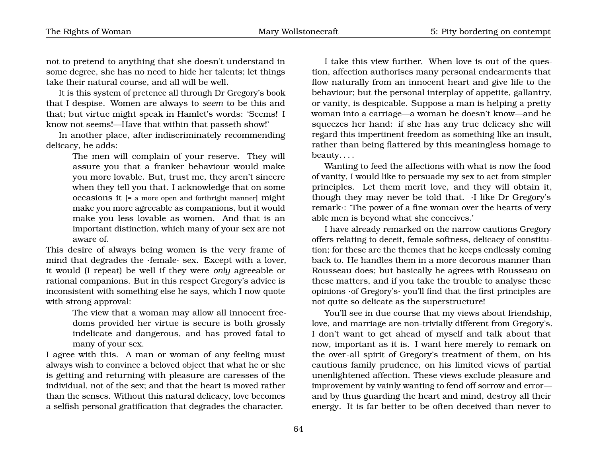not to pretend to anything that she doesn't understand in some degree, she has no need to hide her talents; let things take their natural course, and all will be well.

It is this system of pretence all through Dr Gregory's book that I despise. Women are always to *seem* to be this and that; but virtue might speak in Hamlet's words: 'Seems! I know not seems!—Have that within that passeth show!'

In another place, after indiscriminately recommending delicacy, he adds:

> The men will complain of your reserve. They will assure you that a franker behaviour would make you more lovable. But, trust me, they aren't sincere when they tell you that. I acknowledge that on some occasions it [= a more open and forthright manner] might make you more agreeable as companions, but it would make you less lovable as women. And that is an important distinction, which many of your sex are not aware of.

This desire of always being women is the very frame of mind that degrades the ·female· sex. Except with a lover, it would (I repeat) be well if they were *only* agreeable or rational companions. But in this respect Gregory's advice is inconsistent with something else he says, which I now quote with strong approval:

> The view that a woman may allow all innocent freedoms provided her virtue is secure is both grossly indelicate and dangerous, and has proved fatal to many of your sex.

I agree with this. A man or woman of any feeling must always wish to convince a beloved object that what he or she is getting and returning with pleasure are caresses of the individual, not of the sex; and that the heart is moved rather than the senses. Without this natural delicacy, love becomes a selfish personal gratification that degrades the character.

I take this view further. When love is out of the question, affection authorises many personal endearments that flow naturally from an innocent heart and give life to the behaviour; but the personal interplay of appetite, gallantry, or vanity, is despicable. Suppose a man is helping a pretty woman into a carriage—a woman he doesn't know—and he squeezes her hand: if she has any true delicacy she will regard this impertinent freedom as something like an insult, rather than being flattered by this meaningless homage to beauty. . . .

Wanting to feed the affections with what is now the food of vanity, I would like to persuade my sex to act from simpler principles. Let them merit love, and they will obtain it, though they may never be told that. ·I like Dr Gregory's remark·: 'The power of a fine woman over the hearts of very able men is beyond what she conceives.'

I have already remarked on the narrow cautions Gregory offers relating to deceit, female softness, delicacy of constitution; for these are the themes that he keeps endlessly coming back to. He handles them in a more decorous manner than Rousseau does; but basically he agrees with Rousseau on these matters, and if you take the trouble to analyse these opinions ·of Gregory's· you'll find that the first principles are not quite so delicate as the superstructure!

You'll see in due course that my views about friendship, love, and marriage are non-trivially different from Gregory's. I don't want to get ahead of myself and talk about that now, important as it is. I want here merely to remark on the over-all spirit of Gregory's treatment of them, on his cautious family prudence, on his limited views of partial unenlightened affection. These views exclude pleasure and improvement by vainly wanting to fend off sorrow and error and by thus guarding the heart and mind, destroy all their energy. It is far better to be often deceived than never to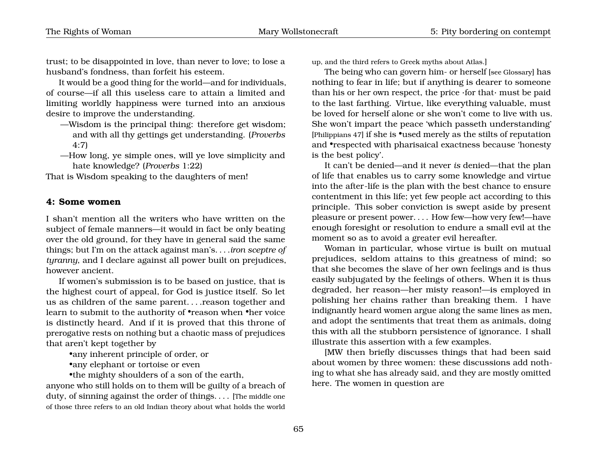trust; to be disappointed in love, than never to love; to lose a husband's fondness, than forfeit his esteem.

It would be a good thing for the world—and for individuals, of course—if all this useless care to attain a limited and limiting worldly happiness were turned into an anxious desire to improve the understanding.

- —Wisdom is the principal thing: therefore get wisdom; and with all thy gettings get understanding. (*Proverbs* 4:7)
- —How long, ye simple ones, will ye love simplicity and hate knowledge? (*Proverbs* 1:22)

That is Wisdom speaking to the daughters of men!

## **4: Some women**

I shan't mention all the writers who have written on the subject of female manners—it would in fact be only beating over the old ground, for they have in general said the same things; but I'm on the attack against man's. . . .*iron sceptre of tyranny*, and I declare against all power built on prejudices, however ancient.

If women's submission is to be based on justice, that is the highest court of appeal, for God is justice itself. So let us as children of the same parent. . . .reason together and learn to submit to the authority of •reason when •her voice is distinctly heard. And if it is proved that this throne of prerogative rests on nothing but a chaotic mass of prejudices that aren't kept together by

•any inherent principle of order, or

•any elephant or tortoise or even

•the mighty shoulders of a son of the earth,

anyone who still holds on to them will be guilty of a breach of duty, of sinning against the order of things. . . . [The middle one of those three refers to an old Indian theory about what holds the world

up, and the third refers to Greek myths about Atlas.]

The being who can govern him- or herself [see Glossary] has nothing to fear in life; but if anything is dearer to someone than his or her own respect, the price ·for that· must be paid to the last farthing. Virtue, like everything valuable, must be loved for herself alone or she won't come to live with us. She won't impart the peace 'which passeth understanding' [Philippians 47] if she is •used merely as the stilts of reputation and •respected with pharisaical exactness because 'honesty is the best policy'.

It can't be denied—and it never *is* denied—that the plan of life that enables us to carry some knowledge and virtue into the after-life is the plan with the best chance to ensure contentment in this life; yet few people act according to this principle. This sober conviction is swept aside by present pleasure or present power. . . . How few—how very few!—have enough foresight or resolution to endure a small evil at the moment so as to avoid a greater evil hereafter.

Woman in particular, whose virtue is built on mutual prejudices, seldom attains to this greatness of mind; so that she becomes the slave of her own feelings and is thus easily subjugated by the feelings of others. When it is thus degraded, her reason—her misty reason!—is employed in polishing her chains rather than breaking them. I have indignantly heard women argue along the same lines as men, and adopt the sentiments that treat them as animals, doing this with all the stubborn persistence of ignorance. I shall illustrate this assertion with a few examples.

[MW then briefly discusses things that had been said about women by three women: these discussions add nothing to what she has already said, and they are mostly omitted here. The women in question are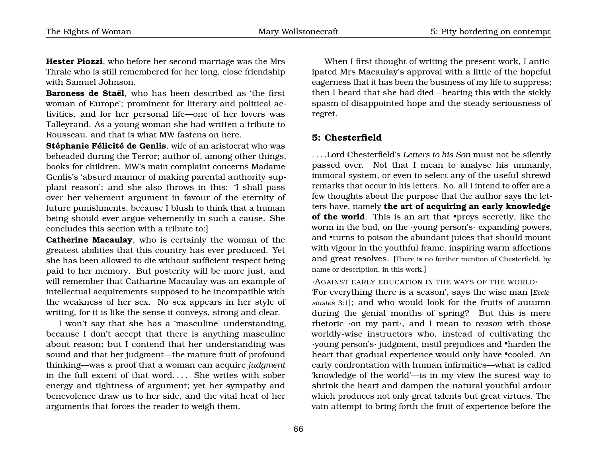**Hester Piozzi**, who before her second marriage was the Mrs Thrale who is still remembered for her long, close friendship with Samuel Johnson.

**Baroness de Staël**, who has been described as 'the first woman of Europe'; prominent for literary and political activities, and for her personal life—one of her lovers was Talleyrand. As a young woman she had written a tribute to Rousseau, and that is what MW fastens on here.

**Stéphanie Félicité de Genlis**, wife of an aristocrat who was beheaded during the Terror; author of, among other things, books for children. MW's main complaint concerns Madame Genlis's 'absurd manner of making parental authority supplant reason'; and she also throws in this: 'I shall pass over her vehement argument in favour of the eternity of future punishments, because I blush to think that a human being should ever argue vehemently in such a cause. She concludes this section with a tribute to:]

**Catherine Macaulay**, who is certainly the woman of the greatest abilities that this country has ever produced. Yet she has been allowed to die without sufficient respect being paid to her memory. But posterity will be more just, and will remember that Catharine Macaulay was an example of intellectual acquirements supposed to be incompatible with the weakness of her sex. No sex appears in her style of writing, for it is like the sense it conveys, strong and clear.

I won't say that she has a 'masculine' understanding, because I don't accept that there is anything masculine about reason; but I contend that her understanding was sound and that her judgment—the mature fruit of profound thinking—was a proof that a woman can acquire *judgment* in the full extent of that word.... She writes with sober energy and tightness of argument; yet her sympathy and benevolence draw us to her side, and the vital heat of her arguments that forces the reader to weigh them.

When I first thought of writing the present work, I anticipated Mrs Macaulay's approval with a little of the hopeful eagerness that it has been the business of my life to suppress; then I heard that she had died—hearing this with the sickly spasm of disappointed hope and the steady seriousness of regret.

# **5: Chesterfield**

. . . .Lord Chesterfield's *Letters to his Son* must not be silently passed over. Not that I mean to analyse his unmanly, immoral system, or even to select any of the useful shrewd remarks that occur in his letters. No, all I intend to offer are a few thoughts about the purpose that the author says the letters have, namely **the art of acquiring an early knowledge of the world**. This is an art that •preys secretly, like the worm in the bud, on the ·young person's· expanding powers, and •turns to poison the abundant juices that should mount with vigour in the youthful frame, inspiring warm affections and great resolves. [There is no further mention of Chesterfield, by name or description, in this work.]

·AGAINST EARLY EDUCATION IN THE WAYS OF THE WORLD·

'For everything there is a season', says the wise man [*Ecclesiastes* 3:1]; and who would look for the fruits of autumn during the genial months of spring? But this is mere rhetoric ·on my part·, and I mean to *reason* with those worldly-wise instructors who, instead of cultivating the ·young person's· judgment, instil prejudices and •harden the heart that gradual experience would only have •cooled. An early confrontation with human infirmities—what is called 'knowledge of the world'—is in my view the surest way to shrink the heart and dampen the natural youthful ardour which produces not only great talents but great virtues. The vain attempt to bring forth the fruit of experience before the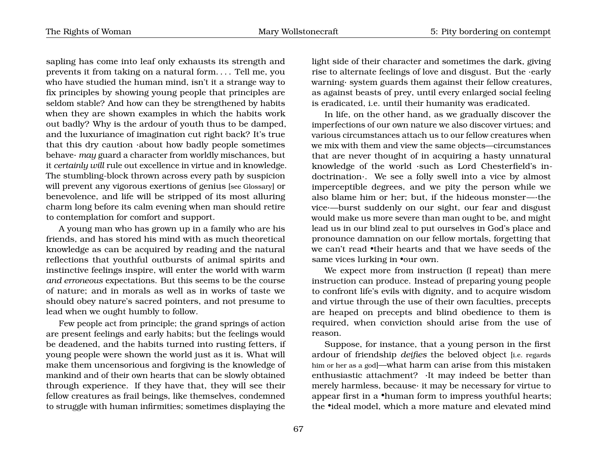The Rights of Woman Mary Wollstonecraft 5: Pity bordering on contempt

sapling has come into leaf only exhausts its strength and prevents it from taking on a natural form. . . . Tell me, you who have studied the human mind, isn't it a strange way to fix principles by showing young people that principles are seldom stable? And how can they be strengthened by habits when they are shown examples in which the habits work out badly? Why is the ardour of youth thus to be damped, and the luxuriance of imagination cut right back? It's true that this dry caution ·about how badly people sometimes behave· *may* guard a character from worldly mischances, but it *certainly will* rule out excellence in virtue and in knowledge. The stumbling-block thrown across every path by suspicion will prevent any vigorous exertions of genius [see Glossary] or benevolence, and life will be stripped of its most alluring charm long before its calm evening when man should retire to contemplation for comfort and support.

A young man who has grown up in a family who are his friends, and has stored his mind with as much theoretical knowledge as can be acquired by reading and the natural reflections that youthful outbursts of animal spirits and instinctive feelings inspire, will enter the world with warm *and erroneous* expectations. But this seems to be the course of nature; and in morals as well as in works of taste we should obey nature's sacred pointers, and not presume to lead when we ought humbly to follow.

Few people act from principle; the grand springs of action are present feelings and early habits; but the feelings would be deadened, and the habits turned into rusting fetters, if young people were shown the world just as it is. What will make them uncensorious and forgiving is the knowledge of mankind and of their own hearts that can be slowly obtained through experience. If they have that, they will see their fellow creatures as frail beings, like themselves, condemned to struggle with human infirmities; sometimes displaying the

light side of their character and sometimes the dark, giving rise to alternate feelings of love and disgust. But the ·early warning· system guards them against their fellow creatures, as against beasts of prey, until every enlarged social feeling is eradicated, i.e. until their humanity was eradicated.

In life, on the other hand, as we gradually discover the imperfections of our own nature we also discover virtues; and various circumstances attach us to our fellow creatures when we mix with them and view the same objects—circumstances that are never thought of in acquiring a hasty unnatural knowledge of the world ·such as Lord Chesterfield's indoctrination·. We see a folly swell into a vice by almost imperceptible degrees, and we pity the person while we also blame him or her; but, if the hideous monster—·the vice·—burst suddenly on our sight, our fear and disgust would make us more severe than man ought to be, and might lead us in our blind zeal to put ourselves in God's place and pronounce damnation on our fellow mortals, forgetting that we can't read •their hearts and that we have seeds of the same vices lurking in •our own.

We expect more from instruction (I repeat) than mere instruction can produce. Instead of preparing young people to confront life's evils with dignity, and to acquire wisdom and virtue through the use of their own faculties, precepts are heaped on precepts and blind obedience to them is required, when conviction should arise from the use of reason.

Suppose, for instance, that a young person in the first ardour of friendship *deifies* the beloved object [i.e. regards him or her as a god]—what harm can arise from this mistaken enthusiastic attachment? ·It may indeed be better than merely harmless, because· it may be necessary for virtue to appear first in a •human form to impress youthful hearts; the •ideal model, which a more mature and elevated mind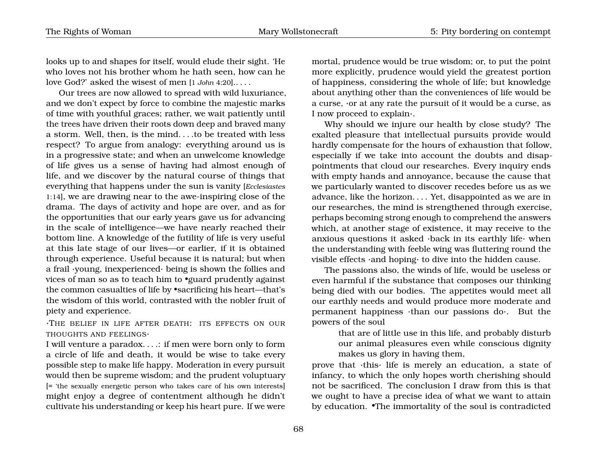looks up to and shapes for itself, would elude their sight. 'He who loves not his brother whom he hath seen, how can he love God?' asked the wisest of men [1 *John* 4:20].. . . .

Our trees are now allowed to spread with wild luxuriance, and we don't expect by force to combine the majestic marks of time with youthful graces; rather, we wait patiently until the trees have driven their roots down deep and braved many a storm. Well, then, is the mind. . . .to be treated with less respect? To argue from analogy: everything around us is in a progressive state; and when an unwelcome knowledge of life gives us a sense of having had almost enough of life, and we discover by the natural course of things that everything that happens under the sun is vanity [*Ecclesiastes* 1:14], we are drawing near to the awe-inspiring close of the drama. The days of activity and hope are over, and as for the opportunities that our early years gave us for advancing in the scale of intelligence—we have nearly reached their bottom line. A knowledge of the futility of life is very useful at this late stage of our lives—or earlier, if it is obtained through experience. Useful because it is natural; but when a frail ·young, inexperienced· being is shown the follies and vices of man so as to teach him to •guard prudently against the common casualties of life by •sacrificing his heart—that's the wisdom of this world, contrasted with the nobler fruit of piety and experience.

·THE BELIEF IN LIFE AFTER DEATH: ITS EFFECTS ON OUR THOUGHTS AND FEELINGS·

I will venture a paradox. . . .: if men were born only to form a circle of life and death, it would be wise to take every possible step to make life happy. Moderation in every pursuit would then be supreme wisdom; and the prudent voluptuary [= 'the sexually energetic person who takes care of his own interests] might enjoy a degree of contentment although he didn't cultivate his understanding or keep his heart pure. If we were

mortal, prudence would be true wisdom; or, to put the point more explicitly, prudence would yield the greatest portion of happiness, considering the whole of life; but knowledge about anything other than the conveniences of life would be a curse, ·or at any rate the pursuit of it would be a curse, as I now proceed to explain·.

Why should we injure our health by close study? The exalted pleasure that intellectual pursuits provide would hardly compensate for the hours of exhaustion that follow, especially if we take into account the doubts and disappointments that cloud our researches. Every inquiry ends with empty hands and annoyance, because the cause that we particularly wanted to discover recedes before us as we advance, like the horizon. . . . Yet, disappointed as we are in our researches, the mind is strengthened through exercise, perhaps becoming strong enough to comprehend the answers which, at another stage of existence, it may receive to the anxious questions it asked ·back in its earthly life· when the understanding with feeble wing was fluttering round the visible effects ·and hoping· to dive into the hidden cause.

The passions also, the winds of life, would be useless or even harmful if the substance that composes our thinking being died with our bodies. The appetites would meet all our earthly needs and would produce more moderate and permanent happiness ·than our passions do·. But the powers of the soul

> that are of little use in this life, and probably disturb our animal pleasures even while conscious dignity makes us glory in having them,

prove that ·this· life is merely an education, a state of infancy, to which the only hopes worth cherishing should not be sacrificed. The conclusion I draw from this is that we ought to have a precise idea of what we want to attain by education. •The immortality of the soul is contradicted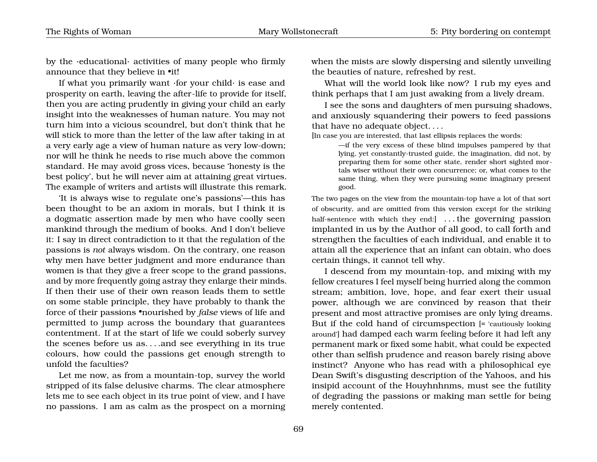by the ·educational· activities of many people who firmly announce that they believe in •it!

If what you primarily want ·for your child· is ease and prosperity on earth, leaving the after-life to provide for itself, then you are acting prudently in giving your child an early insight into the weaknesses of human nature. You may not turn him into a vicious scoundrel, but don't think that he will stick to more than the letter of the law after taking in at a very early age a view of human nature as very low-down; nor will he think he needs to rise much above the common standard. He may avoid gross vices, because 'honesty is the best policy', but he will never aim at attaining great virtues. The example of writers and artists will illustrate this remark.

'It is always wise to regulate one's passions'—this has been thought to be an axiom in morals, but I think it is a dogmatic assertion made by men who have coolly seen mankind through the medium of books. And I don't believe it: I say in direct contradiction to it that the regulation of the passions is *not* always wisdom. On the contrary, one reason why men have better judgment and more endurance than women is that they give a freer scope to the grand passions, and by more frequently going astray they enlarge their minds. If then their use of their own reason leads them to settle on some stable principle, they have probably to thank the force of their passions •nourished by *false* views of life and permitted to jump across the boundary that guarantees contentment. If at the start of life we could soberly survey the scenes before us as. . . .and see everything in its true colours, how could the passions get enough strength to unfold the faculties?

Let me now, as from a mountain-top, survey the world stripped of its false delusive charms. The clear atmosphere lets me to see each object in its true point of view, and I have no passions. I am as calm as the prospect on a morning when the mists are slowly dispersing and silently unveiling the beauties of nature, refreshed by rest.

What will the world look like now? I rub my eyes and think perhaps that I am just awaking from a lively dream.

I see the sons and daughters of men pursuing shadows, and anxiously squandering their powers to feed passions that have no adequate object. . . .

[In case you are interested, that last ellipsis replaces the words:

—if the very excess of these blind impulses pampered by that lying, yet constantly-trusted guide, the imagination, did not, by preparing them for some other state, render short sighted mortals wiser without their own concurrence; or, what comes to the same thing, when they were pursuing some imaginary present good.

The two pages on the view from the mountain-top have a lot of that sort of obscurity, and are omitted from this version except for the striking half-sentence with which they end: ... the governing passion implanted in us by the Author of all good, to call forth and strengthen the faculties of each individual, and enable it to attain all the experience that an infant can obtain, who does certain things, it cannot tell why.

I descend from my mountain-top, and mixing with my fellow creatures I feel myself being hurried along the common stream; ambition, love, hope, and fear exert their usual power, although we are convinced by reason that their present and most attractive promises are only lying dreams. But if the cold hand of circumspection [= 'cautiously looking around'] had damped each warm feeling before it had left any permanent mark or fixed some habit, what could be expected other than selfish prudence and reason barely rising above instinct? Anyone who has read with a philosophical eye Dean Swift's disgusting description of the Yahoos, and his insipid account of the Houyhnhnms, must see the futility of degrading the passions or making man settle for being merely contented.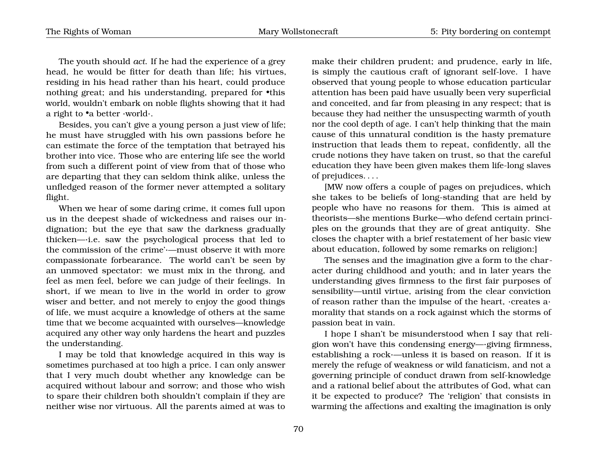The youth should *act*. If he had the experience of a grey head, he would be fitter for death than life; his virtues, residing in his head rather than his heart, could produce nothing great; and his understanding, prepared for •this world, wouldn't embark on noble flights showing that it had a right to  $\bullet$  a better  $\cdot$ world $\cdot$ .

Besides, you can't give a young person a just view of life; he must have struggled with his own passions before he can estimate the force of the temptation that betrayed his brother into vice. Those who are entering life see the world from such a different point of view from that of those who are departing that they can seldom think alike, unless the unfledged reason of the former never attempted a solitary flight.

When we hear of some daring crime, it comes full upon us in the deepest shade of wickedness and raises our indignation; but the eye that saw the darkness gradually thicken—·i.e. saw the psychological process that led to the commission of the crime'·—must observe it with more compassionate forbearance. The world can't be seen by an unmoved spectator: we must mix in the throng, and feel as men feel, before we can judge of their feelings. In short, if we mean to live in the world in order to grow wiser and better, and not merely to enjoy the good things of life, we must acquire a knowledge of others at the same time that we become acquainted with ourselves—knowledge acquired any other way only hardens the heart and puzzles the understanding.

I may be told that knowledge acquired in this way is sometimes purchased at too high a price. I can only answer that I very much doubt whether any knowledge can be acquired without labour and sorrow; and those who wish to spare their children both shouldn't complain if they are neither wise nor virtuous. All the parents aimed at was to

make their children prudent; and prudence, early in life, is simply the cautious craft of ignorant self-love. I have observed that young people to whose education particular attention has been paid have usually been very superficial and conceited, and far from pleasing in any respect; that is because they had neither the unsuspecting warmth of youth nor the cool depth of age. I can't help thinking that the main cause of this unnatural condition is the hasty premature instruction that leads them to repeat, confidently, all the crude notions they have taken on trust, so that the careful education they have been given makes them life-long slaves of prejudices. . . .

[MW now offers a couple of pages on prejudices, which she takes to be beliefs of long-standing that are held by people who have no reasons for them. This is aimed at theorists—she mentions Burke—who defend certain principles on the grounds that they are of great antiquity. She closes the chapter with a brief restatement of her basic view about education, followed by some remarks on religion:]

The senses and the imagination give a form to the character during childhood and youth; and in later years the understanding gives firmness to the first fair purposes of sensibility—until virtue, arising from the clear conviction of reason rather than the impulse of the heart, ·creates a· morality that stands on a rock against which the storms of passion beat in vain.

I hope I shan't be misunderstood when I say that religion won't have this condensing energy—·giving firmness, establishing a rock·—unless it is based on reason. If it is merely the refuge of weakness or wild fanaticism, and not a governing principle of conduct drawn from self-knowledge and a rational belief about the attributes of God, what can it be expected to produce? The 'religion' that consists in warming the affections and exalting the imagination is only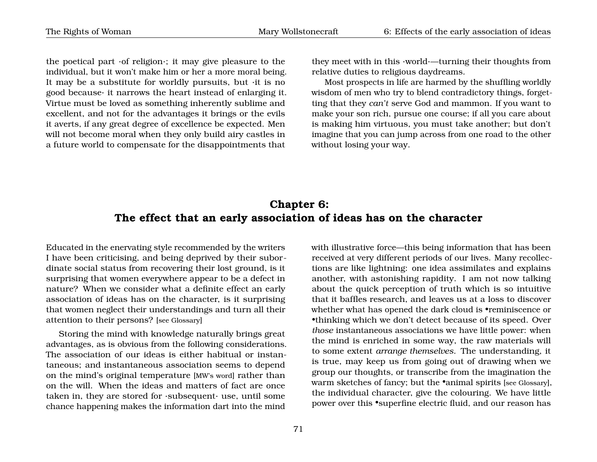the poetical part ·of religion·; it may give pleasure to the individual, but it won't make him or her a more moral being. It may be a substitute for worldly pursuits, but ·it is no good because· it narrows the heart instead of enlarging it. Virtue must be loved as something inherently sublime and excellent, and not for the advantages it brings or the evils it averts, if any great degree of excellence be expected. Men will not become moral when they only build airy castles in a future world to compensate for the disappointments that

they meet with in this ·world·—turning their thoughts from relative duties to religious daydreams.

Most prospects in life are harmed by the shuffling worldly wisdom of men who try to blend contradictory things, forgetting that they *can't* serve God and mammon. If you want to make your son rich, pursue one course; if all you care about is making him virtuous, you must take another; but don't imagine that you can jump across from one road to the other without losing your way.

### **Chapter 6: The effect that an early association of ideas has on the character**

Educated in the enervating style recommended by the writers I have been criticising, and being deprived by their subordinate social status from recovering their lost ground, is it surprising that women everywhere appear to be a defect in nature? When we consider what a definite effect an early association of ideas has on the character, is it surprising that women neglect their understandings and turn all their attention to their persons? [see Glossary]

Storing the mind with knowledge naturally brings great advantages, as is obvious from the following considerations. The association of our ideas is either habitual or instantaneous; and instantaneous association seems to depend on the mind's original temperature [MW's word] rather than on the will. When the ideas and matters of fact are once taken in, they are stored for ·subsequent· use, until some chance happening makes the information dart into the mind

received at very different periods of our lives. Many recollections are like lightning: one idea assimilates and explains another, with astonishing rapidity. I am not now talking about the quick perception of truth which is so intuitive that it baffles research, and leaves us at a loss to discover whether what has opened the dark cloud is •reminiscence or •thinking which we don't detect because of its speed. Over *those* instantaneous associations we have little power: when the mind is enriched in some way, the raw materials will to some extent *arrange themselves*. The understanding, it is true, may keep us from going out of drawing when we group our thoughts, or transcribe from the imagination the warm sketches of fancy; but the •animal spirits [see Glossary], the individual character, give the colouring. We have little power over this •superfine electric fluid, and our reason has

with illustrative force—this being information that has been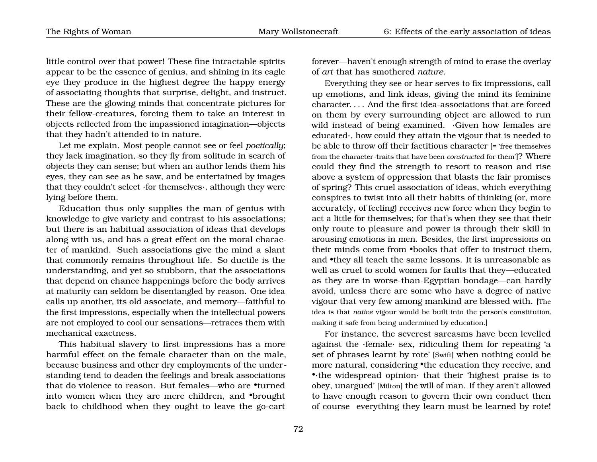little control over that power! These fine intractable spirits appear to be the essence of genius, and shining in its eagle eye they produce in the highest degree the happy energy of associating thoughts that surprise, delight, and instruct. These are the glowing minds that concentrate pictures for their fellow-creatures, forcing them to take an interest in objects reflected from the impassioned imagination—objects that they hadn't attended to in nature.

Let me explain. Most people cannot see or feel *poetically*; they lack imagination, so they fly from solitude in search of objects they can sense; but when an author lends them his eyes, they can see as he saw, and be entertained by images that they couldn't select ·for themselves·, although they were lying before them.

Education thus only supplies the man of genius with knowledge to give variety and contrast to his associations; but there is an habitual association of ideas that develops along with us, and has a great effect on the moral character of mankind. Such associations give the mind a slant that commonly remains throughout life. So ductile is the understanding, and yet so stubborn, that the associations that depend on chance happenings before the body arrives at maturity can seldom be disentangled by reason. One idea calls up another, its old associate, and memory—faithful to the first impressions, especially when the intellectual powers are not employed to cool our sensations—retraces them with mechanical exactness.

This habitual slavery to first impressions has a more harmful effect on the female character than on the male, because business and other dry employments of the understanding tend to deaden the feelings and break associations that do violence to reason. But females—who are •turned into women when they are mere children, and •brought back to childhood when they ought to leave the go-cart forever—haven't enough strength of mind to erase the overlay of *art* that has smothered *nature*.

Everything they see or hear serves to fix impressions, call up emotions, and link ideas, giving the mind its feminine character. . . . And the first idea-associations that are forced on them by every surrounding object are allowed to run wild instead of being examined. ·Given how females are educated·, how could they attain the vigour that is needed to be able to throw off their factitious character [= 'free themselves from the character-traits that have been *constructed* for them']? Where could they find the strength to resort to reason and rise above a system of oppression that blasts the fair promises of spring? This cruel association of ideas, which everything conspires to twist into all their habits of thinking (or, more accurately, of feeling) receives new force when they begin to act a little for themselves; for that's when they see that their only route to pleasure and power is through their skill in arousing emotions in men. Besides, the first impressions on their minds come from •books that offer to instruct them, and •they all teach the same lessons. It is unreasonable as well as cruel to scold women for faults that they—educated as they are in worse-than-Egyptian bondage—can hardly avoid, unless there are some who have a degree of native vigour that very few among mankind are blessed with. [The idea is that *native* vigour would be built into the person's constitution, making it safe from being undermined by education.]

For instance, the severest sarcasms have been levelled against the ·female· sex, ridiculing them for repeating 'a set of phrases learnt by rote' [Swift] when nothing could be more natural, considering •the education they receive, and •·the widespread opinion· that their 'highest praise is to obey, unargued' [Milton] the will of man. If they aren't allowed to have enough reason to govern their own conduct then of course everything they learn must be learned by rote!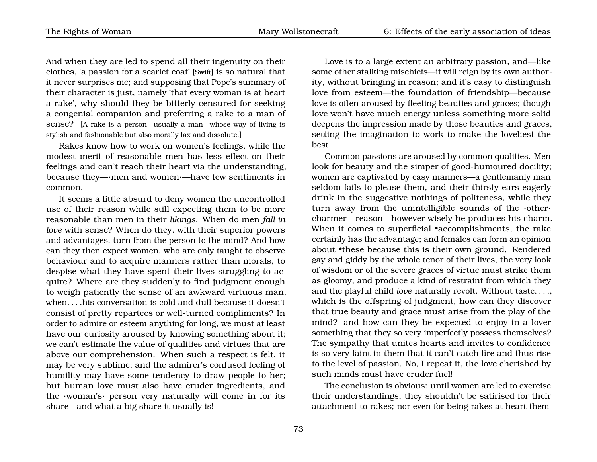And when they are led to spend all their ingenuity on their clothes, 'a passion for a scarlet coat' [Swift] is so natural that it never surprises me; and supposing that Pope's summary of their character is just, namely 'that every woman is at heart a rake', why should they be bitterly censured for seeking a congenial companion and preferring a rake to a man of sense? [A rake is a person—usually a man—whose way of living is stylish and fashionable but also morally lax and dissolute.]

Rakes know how to work on women's feelings, while the modest merit of reasonable men has less effect on their feelings and can't reach their heart via the understanding, because they—·men and women·—have few sentiments in common.

It seems a little absurd to deny women the uncontrolled use of their reason while still expecting them to be more reasonable than men in their *likings*. When do men *fall in love* with sense? When do they, with their superior powers and advantages, turn from the person to the mind? And how can they then expect women, who are only taught to observe behaviour and to acquire manners rather than morals, to despise what they have spent their lives struggling to acquire? Where are they suddenly to find judgment enough to weigh patiently the sense of an awkward virtuous man, when. . . .his conversation is cold and dull because it doesn't consist of pretty repartees or well-turned compliments? In order to admire or esteem anything for long, we must at least have our curiosity aroused by knowing something about it; we can't estimate the value of qualities and virtues that are above our comprehension. When such a respect is felt, it may be very sublime; and the admirer's confused feeling of humility may have some tendency to draw people to her; but human love must also have cruder ingredients, and the ·woman's· person very naturally will come in for its share—and what a big share it usually is!

Love is to a large extent an arbitrary passion, and—like some other stalking mischiefs—it will reign by its own authority, without bringing in reason; and it's easy to distinguish love from esteem—the foundation of friendship—because love is often aroused by fleeting beauties and graces; though love won't have much energy unless something more solid deepens the impression made by those beauties and graces, setting the imagination to work to make the loveliest the best.

Common passions are aroused by common qualities. Men look for beauty and the simper of good-humoured docility; women are captivated by easy manners—a gentlemanly man seldom fails to please them, and their thirsty ears eagerly drink in the suggestive nothings of politeness, while they turn away from the unintelligible sounds of the ·other· charmer—reason—however wisely he produces his charm. When it comes to superficial •accomplishments, the rake certainly has the advantage; and females can form an opinion about •these because this is their own ground. Rendered gay and giddy by the whole tenor of their lives, the very look of wisdom or of the severe graces of virtue must strike them as gloomy, and produce a kind of restraint from which they and the playful child *love* naturally revolt. Without taste. . . ., which is the offspring of judgment, how can they discover that true beauty and grace must arise from the play of the mind? and how can they be expected to enjoy in a lover something that they so very imperfectly possess themselves? The sympathy that unites hearts and invites to confidence is so very faint in them that it can't catch fire and thus rise to the level of passion. No, I repeat it, the love cherished by such minds must have cruder fuel!

The conclusion is obvious: until women are led to exercise their understandings, they shouldn't be satirised for their attachment to rakes; nor even for being rakes at heart them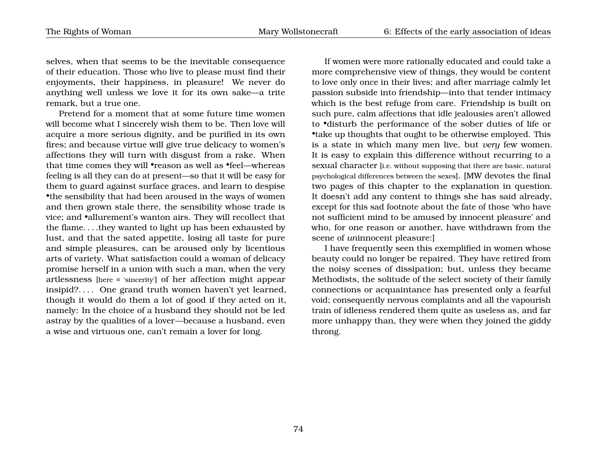selves, when that seems to be the inevitable consequence of their education. Those who live to please must find their enjoyments, their happiness, in pleasure! We never do anything well unless we love it for its own sake—a trite remark, but a true one.

Pretend for a moment that at some future time women will become what I sincerely wish them to be. Then love will acquire a more serious dignity, and be purified in its own fires; and because virtue will give true delicacy to women's affections they will turn with disgust from a rake. When that time comes they will •reason as well as •feel—whereas feeling is all they can do at present—so that it will be easy for them to guard against surface graces, and learn to despise •the sensibility that had been aroused in the ways of women and then grown stale there, the sensibility whose trade is vice; and •allurement's wanton airs. They will recollect that the flame. . . .they wanted to light up has been exhausted by lust, and that the sated appetite, losing all taste for pure and simple pleasures, can be aroused only by licentious arts of variety. What satisfaction could a woman of delicacy promise herself in a union with such a man, when the very artlessness [here = 'sincerity'] of her affection might appear insipid?. . . . One grand truth women haven't yet learned, though it would do them a lot of good if they acted on it, namely: In the choice of a husband they should not be led astray by the qualities of a lover—because a husband, even a wise and virtuous one, can't remain a lover for long.

If women were more rationally educated and could take a more comprehensive view of things, they would be content to love only once in their lives; and after marriage calmly let passion subside into friendship—into that tender intimacy which is the best refuge from care. Friendship is built on such pure, calm affections that idle jealousies aren't allowed to •disturb the performance of the sober duties of life or •take up thoughts that ought to be otherwise employed. This is a state in which many men live, but *very* few women. It is easy to explain this difference without recurring to a sexual character [i.e. without supposing that there are basic, natural psychological differences between the sexes]. [MW devotes the final two pages of this chapter to the explanation in question. It doesn't add any content to things she has said already, except for this sad footnote about the fate of those 'who have not sufficient mind to be amused by innocent pleasure' and who, for one reason or another, have withdrawn from the scene of *un*innocent pleasure:]

I have frequently seen this exemplified in women whose beauty could no longer be repaired. They have retired from the noisy scenes of dissipation; but, unless they became Methodists, the solitude of the select society of their family connections or acquaintance has presented only a fearful void; consequently nervous complaints and all the vapourish train of idleness rendered them quite as useless as, and far more unhappy than, they were when they joined the giddy throng.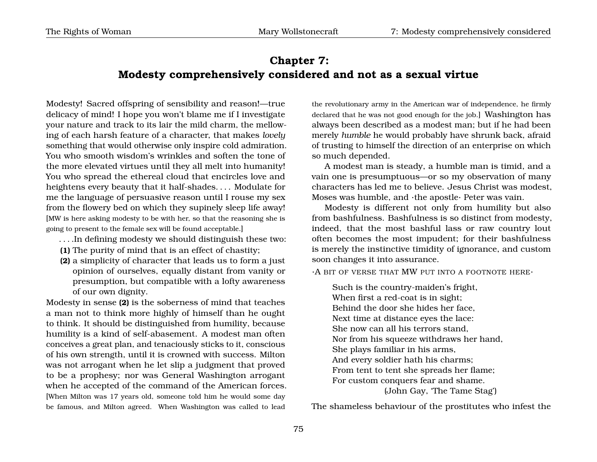## **Chapter 7: Modesty comprehensively considered and not as a sexual virtue**

Modesty! Sacred offspring of sensibility and reason!—true delicacy of mind! I hope you won't blame me if I investigate your nature and track to its lair the mild charm, the mellowing of each harsh feature of a character, that makes *lovely* something that would otherwise only inspire cold admiration. You who smooth wisdom's wrinkles and soften the tone of the more elevated virtues until they all melt into humanity! You who spread the ethereal cloud that encircles love and heightens every beauty that it half-shades. . . . Modulate for me the language of persuasive reason until I rouse my sex from the flowery bed on which they supinely sleep life away! [MW is here asking modesty to be with her, so that the reasoning she is going to present to the female sex will be found acceptable.]

- . . . .In defining modesty we should distinguish these two:
- **(1)** The purity of mind that is an effect of chastity;
- **(2)** a simplicity of character that leads us to form a just opinion of ourselves, equally distant from vanity or presumption, but compatible with a lofty awareness of our own dignity.

Modesty in sense **(2)** is the soberness of mind that teaches a man not to think more highly of himself than he ought to think. It should be distinguished from humility, because humility is a kind of self-abasement. A modest man often conceives a great plan, and tenaciously sticks to it, conscious of his own strength, until it is crowned with success. Milton was not arrogant when he let slip a judgment that proved to be a prophesy; nor was General Washington arrogant when he accepted of the command of the American forces. [When Milton was 17 years old, someone told him he would some day be famous, and Milton agreed. When Washington was called to lead

the revolutionary army in the American war of independence, he firmly declared that he was not good enough for the job.] Washington has always been described as a modest man; but if he had been merely *humble* he would probably have shrunk back, afraid of trusting to himself the direction of an enterprise on which so much depended.

A modest man is steady, a humble man is timid, and a vain one is presumptuous—or so my observation of many characters has led me to believe. Jesus Christ was modest, Moses was humble, and ·the apostle· Peter was vain.

Modesty is different not only from humility but also from bashfulness. Bashfulness is so distinct from modesty, indeed, that the most bashful lass or raw country lout often becomes the most impudent; for their bashfulness is merely the instinctive timidity of ignorance, and custom soon changes it into assurance.

·A BIT OF VERSE THAT MW PUT INTO A FOOTNOTE HERE·

Such is the country-maiden's fright, When first a red-coat is in sight; Behind the door she hides her face, Next time at distance eyes the lace: She now can all his terrors stand, Nor from his squeeze withdraws her hand, She plays familiar in his arms, And every soldier hath his charms; From tent to tent she spreads her flame; For custom conquers fear and shame. (John Gay, 'The Tame Stag')

The shameless behaviour of the prostitutes who infest the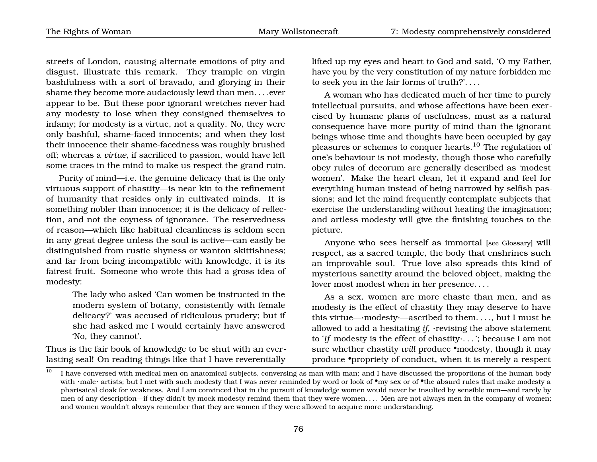The Rights of Woman Mary Wollstonecraft 7: Modesty comprehensively considered

streets of London, causing alternate emotions of pity and disgust, illustrate this remark. They trample on virgin bashfulness with a sort of bravado, and glorying in their shame they become more audaciously lewd than men....ever appear to be. But these poor ignorant wretches never had any modesty to lose when they consigned themselves to infamy; for modesty is a virtue, not a quality. No, they were only bashful, shame-faced innocents; and when they lost their innocence their shame-facedness was roughly brushed off; whereas a *virtue*, if sacrificed to passion, would have left some traces in the mind to make us respect the grand ruin.

Purity of mind—i.e. the genuine delicacy that is the only virtuous support of chastity—is near kin to the refinement of humanity that resides only in cultivated minds. It is something nobler than innocence; it is the delicacy of reflection, and not the coyness of ignorance. The reservedness of reason—which like habitual cleanliness is seldom seen in any great degree unless the soul is active—can easily be distinguished from rustic shyness or wanton skittishness; and far from being incompatible with knowledge, it is its fairest fruit. Someone who wrote this had a gross idea of modesty:

> The lady who asked 'Can women be instructed in the modern system of botany, consistently with female delicacy?' was accused of ridiculous prudery; but if she had asked me I would certainly have answered 'No, they cannot'.

Thus is the fair book of knowledge to be shut with an everlasting seal! On reading things like that I have reverentially

lifted up my eyes and heart to God and said, 'O my Father, have you by the very constitution of my nature forbidden me to seek you in the fair forms of truth?'. . . .

A woman who has dedicated much of her time to purely intellectual pursuits, and whose affections have been exercised by humane plans of usefulness, must as a natural consequence have more purity of mind than the ignorant beings whose time and thoughts have been occupied by gay pleasures or schemes to conquer hearts.<sup>[10](#page-79-0)</sup> The regulation of one's behaviour is not modesty, though those who carefully obey rules of decorum are generally described as 'modest women'. Make the heart clean, let it expand and feel for everything human instead of being narrowed by selfish passions; and let the mind frequently contemplate subjects that exercise the understanding without heating the imagination; and artless modesty will give the finishing touches to the picture.

Anyone who sees herself as immortal [see Glossary] will respect, as a sacred temple, the body that enshrines such an improvable soul. True love also spreads this kind of mysterious sanctity around the beloved object, making the lover most modest when in her presence. . . .

As a sex, women are more chaste than men, and as modesty is the effect of chastity they may deserve to have this virtue—·modesty·—ascribed to them. . . ., but I must be allowed to add a hesitating *if*, ·revising the above statement to '*If* modesty is the effect of chastity·. . . '; because I am not sure whether chastity *will* produce •modesty, though it may produce •propriety of conduct, when it is merely a respect

<span id="page-79-0"></span><sup>&</sup>lt;sup>10</sup> I have conversed with medical men on anatomical subjects, conversing as man with man; and I have discussed the proportions of the human body with ·male· artists; but I met with such modesty that I was never reminded by word or look of •my sex or of •the absurd rules that make modesty a pharisaical cloak for weakness. And I am convinced that in the pursuit of knowledge women would never be insulted by sensible men—and rarely by men of any description—if they didn't by mock modesty remind them that they were women. . . . Men are not always men in the company of women; and women wouldn't always remember that they are women if they were allowed to acquire more understanding.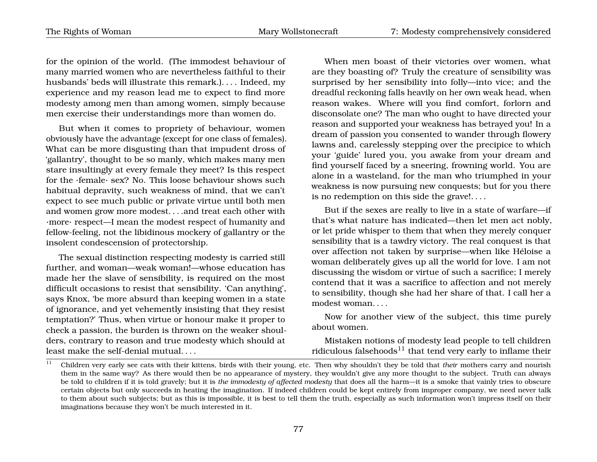for the opinion of the world. (The immodest behaviour of many married women who are nevertheless faithful to their husbands' beds will illustrate this remark.). . . . Indeed, my experience and my reason lead me to expect to find more modesty among men than among women, simply because men exercise their understandings more than women do.

But when it comes to propriety of behaviour, women obviously have the advantage (except for one class of females). What can be more disgusting than that impudent dross of 'gallantry', thought to be so manly, which makes many men stare insultingly at every female they meet? Is this respect for the ·female· sex? No. This loose behaviour shows such habitual depravity, such weakness of mind, that we can't expect to see much public or private virtue until both men and women grow more modest. . . .and treat each other with ·more· respect—I mean the modest respect of humanity and fellow-feeling, not the libidinous mockery of gallantry or the insolent condescension of protectorship.

The sexual distinction respecting modesty is carried still further, and woman—weak woman!—whose education has made her the slave of sensibility, is required on the most difficult occasions to resist that sensibility. 'Can anything', says Knox, 'be more absurd than keeping women in a state of ignorance, and yet vehemently insisting that they resist temptation?' Thus, when virtue or honour make it proper to check a passion, the burden is thrown on the weaker shoulders, contrary to reason and true modesty which should at least make the self-denial mutual. . . .

When men boast of their victories over women, what are they boasting of? Truly the creature of sensibility was surprised by her sensibility into folly—into vice; and the dreadful reckoning falls heavily on her own weak head, when reason wakes. Where will you find comfort, forlorn and disconsolate one? The man who ought to have directed your reason and supported your weakness has betrayed you! In a dream of passion you consented to wander through flowery lawns and, carelessly stepping over the precipice to which your 'guide' lured you, you awake from your dream and find yourself faced by a sneering, frowning world. You are alone in a wasteland, for the man who triumphed in your weakness is now pursuing new conquests; but for you there is no redemption on this side the grave!. . . .

But if the sexes are really to live in a state of warfare—if that's what nature has indicated—then let men act nobly, or let pride whisper to them that when they merely conquer sensibility that is a tawdry victory. The real conquest is that over affection not taken by surprise—when like Héloise a woman deliberately gives up all the world for love. I am not discussing the wisdom or virtue of such a sacrifice; I merely contend that it was a sacrifice to affection and not merely to sensibility, though she had her share of that. I call her a modest woman. . . .

Now for another view of the subject, this time purely about women.

Mistaken notions of modesty lead people to tell children ridiculous falsehoods<sup>[11](#page-80-0)</sup> that tend very early to inflame their

<span id="page-80-0"></span><sup>&</sup>lt;sup>11</sup> Children very early see cats with their kittens, birds with their young, etc. Then why shouldn't they be told that *their* mothers carry and nourish them in the same way? As there would then be no appearance of mystery, they wouldn't give any more thought to the subject. Truth can always be told to children if it is told gravely; but it is *the immodesty of affected modesty* that does all the harm—it is a smoke that vainly tries to obscure certain objects but only succeeds in heating the imagination. If indeed children could be kept entirely from improper company, we need never talk to them about such subjects; but as this is impossible, it is best to tell them the truth, especially as such information won't impress itself on their imaginations because they won't be much interested in it.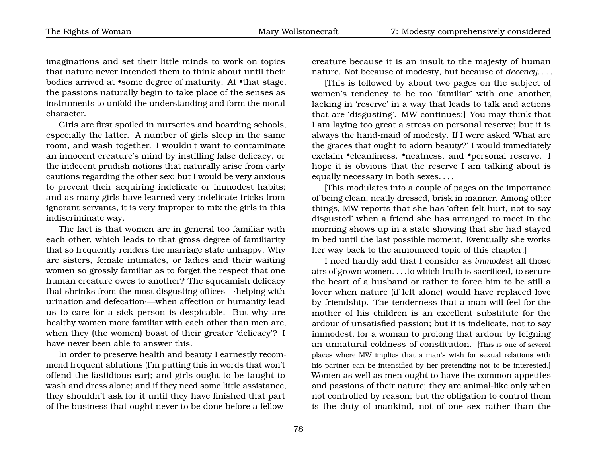imaginations and set their little minds to work on topics that nature never intended them to think about until their bodies arrived at •some degree of maturity. At •that stage, the passions naturally begin to take place of the senses as instruments to unfold the understanding and form the moral character.

Girls are first spoiled in nurseries and boarding schools, especially the latter. A number of girls sleep in the same room, and wash together. I wouldn't want to contaminate an innocent creature's mind by instilling false delicacy, or the indecent prudish notions that naturally arise from early cautions regarding the other sex; but I would be very anxious to prevent their acquiring indelicate or immodest habits; and as many girls have learned very indelicate tricks from ignorant servants, it is very improper to mix the girls in this indiscriminate way.

The fact is that women are in general too familiar with each other, which leads to that gross degree of familiarity that so frequently renders the marriage state unhappy. Why are sisters, female intimates, or ladies and their waiting women so grossly familiar as to forget the respect that one human creature owes to another? The squeamish delicacy that shrinks from the most disgusting offices—·helping with urination and defecation·—when affection or humanity lead us to care for a sick person is despicable. But why are healthy women more familiar with each other than men are, when they (the women) boast of their greater 'delicacy'? I have never been able to answer this.

In order to preserve health and beauty I earnestly recommend frequent ablutions (I'm putting this in words that won't offend the fastidious ear); and girls ought to be taught to wash and dress alone; and if they need some little assistance, they shouldn't ask for it until they have finished that part of the business that ought never to be done before a fellowcreature because it is an insult to the majesty of human nature. Not because of modesty, but because of *decency*. . . .

[This is followed by about two pages on the subject of women's tendency to be too 'familiar' with one another, lacking in 'reserve' in a way that leads to talk and actions that are 'disgusting'. MW continues:] You may think that I am laying too great a stress on personal reserve; but it is always the hand-maid of modesty. If I were asked 'What are the graces that ought to adorn beauty?' I would immediately exclaim •cleanliness, •neatness, and •personal reserve. I hope it is obvious that the reserve I am talking about is equally necessary in both sexes. . . .

[This modulates into a couple of pages on the importance of being clean, neatly dressed, brisk in manner. Among other things, MW reports that she has 'often felt hurt, not to say disgusted' when a friend she has arranged to meet in the morning shows up in a state showing that she had stayed in bed until the last possible moment. Eventually she works her way back to the announced topic of this chapter:]

I need hardly add that I consider as *immodest* all those airs of grown women. . . .to which truth is sacrificed, to secure the heart of a husband or rather to force him to be still a lover when nature (if left alone) would have replaced love by friendship. The tenderness that a man will feel for the mother of his children is an excellent substitute for the ardour of unsatisfied passion; but it is indelicate, not to say immodest, for a woman to prolong that ardour by feigning an unnatural coldness of constitution. [This is one of several places where MW implies that a man's wish for sexual relations with his partner can be intensified by her pretending not to be interested.] Women as well as men ought to have the common appetites and passions of their nature; they are animal-like only when not controlled by reason; but the obligation to control them is the duty of mankind, not of one sex rather than the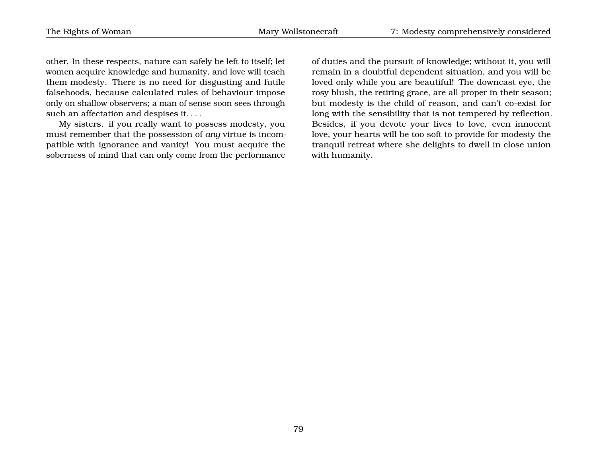other. In these respects, nature can safely be left to itself; let women acquire knowledge and humanity, and love will teach them modesty. There is no need for disgusting and futile falsehoods, because calculated rules of behaviour impose only on shallow observers; a man of sense soon sees through such an affectation and despises it. . . .

My sisters. if you really want to possess modesty, you must remember that the possession of *any* virtue is incompatible with ignorance and vanity! You must acquire the soberness of mind that can only come from the performance of duties and the pursuit of knowledge; without it, you will remain in a doubtful dependent situation, and you will be loved only while you are beautiful! The downcast eye, the rosy blush, the retiring grace, are all proper in their season; but modesty is the child of reason, and can't co-exist for long with the sensibility that is not tempered by reflection. Besides, if you devote your lives to love, even innocent love, your hearts will be too soft to provide for modesty the tranquil retreat where she delights to dwell in close union with humanity.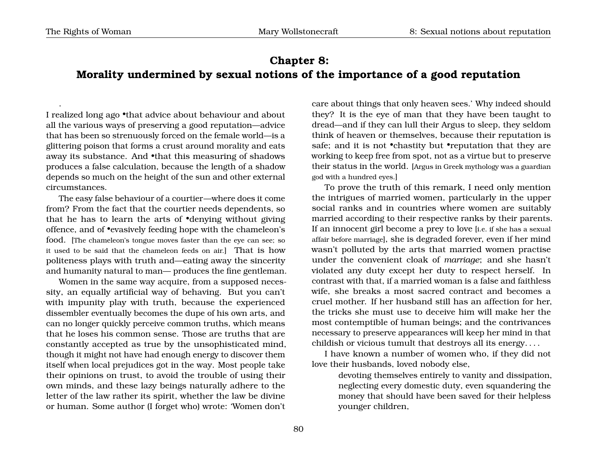.

# **Chapter 8: Morality undermined by sexual notions of the importance of a good reputation**

I realized long ago •that advice about behaviour and about all the various ways of preserving a good reputation—advice that has been so strenuously forced on the female world—is a glittering poison that forms a crust around morality and eats away its substance. And •that this measuring of shadows produces a false calculation, because the length of a shadow depends so much on the height of the sun and other external circumstances.

The easy false behaviour of a courtier—where does it come from? From the fact that the courtier needs dependents, so that he has to learn the arts of •denying without giving offence, and of •evasively feeding hope with the chameleon's food. [The chameleon's tongue moves faster than the eye can see; so it used to be said that the chameleon feeds on air.] That is how politeness plays with truth and—eating away the sincerity and humanity natural to man— produces the fine gentleman.

Women in the same way acquire, from a supposed necessity, an equally artificial way of behaving. But you can't with impunity play with truth, because the experienced dissembler eventually becomes the dupe of his own arts, and can no longer quickly perceive common truths, which means that he loses his common sense. Those are truths that are constantly accepted as true by the unsophisticated mind, though it might not have had enough energy to discover them itself when local prejudices got in the way. Most people take their opinions on trust, to avoid the trouble of using their own minds, and these lazy beings naturally adhere to the letter of the law rather its spirit, whether the law be divine or human. Some author (I forget who) wrote: 'Women don't

care about things that only heaven sees.' Why indeed should they? It is the eye of man that they have been taught to dread—and if they can lull their Argus to sleep, they seldom think of heaven or themselves, because their reputation is safe; and it is not •chastity but •reputation that they are working to keep free from spot, not as a virtue but to preserve their status in the world. [Argus in Greek mythology was a guardian god with a hundred eyes.]

To prove the truth of this remark, I need only mention the intrigues of married women, particularly in the upper social ranks and in countries where women are suitably married according to their respective ranks by their parents. If an innocent girl become a prey to love [i.e. if she has a sexual affair before marriage], she is degraded forever, even if her mind wasn't polluted by the arts that married women practise under the convenient cloak of *marriage*; and she hasn't violated any duty except her duty to respect herself. In contrast with that, if a married woman is a false and faithless wife, she breaks a most sacred contract and becomes a cruel mother. If her husband still has an affection for her, the tricks she must use to deceive him will make her the most contemptible of human beings; and the contrivances necessary to preserve appearances will keep her mind in that childish or vicious tumult that destroys all its energy. . . .

I have known a number of women who, if they did not love their husbands, loved nobody else,

> devoting themselves entirely to vanity and dissipation, neglecting every domestic duty, even squandering the money that should have been saved for their helpless younger children,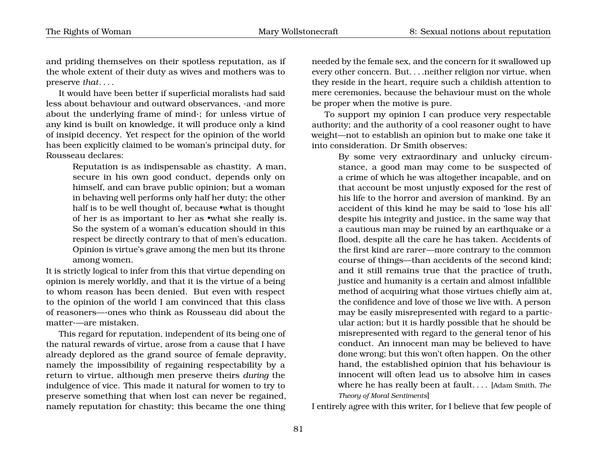and priding themselves on their spotless reputation, as if the whole extent of their duty as wives and mothers was to preserve *that*. . . .

It would have been better if superficial moralists had said less about behaviour and outward observances, ·and more about the underlying frame of mind·; for unless virtue of any kind is built on knowledge, it will produce only a kind of insipid decency. Yet respect for the opinion of the world has been explicitly claimed to be woman's principal duty, for Rousseau declares:

> Reputation is as indispensable as chastity. A man, secure in his own good conduct, depends only on himself, and can brave public opinion; but a woman in behaving well performs only half her duty; the other half is to be well thought of, because •what is thought of her is as important to her as •what she really is. So the system of a woman's education should in this respect be directly contrary to that of men's education. Opinion is virtue's grave among the men but its throne among women.

It is strictly logical to infer from this that virtue depending on opinion is merely worldly, and that it is the virtue of a being to whom reason has been denied. But even with respect to the opinion of the world I am convinced that this class of reasoners—·ones who think as Rousseau did about the matter·—are mistaken.

This regard for reputation, independent of its being one of the natural rewards of virtue, arose from a cause that I have already deplored as the grand source of female depravity, namely the impossibility of regaining respectability by a return to virtue, although men preserve theirs *during* the indulgence of vice. This made it natural for women to try to preserve something that when lost can never be regained, namely reputation for chastity; this became the one thing needed by the female sex, and the concern for it swallowed up every other concern. But. . . .neither religion nor virtue, when they reside in the heart, require such a childish attention to mere ceremonies, because the behaviour must on the whole be proper when the motive is pure.

To support my opinion I can produce very respectable authority; and the authority of a cool reasoner ought to have weight—not to establish an opinion but to make one take it into consideration. Dr Smith observes:

> By some very extraordinary and unlucky circumstance, a good man may come to be suspected of a crime of which he was altogether incapable, and on that account be most unjustly exposed for the rest of his life to the horror and aversion of mankind. By an accident of this kind he may be said to 'lose his all' despite his integrity and justice, in the same way that a cautious man may be ruined by an earthquake or a flood, despite all the care he has taken. Accidents of the first kind are rarer—more contrary to the common course of things—than accidents of the second kind; and it still remains true that the practice of truth, justice and humanity is a certain and almost infallible method of acquiring what those virtues chiefly aim at, the confidence and love of those we live with. A person may be easily misrepresented with regard to a particular action; but it is hardly possible that he should be misrepresented with regard to the general tenor of his conduct. An innocent man may be believed to have done wrong; but this won't often happen. On the other hand, the established opinion that his behaviour is innocent will often lead us to absolve him in cases where he has really been at fault. . . . [Adam Smith, *The Theory of Moral Sentiments*]

I entirely agree with this writer, for I believe that few people of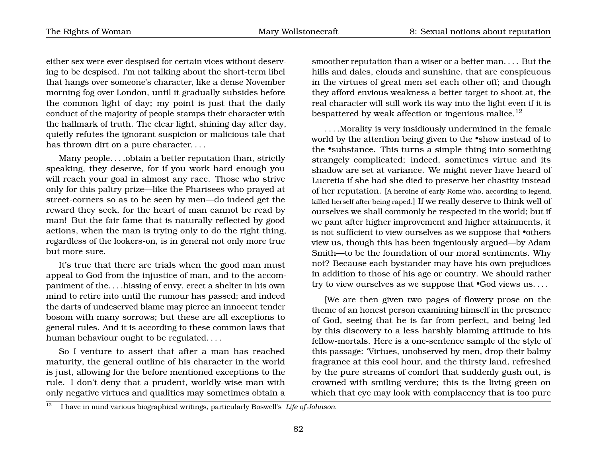either sex were ever despised for certain vices without deserving to be despised. I'm not talking about the short-term libel that hangs over someone's character, like a dense November morning fog over London, until it gradually subsides before the common light of day; my point is just that the daily conduct of the majority of people stamps their character with the hallmark of truth. The clear light, shining day after day, quietly refutes the ignorant suspicion or malicious tale that has thrown dirt on a pure character....

Many people. . . .obtain a better reputation than, strictly speaking, they deserve, for if you work hard enough you will reach your goal in almost any race. Those who strive only for this paltry prize—like the Pharisees who prayed at street-corners so as to be seen by men—do indeed get the reward they seek, for the heart of man cannot be read by man! But the fair fame that is naturally reflected by good actions, when the man is trying only to do the right thing, regardless of the lookers-on, is in general not only more true but more sure.

It's true that there are trials when the good man must appeal to God from the injustice of man, and to the accompaniment of the. . . .hissing of envy, erect a shelter in his own mind to retire into until the rumour has passed; and indeed the darts of undeserved blame may pierce an innocent tender bosom with many sorrows; but these are all exceptions to general rules. And it is according to these common laws that human behaviour ought to be regulated. . . .

So I venture to assert that after a man has reached maturity, the general outline of his character in the world is just, allowing for the before mentioned exceptions to the rule. I don't deny that a prudent, worldly-wise man with only negative virtues and qualities may sometimes obtain a

smoother reputation than a wiser or a better man. . . . But the hills and dales, clouds and sunshine, that are conspicuous in the virtues of great men set each other off; and though they afford envious weakness a better target to shoot at, the real character will still work its way into the light even if it is bespattered by weak affection or ingenious malice.<sup>[12](#page-85-0)</sup>

. . . .Morality is very insidiously undermined in the female world by the attention being given to the •show instead of to the •substance. This turns a simple thing into something strangely complicated; indeed, sometimes virtue and its shadow are set at variance. We might never have heard of Lucretia if she had she died to preserve her chastity instead of her reputation. [A heroine of early Rome who, according to legend, killed herself after being raped.] If we really deserve to think well of ourselves we shall commonly be respected in the world; but if we pant after higher improvement and higher attainments, it is not sufficient to view ourselves as we suppose that *•*others view us, though this has been ingeniously argued—by Adam Smith—to be the foundation of our moral sentiments. Why not? Because each bystander may have his own prejudices in addition to those of his age or country. We should rather try to view ourselves as we suppose that •God views us. . . .

[We are then given two pages of flowery prose on the theme of an honest person examining himself in the presence of God, seeing that he is far from perfect, and being led by this discovery to a less harshly blaming attitude to his fellow-mortals. Here is a one-sentence sample of the style of this passage: 'Virtues, unobserved by men, drop their balmy fragrance at this cool hour, and the thirsty land, refreshed by the pure streams of comfort that suddenly gush out, is crowned with smiling verdure; this is the living green on which that eye may look with complacency that is too pure

<span id="page-85-0"></span><sup>12</sup> I have in mind various biographical writings, particularly Boswell's *Life of Johnson*.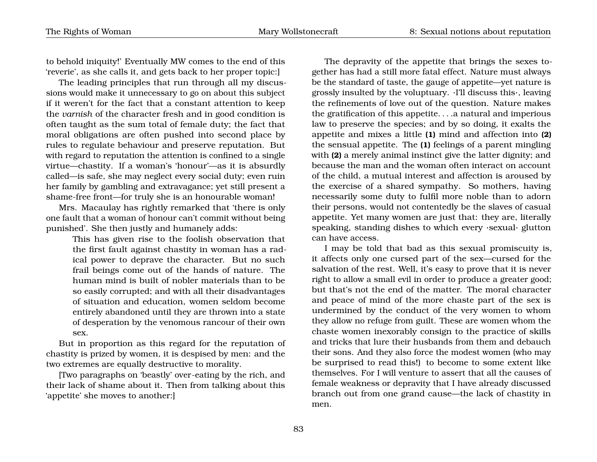to behold iniquity!' Eventually MW comes to the end of this 'reverie', as she calls it, and gets back to her proper topic:]

The leading principles that run through all my discussions would make it unnecessary to go on about this subject if it weren't for the fact that a constant attention to keep the *varnish* of the character fresh and in good condition is often taught as the sum total of female duty; the fact that moral obligations are often pushed into second place by rules to regulate behaviour and preserve reputation. But with regard to reputation the attention is confined to a single virtue—chastity. If a woman's 'honour'—as it is absurdly called—is safe, she may neglect every social duty; even ruin her family by gambling and extravagance; yet still present a shame-free front—for truly she is an honourable woman!

Mrs. Macaulay has rightly remarked that 'there is only one fault that a woman of honour can't commit without being punished'. She then justly and humanely adds:

> This has given rise to the foolish observation that the first fault against chastity in woman has a radical power to deprave the character. But no such frail beings come out of the hands of nature. The human mind is built of nobler materials than to be so easily corrupted; and with all their disadvantages of situation and education, women seldom become entirely abandoned until they are thrown into a state of desperation by the venomous rancour of their own sex.

But in proportion as this regard for the reputation of chastity is prized by women, it is despised by men: and the two extremes are equally destructive to morality.

[Two paragraphs on 'beastly' over-eating by the rich, and their lack of shame about it. Then from talking about this 'appetite' she moves to another:]

The depravity of the appetite that brings the sexes together has had a still more fatal effect. Nature must always be the standard of taste, the gauge of appetite—yet nature is grossly insulted by the voluptuary. ·I'll discuss this·, leaving the refinements of love out of the question. Nature makes the gratification of this appetite. . . .a natural and imperious law to preserve the species; and by so doing, it exalts the appetite and mixes a little **(1)** mind and affection into **(2)** the sensual appetite. The **(1)** feelings of a parent mingling with **(2)** a merely animal instinct give the latter dignity; and because the man and the woman often interact on account of the child, a mutual interest and affection is aroused by the exercise of a shared sympathy. So mothers, having necessarily some duty to fulfil more noble than to adorn their persons, would not contentedly be the slaves of casual appetite. Yet many women are just that: they are, literally speaking, standing dishes to which every ·sexual· glutton can have access.

I may be told that bad as this sexual promiscuity is, it affects only one cursed part of the sex—cursed for the salvation of the rest. Well, it's easy to prove that it is never right to allow a small evil in order to produce a greater good; but that's not the end of the matter. The moral character and peace of mind of the more chaste part of the sex is undermined by the conduct of the very women to whom they allow no refuge from guilt. These are women whom the chaste women inexorably consign to the practice of skills and tricks that lure their husbands from them and debauch their sons. And they also force the modest women (who may be surprised to read this!) to become to some extent like themselves. For I will venture to assert that all the causes of female weakness or depravity that I have already discussed branch out from one grand cause—the lack of chastity in men.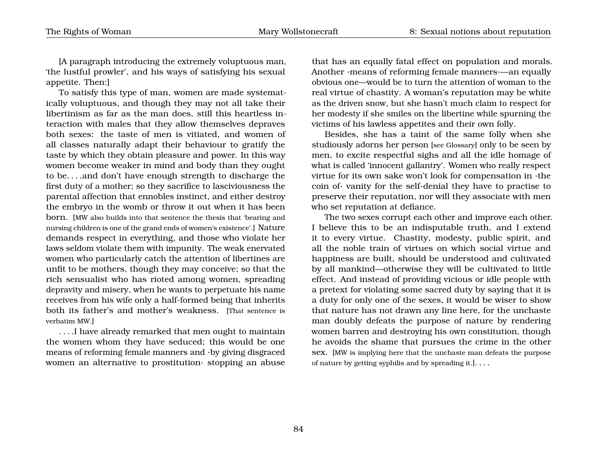[A paragraph introducing the extremely voluptuous man, 'the lustful prowler', and his ways of satisfying his sexual appetite. Then:]

To satisfy this type of man, women are made systematically voluptuous, and though they may not all take their libertinism as far as the man does, still this heartless interaction with males that they allow themselves depraves both sexes: the taste of men is vitiated, and women of all classes naturally adapt their behaviour to gratify the taste by which they obtain pleasure and power. In this way women become weaker in mind and body than they ought to be. . . .and don't have enough strength to discharge the first duty of a mother; so they sacrifice to lasciviousness the parental affection that ennobles instinct, and either destroy the embryo in the womb or throw it out when it has been born. [MW also builds into that sentence the thesis that 'bearing and nursing children is one of the grand ends of women's existence'.] Nature demands respect in everything, and those who violate her laws seldom violate them with impunity. The weak enervated women who particularly catch the attention of libertines are unfit to be mothers, though they may conceive; so that the rich sensualist who has rioted among women, spreading depravity and misery, when he wants to perpetuate his name receives from his wife only a half-formed being that inherits both its father's and mother's weakness. [That sentence is verbatim MW.]

. . . .I have already remarked that men ought to maintain the women whom they have seduced; this would be one means of reforming female manners and ·by giving disgraced women an alternative to prostitution· stopping an abuse that has an equally fatal effect on population and morals. Another ·means of reforming female manners·—an equally obvious one—would be to turn the attention of woman to the real virtue of chastity. A woman's reputation may be white as the driven snow, but she hasn't much claim to respect for her modesty if she smiles on the libertine while spurning the victims of his lawless appetites and their own folly.

Besides, she has a taint of the same folly when she studiously adorns her person [see Glossary] only to be seen by men, to excite respectful sighs and all the idle homage of what is called 'innocent gallantry'. Women who really respect virtue for its own sake won't look for compensation in ·the coin of· vanity for the self-denial they have to practise to preserve their reputation, nor will they associate with men who set reputation at defiance.

The two sexes corrupt each other and improve each other. I believe this to be an indisputable truth, and I extend it to every virtue. Chastity, modesty, public spirit, and all the noble train of virtues on which social virtue and happiness are built, should be understood and cultivated by all mankind—otherwise they will be cultivated to little effect. And instead of providing vicious or idle people with a pretext for violating some sacred duty by saying that it is a duty for only one of the sexes, it would be wiser to show that nature has not drawn any line here, for the unchaste man doubly defeats the purpose of nature by rendering women barren and destroying his own constitution, though he avoids the shame that pursues the crime in the other sex. [MW is implying here that the unchaste man defeats the purpose of nature by getting syphilis and by spreading it.]. . . .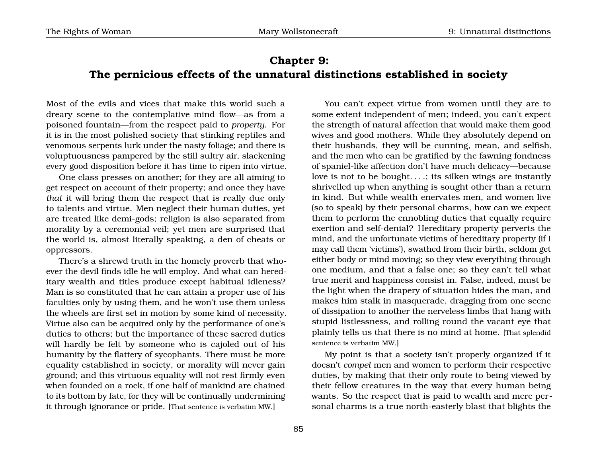## **Chapter 9: The pernicious effects of the unnatural distinctions established in society**

Most of the evils and vices that make this world such a dreary scene to the contemplative mind flow—as from a poisoned fountain—from the respect paid to *property*. For it is in the most polished society that stinking reptiles and venomous serpents lurk under the nasty foliage; and there is voluptuousness pampered by the still sultry air, slackening every good disposition before it has time to ripen into virtue.

One class presses on another; for they are all aiming to get respect on account of their property; and once they have *that* it will bring them the respect that is really due only to talents and virtue. Men neglect their human duties, yet are treated like demi-gods; religion is also separated from morality by a ceremonial veil; yet men are surprised that the world is, almost literally speaking, a den of cheats or oppressors.

There's a shrewd truth in the homely proverb that whoever the devil finds idle he will employ. And what can hereditary wealth and titles produce except habitual idleness? Man is so constituted that he can attain a proper use of his faculties only by using them, and he won't use them unless the wheels are first set in motion by some kind of necessity. Virtue also can be acquired only by the performance of one's duties to others; but the importance of these sacred duties will hardly be felt by someone who is cajoled out of his humanity by the flattery of sycophants. There must be more equality established in society, or morality will never gain ground; and this virtuous equality will not rest firmly even when founded on a rock, if one half of mankind are chained to its bottom by fate, for they will be continually undermining it through ignorance or pride. [That sentence is verbatim MW.]

You can't expect virtue from women until they are to some extent independent of men; indeed, you can't expect the strength of natural affection that would make them good wives and good mothers. While they absolutely depend on their husbands, they will be cunning, mean, and selfish, and the men who can be gratified by the fawning fondness of spaniel-like affection don't have much delicacy—because love is not to be bought. . . .; its silken wings are instantly shrivelled up when anything is sought other than a return in kind. But while wealth enervates men, and women live (so to speak) by their personal charms, how can we expect them to perform the ennobling duties that equally require exertion and self-denial? Hereditary property perverts the mind, and the unfortunate victims of hereditary property (if I may call them 'victims'), swathed from their birth, seldom get either body or mind moving; so they view everything through one medium, and that a false one; so they can't tell what true merit and happiness consist in. False, indeed, must be the light when the drapery of situation hides the man, and makes him stalk in masquerade, dragging from one scene of dissipation to another the nerveless limbs that hang with stupid listlessness, and rolling round the vacant eye that plainly tells us that there is no mind at home. [That splendid sentence is verbatim MW.]

My point is that a society isn't properly organized if it doesn't *compel* men and women to perform their respective duties, by making that their only route to being viewed by their fellow creatures in the way that every human being wants. So the respect that is paid to wealth and mere personal charms is a true north-easterly blast that blights the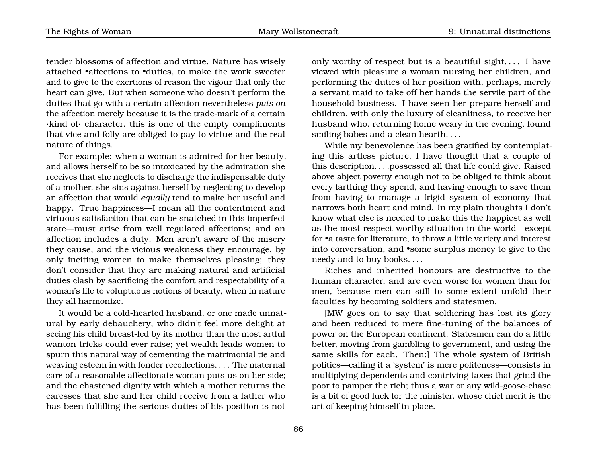tender blossoms of affection and virtue. Nature has wisely attached •affections to •duties, to make the work sweeter and to give to the exertions of reason the vigour that only the heart can give. But when someone who doesn't perform the duties that go with a certain affection nevertheless *puts on* the affection merely because it is the trade-mark of a certain ·kind of· character, this is one of the empty compliments that vice and folly are obliged to pay to virtue and the real nature of things.

For example: when a woman is admired for her beauty, and allows herself to be so intoxicated by the admiration she receives that she neglects to discharge the indispensable duty of a mother, she sins against herself by neglecting to develop an affection that would *equally* tend to make her useful and happy. True happiness—I mean all the contentment and virtuous satisfaction that can be snatched in this imperfect state—must arise from well regulated affections; and an affection includes a duty. Men aren't aware of the misery they cause, and the vicious weakness they encourage, by only inciting women to make themselves pleasing; they don't consider that they are making natural and artificial duties clash by sacrificing the comfort and respectability of a woman's life to voluptuous notions of beauty, when in nature they all harmonize.

It would be a cold-hearted husband, or one made unnatural by early debauchery, who didn't feel more delight at seeing his child breast-fed by its mother than the most artful wanton tricks could ever raise; yet wealth leads women to spurn this natural way of cementing the matrimonial tie and weaving esteem in with fonder recollections. . . . The maternal care of a reasonable affectionate woman puts us on her side; and the chastened dignity with which a mother returns the caresses that she and her child receive from a father who has been fulfilling the serious duties of his position is not

only worthy of respect but is a beautiful sight. . . . I have viewed with pleasure a woman nursing her children, and performing the duties of her position with, perhaps, merely a servant maid to take off her hands the servile part of the household business. I have seen her prepare herself and children, with only the luxury of cleanliness, to receive her husband who, returning home weary in the evening, found smiling babes and a clean hearth....

While my benevolence has been gratified by contemplating this artless picture, I have thought that a couple of this description. . . .possessed all that life could give. Raised above abject poverty enough not to be obliged to think about every farthing they spend, and having enough to save them from having to manage a frigid system of economy that narrows both heart and mind. In my plain thoughts I don't know what else is needed to make this the happiest as well as the most respect-worthy situation in the world—except for •a taste for literature, to throw a little variety and interest into conversation, and •some surplus money to give to the needy and to buy books. . . .

Riches and inherited honours are destructive to the human character, and are even worse for women than for men, because men can still to some extent unfold their faculties by becoming soldiers and statesmen.

[MW goes on to say that soldiering has lost its glory and been reduced to mere fine-tuning of the balances of power on the European continent. Statesmen can do a little better, moving from gambling to government, and using the same skills for each. Then:] The whole system of British politics—calling it a 'system' is mere politeness—consists in multiplying dependents and contriving taxes that grind the poor to pamper the rich; thus a war or any wild-goose-chase is a bit of good luck for the minister, whose chief merit is the art of keeping himself in place.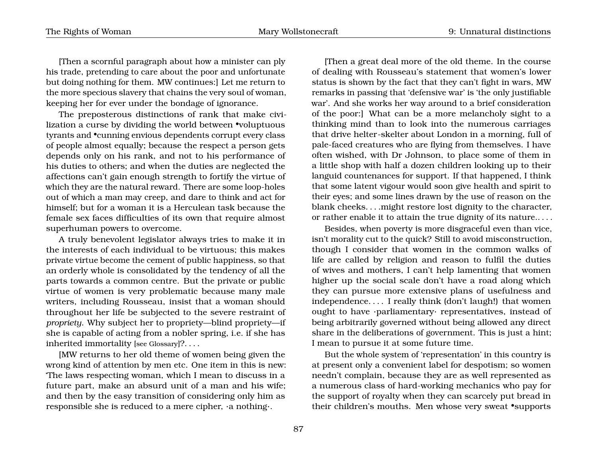[Then a scornful paragraph about how a minister can ply his trade, pretending to care about the poor and unfortunate but doing nothing for them. MW continues:] Let me return to the more specious slavery that chains the very soul of woman, keeping her for ever under the bondage of ignorance.

The preposterous distinctions of rank that make civilization a curse by dividing the world between •voluptuous tyrants and •cunning envious dependents corrupt every class of people almost equally; because the respect a person gets depends only on his rank, and not to his performance of his duties to others; and when the duties are neglected the affections can't gain enough strength to fortify the virtue of which they are the natural reward. There are some loop-holes out of which a man may creep, and dare to think and act for himself; but for a woman it is a Herculean task because the female sex faces difficulties of its own that require almost superhuman powers to overcome.

A truly benevolent legislator always tries to make it in the interests of each individual to be virtuous; this makes private virtue become the cement of public happiness, so that an orderly whole is consolidated by the tendency of all the parts towards a common centre. But the private or public virtue of women is very problematic because many male writers, including Rousseau, insist that a woman should throughout her life be subjected to the severe restraint of *propriety*. Why subject her to propriety—blind propriety—if she is capable of acting from a nobler spring, i.e. if she has inherited immortality [see Glossary]?. . . .

[MW returns to her old theme of women being given the wrong kind of attention by men etc. One item in this is new: 'The laws respecting woman, which I mean to discuss in a future part, make an absurd unit of a man and his wife; and then by the easy transition of considering only him as responsible she is reduced to a mere cipher, ·a nothing·.

[Then a great deal more of the old theme. In the course of dealing with Rousseau's statement that women's lower status is shown by the fact that they can't fight in wars, MW remarks in passing that 'defensive war' is 'the only justifiable war'. And she works her way around to a brief consideration of the poor:] What can be a more melancholy sight to a thinking mind than to look into the numerous carriages that drive helter-skelter about London in a morning, full of pale-faced creatures who are flying from themselves. I have often wished, with Dr Johnson, to place some of them in a little shop with half a dozen children looking up to their languid countenances for support. If that happened, I think that some latent vigour would soon give health and spirit to their eyes; and some lines drawn by the use of reason on the blank cheeks. . . .might restore lost dignity to the character, or rather enable it to attain the true dignity of its nature.. . . .

Besides, when poverty is more disgraceful even than vice, isn't morality cut to the quick? Still to avoid misconstruction, though I consider that women in the common walks of life are called by religion and reason to fulfil the duties of wives and mothers, I can't help lamenting that women higher up the social scale don't have a road along which they can pursue more extensive plans of usefulness and independence. . . . I really think (don't laugh!) that women ought to have ·parliamentary· representatives, instead of being arbitrarily governed without being allowed any direct share in the deliberations of government. This is just a hint; I mean to pursue it at some future time.

But the whole system of 'representation' in this country is at present only a convenient label for despotism; so women needn't complain, because they are as well represented as a numerous class of hard-working mechanics who pay for the support of royalty when they can scarcely put bread in their children's mouths. Men whose very sweat •supports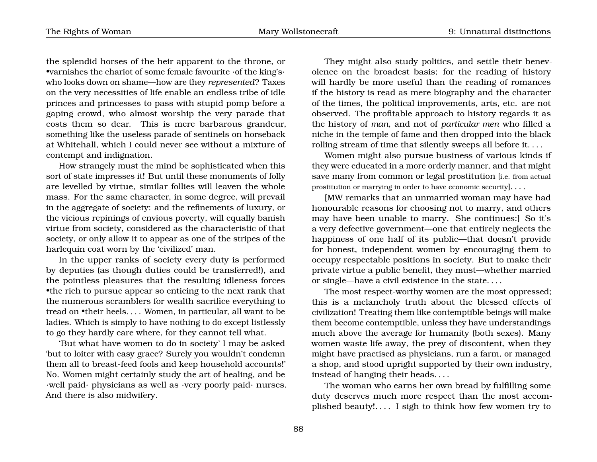the splendid horses of the heir apparent to the throne, or •varnishes the chariot of some female favourite ·of the king's· who looks down on shame—how are they *represented*? Taxes on the very necessities of life enable an endless tribe of idle princes and princesses to pass with stupid pomp before a gaping crowd, who almost worship the very parade that costs them so dear. This is mere barbarous grandeur, something like the useless parade of sentinels on horseback at Whitehall, which I could never see without a mixture of contempt and indignation.

How strangely must the mind be sophisticated when this sort of state impresses it! But until these monuments of folly are levelled by virtue, similar follies will leaven the whole mass. For the same character, in some degree, will prevail in the aggregate of society: and the refinements of luxury, or the vicious repinings of envious poverty, will equally banish virtue from society, considered as the characteristic of that society, or only allow it to appear as one of the stripes of the harlequin coat worn by the 'civilized' man.

In the upper ranks of society every duty is performed by deputies (as though duties could be transferred!), and the pointless pleasures that the resulting idleness forces •the rich to pursue appear so enticing to the next rank that the numerous scramblers for wealth sacrifice everything to tread on •their heels. . . . Women, in particular, all want to be ladies. Which is simply to have nothing to do except listlessly to go they hardly care where, for they cannot tell what.

'But what have women to do in society' I may be asked 'but to loiter with easy grace? Surely you wouldn't condemn them all to breast-feed fools and keep household accounts!' No. Women might certainly study the art of healing, and be ·well paid· physicians as well as ·very poorly paid· nurses. And there is also midwifery.

They might also study politics, and settle their benevolence on the broadest basis; for the reading of history will hardly be more useful than the reading of romances if the history is read as mere biography and the character of the times, the political improvements, arts, etc. are not observed. The profitable approach to history regards it as the history of *man*, and not of *particular men* who filled a niche in the temple of fame and then dropped into the black rolling stream of time that silently sweeps all before it. . . .

Women might also pursue business of various kinds if they were educated in a more orderly manner, and that might save many from common or legal prostitution [i.e. from actual prostitution or marrying in order to have economic security]. . . .

[MW remarks that an unmarried woman may have had honourable reasons for choosing not to marry, and others may have been unable to marry. She continues:] So it's a very defective government—one that entirely neglects the happiness of one half of its public—that doesn't provide for honest, independent women by encouraging them to occupy respectable positions in society. But to make their private virtue a public benefit, they must—whether married or single—have a civil existence in the state. . . .

The most respect-worthy women are the most oppressed; this is a melancholy truth about the blessed effects of civilization! Treating them like contemptible beings will make them become contemptible, unless they have understandings much above the average for humanity (both sexes). Many women waste life away, the prey of discontent, when they might have practised as physicians, run a farm, or managed a shop, and stood upright supported by their own industry, instead of hanging their heads. . . .

The woman who earns her own bread by fulfilling some duty deserves much more respect than the most accomplished beauty!. . . . I sigh to think how few women try to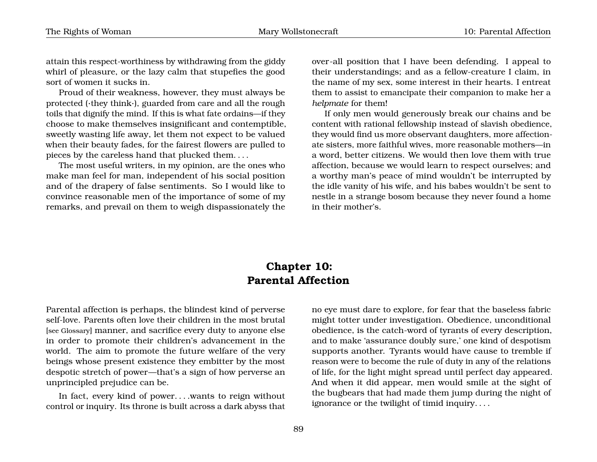attain this respect-worthiness by withdrawing from the giddy whirl of pleasure, or the lazy calm that stupefies the good sort of women it sucks in.

Proud of their weakness, however, they must always be protected (·they think·), guarded from care and all the rough toils that dignify the mind. If this is what fate ordains—if they choose to make themselves insignificant and contemptible, sweetly wasting life away, let them not expect to be valued when their beauty fades, for the fairest flowers are pulled to pieces by the careless hand that plucked them. . . .

The most useful writers, in my opinion, are the ones who make man feel for man, independent of his social position and of the drapery of false sentiments. So I would like to convince reasonable men of the importance of some of my remarks, and prevail on them to weigh dispassionately the over-all position that I have been defending. I appeal to their understandings; and as a fellow-creature I claim, in the name of my sex, some interest in their hearts. I entreat them to assist to emancipate their companion to make her a *helpmate* for them!

If only men would generously break our chains and be content with rational fellowship instead of slavish obedience, they would find us more observant daughters, more affectionate sisters, more faithful wives, more reasonable mothers—in a word, better citizens. We would then love them with true affection, because we would learn to respect ourselves; and a worthy man's peace of mind wouldn't be interrupted by the idle vanity of his wife, and his babes wouldn't be sent to nestle in a strange bosom because they never found a home in their mother's.

### **Chapter 10: Parental Affection**

Parental affection is perhaps, the blindest kind of perverse self-love. Parents often love their children in the most brutal [see Glossary] manner, and sacrifice every duty to anyone else in order to promote their children's advancement in the world. The aim to promote the future welfare of the very beings whose present existence they embitter by the most despotic stretch of power—that's a sign of how perverse an unprincipled prejudice can be.

In fact, every kind of power. . . .wants to reign without control or inquiry. Its throne is built across a dark abyss that no eye must dare to explore, for fear that the baseless fabric might totter under investigation. Obedience, unconditional obedience, is the catch-word of tyrants of every description, and to make 'assurance doubly sure,' one kind of despotism supports another. Tyrants would have cause to tremble if reason were to become the rule of duty in any of the relations of life, for the light might spread until perfect day appeared. And when it did appear, men would smile at the sight of the bugbears that had made them jump during the night of ignorance or the twilight of timid inquiry. . . .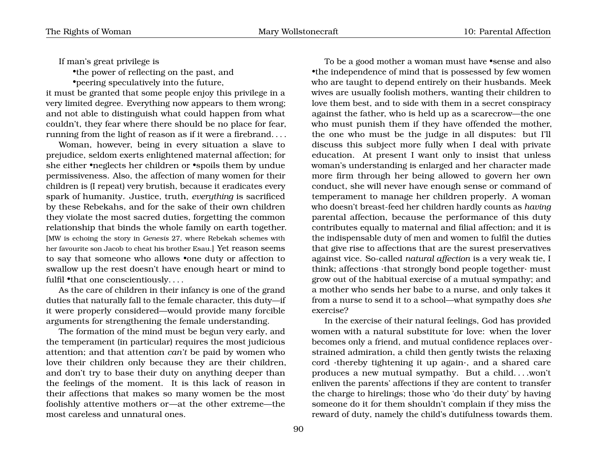If man's great privilege is

•the power of reflecting on the past, and

•peering speculatively into the future,

it must be granted that some people enjoy this privilege in a very limited degree. Everything now appears to them wrong; and not able to distinguish what could happen from what couldn't, they fear where there should be no place for fear, running from the light of reason as if it were a firebrand. . . .

Woman, however, being in every situation a slave to prejudice, seldom exerts enlightened maternal affection; for she either •neglects her children or •spoils them by undue permissiveness. Also, the affection of many women for their children is (I repeat) very brutish, because it eradicates every spark of humanity. Justice, truth, *everything* is sacrificed by these Rebekahs, and for the sake of their own children they violate the most sacred duties, forgetting the common relationship that binds the whole family on earth together. [MW is echoing the story in *Genesis* 27, where Rebekah schemes with her favourite son Jacob to cheat his brother Esau.] Yet reason seems to say that someone who allows •one duty or affection to swallow up the rest doesn't have enough heart or mind to fulfil •that one conscientiously....

As the care of children in their infancy is one of the grand duties that naturally fall to the female character, this duty—if it were properly considered—would provide many forcible arguments for strengthening the female understanding.

The formation of the mind must be begun very early, and the temperament (in particular) requires the most judicious attention; and that attention *can't* be paid by women who love their children only because they are their children, and don't try to base their duty on anything deeper than the feelings of the moment. It is this lack of reason in their affections that makes so many women be the most foolishly attentive mothers or—at the other extreme—the most careless and unnatural ones.

To be a good mother a woman must have •sense and also •the independence of mind that is possessed by few women who are taught to depend entirely on their husbands. Meek wives are usually foolish mothers, wanting their children to love them best, and to side with them in a secret conspiracy against the father, who is held up as a scarecrow—the one who must punish them if they have offended the mother, the one who must be the judge in all disputes: but I'll discuss this subject more fully when I deal with private education. At present I want only to insist that unless woman's understanding is enlarged and her character made more firm through her being allowed to govern her own conduct, she will never have enough sense or command of temperament to manage her children properly. A woman who doesn't breast-feed her children hardly counts as *having* parental affection, because the performance of this duty contributes equally to maternal and filial affection; and it is the indispensable duty of men and women to fulfil the duties that give rise to affections that are the surest preservatives against vice. So-called *natural affection* is a very weak tie, I think; affections ·that strongly bond people together· must grow out of the habitual exercise of a mutual sympathy; and a mother who sends her babe to a nurse, and only takes it from a nurse to send it to a school—what sympathy does *she* exercise?

In the exercise of their natural feelings, God has provided women with a natural substitute for love: when the lover becomes only a friend, and mutual confidence replaces overstrained admiration, a child then gently twists the relaxing cord ·thereby tightening it up again·, and a shared care produces a new mutual sympathy. But a child. . . .won't enliven the parents' affections if they are content to transfer the charge to hirelings; those who 'do their duty' by having someone do it for them shouldn't complain if they miss the reward of duty, namely the child's dutifulness towards them.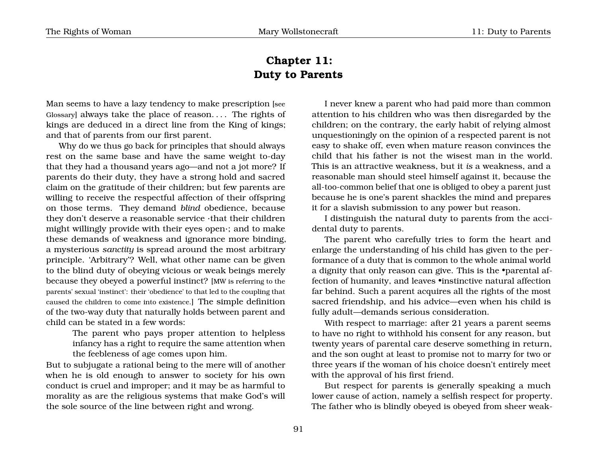## <span id="page-94-0"></span>**Chapter 11: Duty to Parents**

Man seems to have a lazy tendency to make prescription [see Glossary] always take the place of reason. . . . The rights of kings are deduced in a direct line from the King of kings; and that of parents from our first parent.

Why do we thus go back for principles that should always rest on the same base and have the same weight to-day that they had a thousand years ago—and not a jot more? If parents do their duty, they have a strong hold and sacred claim on the gratitude of their children; but few parents are willing to receive the respectful affection of their offspring on those terms. They demand *blind* obedience, because they don't deserve a reasonable service ·that their children might willingly provide with their eyes open·; and to make these demands of weakness and ignorance more binding, a mysterious *sanctity* is spread around the most arbitrary principle. 'Arbitrary'? Well, what other name can be given to the blind duty of obeying vicious or weak beings merely because they obeyed a powerful instinct? [MW is referring to the parents' sexual 'instinct': their 'obedience' to that led to the coupling that caused the children to come into existence.] The simple definition of the two-way duty that naturally holds between parent and child can be stated in a few words:

> The parent who pays proper attention to helpless infancy has a right to require the same attention when the feebleness of age comes upon him.

But to subjugate a rational being to the mere will of another when he is old enough to answer to society for his own conduct is cruel and improper; and it may be as harmful to morality as are the religious systems that make God's will the sole source of the line between right and wrong.

I never knew a parent who had paid more than common attention to his children who was then disregarded by the children; on the contrary, the early habit of relying almost unquestioningly on the opinion of a respected parent is not easy to shake off, even when mature reason convinces the child that his father is not the wisest man in the world. This is an attractive weakness, but it *is* a weakness, and a reasonable man should steel himself against it, because the all-too-common belief that one is obliged to obey a parent just because he is one's parent shackles the mind and prepares it for a slavish submission to any power but reason.

I distinguish the natural duty to parents from the accidental duty to parents.

The parent who carefully tries to form the heart and enlarge the understanding of his child has given to the performance of a duty that is common to the whole animal world a dignity that only reason can give. This is the •parental affection of humanity, and leaves •instinctive natural affection far behind. Such a parent acquires all the rights of the most sacred friendship, and his advice—even when his child is fully adult—demands serious consideration.

With respect to marriage: after 21 years a parent seems to have no right to withhold his consent for any reason, but twenty years of parental care deserve something in return, and the son ought at least to promise not to marry for two or three years if the woman of his choice doesn't entirely meet with the approval of his first friend.

But respect for parents is generally speaking a much lower cause of action, namely a selfish respect for property. The father who is blindly obeyed is obeyed from sheer weak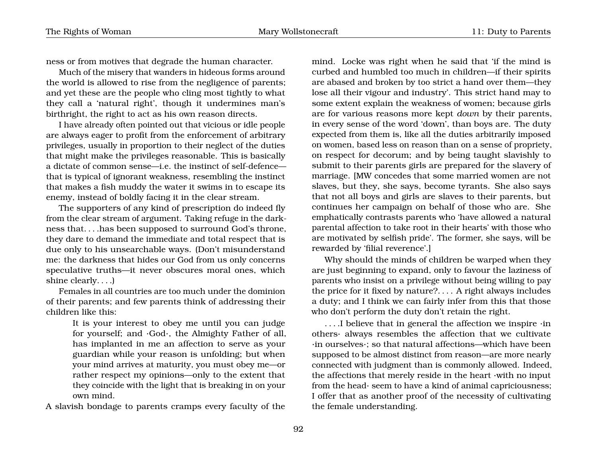ness or from motives that degrade the human character.

Much of the misery that wanders in hideous forms around the world is allowed to rise from the negligence of parents; and yet these are the people who cling most tightly to what they call a 'natural right', though it undermines man's birthright, the right to act as his own reason directs.

I have already often pointed out that vicious or idle people are always eager to profit from the enforcement of arbitrary privileges, usually in proportion to their neglect of the duties that might make the privileges reasonable. This is basically a dictate of common sense—i.e. the instinct of self-defence that is typical of ignorant weakness, resembling the instinct that makes a fish muddy the water it swims in to escape its enemy, instead of boldly facing it in the clear stream.

The supporters of any kind of prescription do indeed fly from the clear stream of argument. Taking refuge in the darkness that. . . .has been supposed to surround God's throne, they dare to demand the immediate and total respect that is due only to his unsearchable ways. (Don't misunderstand me: the darkness that hides our God from us only concerns speculative truths—it never obscures moral ones, which shine clearly. . . .)

Females in all countries are too much under the dominion of their parents; and few parents think of addressing their children like this:

> It is your interest to obey me until you can judge for yourself; and ·God·, the Almighty Father of all, has implanted in me an affection to serve as your guardian while your reason is unfolding; but when your mind arrives at maturity, you must obey me—or rather respect my opinions—only to the extent that they coincide with the light that is breaking in on your own mind.

A slavish bondage to parents cramps every faculty of the

mind. Locke was right when he said that 'if the mind is curbed and humbled too much in children—if their spirits are abased and broken by too strict a hand over them—they lose all their vigour and industry'. This strict hand may to some extent explain the weakness of women; because girls are for various reasons more kept *down* by their parents, in every sense of the word 'down', than boys are. The duty expected from them is, like all the duties arbitrarily imposed on women, based less on reason than on a sense of propriety, on respect for decorum; and by being taught slavishly to submit to their parents girls are prepared for the slavery of marriage. [MW concedes that some married women are not slaves, but they, she says, become tyrants. She also says that not all boys and girls are slaves to their parents, but continues her campaign on behalf of those who are. She emphatically contrasts parents who 'have allowed a natural parental affection to take root in their hearts' with those who are motivated by selfish pride'. The former, she says, will be rewarded by 'filial reverence'.]

Why should the minds of children be warped when they are just beginning to expand, only to favour the laziness of parents who insist on a privilege without being willing to pay the price for it fixed by nature?. . . . A right always includes a duty; and I think we can fairly infer from this that those who don't perform the duty don't retain the right.

. . . .I believe that in general the affection we inspire ·in others· always resembles the affection that we cultivate ·in ourselves·; so that natural affections—which have been supposed to be almost distinct from reason—are more nearly connected with judgment than is commonly allowed. Indeed, the affections that merely reside in the heart ·with no input from the head· seem to have a kind of animal capriciousness; I offer that as another proof of the necessity of cultivating the female understanding.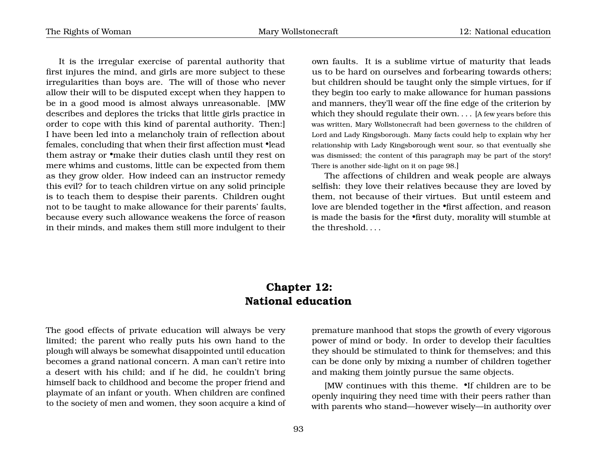It is the irregular exercise of parental authority that first injures the mind, and girls are more subject to these irregularities than boys are. The will of those who never allow their will to be disputed except when they happen to be in a good mood is almost always unreasonable. [MW describes and deplores the tricks that little girls practice in order to cope with this kind of parental authority. Then:] I have been led into a melancholy train of reflection about females, concluding that when their first affection must •lead them astray or •make their duties clash until they rest on mere whims and customs, little can be expected from them as they grow older. How indeed can an instructor remedy this evil? for to teach children virtue on any solid principle is to teach them to despise their parents. Children ought not to be taught to make allowance for their parents' faults, because every such allowance weakens the force of reason in their minds, and makes them still more indulgent to their own faults. It is a sublime virtue of maturity that leads us to be hard on ourselves and forbearing towards others; but children should be taught only the simple virtues, for if they begin too early to make allowance for human passions and manners, they'll wear off the fine edge of the criterion by which they should regulate their own.... [A few years before this was written, Mary Wollstonecraft had been governess to the children of Lord and Lady Kingsborough. Many facts could help to explain why her relationship with Lady Kingsborough went sour, so that eventually she was dismissed; the content of this paragraph may be part of the story! There is another side-light on it on page [98.](#page-96-0)]

The affections of children and weak people are always selfish: they love their relatives because they are loved by them, not because of their virtues. But until esteem and love are blended together in the •first affection, and reason is made the basis for the •first duty, morality will stumble at the threshold. . . .

### <span id="page-96-0"></span>**Chapter 12: National education**

The good effects of private education will always be very limited; the parent who really puts his own hand to the plough will always be somewhat disappointed until education becomes a grand national concern. A man can't retire into a desert with his child; and if he did, he couldn't bring himself back to childhood and become the proper friend and playmate of an infant or youth. When children are confined to the society of men and women, they soon acquire a kind of premature manhood that stops the growth of every vigorous power of mind or body. In order to develop their faculties they should be stimulated to think for themselves; and this can be done only by mixing a number of children together and making them jointly pursue the same objects.

[MW continues with this theme. •If children are to be openly inquiring they need time with their peers rather than with parents who stand—however wisely—in authority over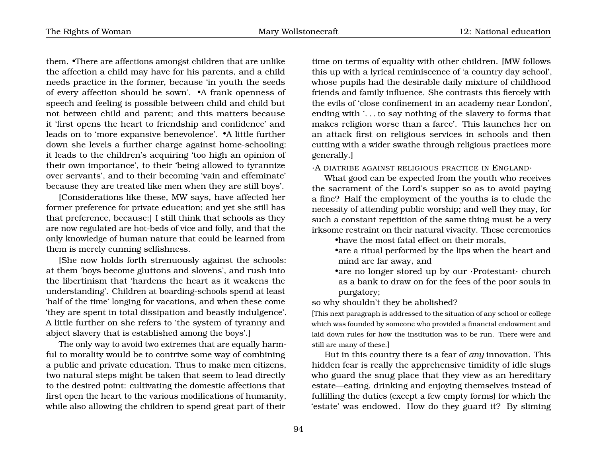them. •There are affections amongst children that are unlike the affection a child may have for his parents, and a child needs practice in the former, because 'in youth the seeds of every affection should be sown'. •A frank openness of speech and feeling is possible between child and child but not between child and parent; and this matters because it 'first opens the heart to friendship and confidence' and leads on to 'more expansive benevolence'. •A little further down she levels a further charge against home-schooling: it leads to the children's acquiring 'too high an opinion of their own importance', to their 'being allowed to tyrannize over servants', and to their becoming 'vain and effeminate' because they are treated like men when they are still boys'.

[Considerations like these, MW says, have affected her former preference for private education; and yet she still has that preference, because:] I still think that schools as they are now regulated are hot-beds of vice and folly, and that the only knowledge of human nature that could be learned from them is merely cunning selfishness.

[She now holds forth strenuously against the schools: at them 'boys become gluttons and slovens', and rush into the libertinism that 'hardens the heart as it weakens the understanding'. Children at boarding-schools spend at least 'half of the time' longing for vacations, and when these come 'they are spent in total dissipation and beastly indulgence'. A little further on she refers to 'the system of tyranny and abject slavery that is established among the boys'.]

The only way to avoid two extremes that are equally harmful to morality would be to contrive some way of combining a public and private education. Thus to make men citizens, two natural steps might be taken that seem to lead directly to the desired point: cultivating the domestic affections that first open the heart to the various modifications of humanity, while also allowing the children to spend great part of their

time on terms of equality with other children. [MW follows this up with a lyrical reminiscence of 'a country day school', whose pupils had the desirable daily mixture of childhood friends and family influence. She contrasts this fiercely with the evils of 'close confinement in an academy near London', ending with '. . . to say nothing of the slavery to forms that makes religion worse than a farce'. This launches her on an attack first on religious services in schools and then cutting with a wider swathe through religious practices more generally.]

·A DIATRIBE AGAINST RELIGIOUS PRACTICE IN ENGLAND·

What good can be expected from the youth who receives the sacrament of the Lord's supper so as to avoid paying a fine? Half the employment of the youths is to elude the necessity of attending public worship; and well they may, for such a constant repetition of the same thing must be a very irksome restraint on their natural vivacity. These ceremonies

•have the most fatal effect on their morals,

- •are a ritual performed by the lips when the heart and mind are far away, and
- •are no longer stored up by our ·Protestant· church as a bank to draw on for the fees of the poor souls in purgatory;

so why shouldn't they be abolished?

[This next paragraph is addressed to the situation of any school or college which was founded by someone who provided a financial endowment and laid down rules for how the institution was to be run. There were and still are many of these.]

But in this country there is a fear of *any* innovation. This hidden fear is really the apprehensive timidity of idle slugs who guard the snug place that they view as an hereditary estate—eating, drinking and enjoying themselves instead of fulfilling the duties (except a few empty forms) for which the 'estate' was endowed. How do they guard it? By sliming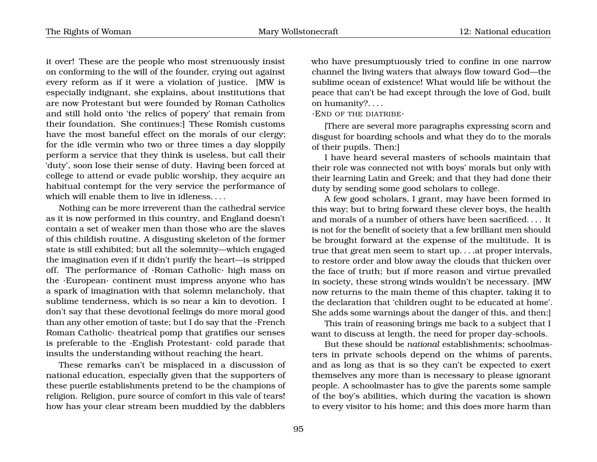it over! These are the people who most strenuously insist on conforming to the will of the founder, crying out against every reform as if it were a violation of justice. [MW is especially indignant, she explains, about institutions that are now Protestant but were founded by Roman Catholics and still hold onto 'the relics of popery' that remain from their foundation. She continues:] These Romish customs have the most baneful effect on the morals of our clergy; for the idle vermin who two or three times a day sloppily perform a service that they think is useless, but call their 'duty', soon lose their sense of duty. Having been forced at college to attend or evade public worship, they acquire an habitual contempt for the very service the performance of which will enable them to live in idleness....

Nothing can be more irreverent than the cathedral service as it is now performed in this country, and England doesn't contain a set of weaker men than those who are the slaves of this childish routine. A disgusting skeleton of the former state is still exhibited; but all the solemnity—which engaged the imagination even if it didn't purify the heart—is stripped off. The performance of ·Roman Catholic· high mass on the ·European· continent must impress anyone who has a spark of imagination with that solemn melancholy, that sublime tenderness, which is so near a kin to devotion. I don't say that these devotional feelings do more moral good than any other emotion of taste; but I do say that the ·French Roman Catholic· theatrical pomp that gratifies our senses is preferable to the ·English Protestant· cold parade that insults the understanding without reaching the heart.

These remarks can't be misplaced in a discussion of national education, especially given that the supporters of these puerile establishments pretend to be the champions of religion. Religion, pure source of comfort in this vale of tears! how has your clear stream been muddied by the dabblers

who have presumptuously tried to confine in one narrow channel the living waters that always flow toward God—the sublime ocean of existence! What would life be without the peace that can't be had except through the love of God, built on humanity?. . . .

·END OF THE DIATRIBE·

[There are several more paragraphs expressing scorn and disgust for boarding schools and what they do to the morals of their pupils. Then:]

I have heard several masters of schools maintain that their role was connected not with boys' morals but only with their learning Latin and Greek; and that they had done their duty by sending some good scholars to college.

A few good scholars, I grant, may have been formed in this way; but to bring forward these clever boys, the health and morals of a number of others have been sacrificed. . . . It is not for the benefit of society that a few brilliant men should be brought forward at the expense of the multitude. It is true that great men seem to start up. . . .at proper intervals, to restore order and blow away the clouds that thicken over the face of truth; but if more reason and virtue prevailed in society, these strong winds wouldn't be necessary. [MW now returns to the main theme of this chapter, taking it to the declaration that 'children ought to be educated at home'. She adds some warnings about the danger of this, and then:]

This train of reasoning brings me back to a subject that I want to discuss at length, the need for proper day-schools.

But these should be *national* establishments; schoolmasters in private schools depend on the whims of parents, and as long as that is so they can't be expected to exert themselves any more than is necessary to please ignorant people. A schoolmaster has to give the parents some sample of the boy's abilities, which during the vacation is shown to every visitor to his home; and this does more harm than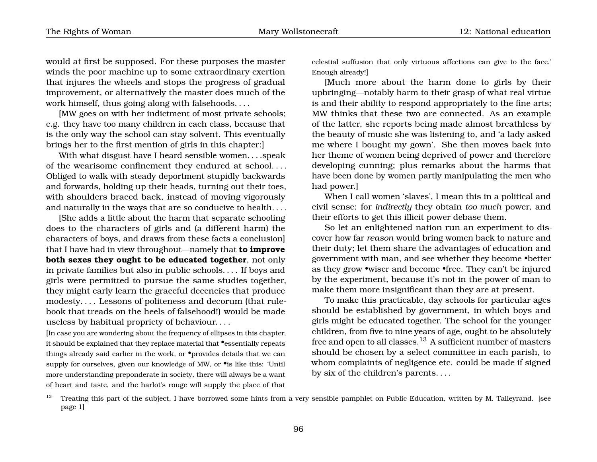would at first be supposed. For these purposes the master winds the poor machine up to some extraordinary exertion that injures the wheels and stops the progress of gradual improvement, or alternatively the master does much of the work himself, thus going along with falsehoods. . . .

[MW goes on with her indictment of most private schools; e.g. they have too many children in each class, because that is the only way the school can stay solvent. This eventually brings her to the first mention of girls in this chapter:]

With what disgust have I heard sensible women....speak of the wearisome confinement they endured at school. . . . Obliged to walk with steady deportment stupidly backwards and forwards, holding up their heads, turning out their toes, with shoulders braced back, instead of moving vigorously and naturally in the ways that are so conducive to health. . . .

[She adds a little about the harm that separate schooling does to the characters of girls and (a different harm) the characters of boys, and draws from these facts a conclusion] that I have had in view throughout—namely that **to improve both sexes they ought to be educated together**, not only in private families but also in public schools. . . . If boys and girls were permitted to pursue the same studies together, they might early learn the graceful decencies that produce modesty. . . . Lessons of politeness and decorum (that rulebook that treads on the heels of falsehood!) would be made useless by habitual propriety of behaviour. . . .

[In case you are wondering about the frequency of ellipses in this chapter, it should be explained that they replace material that •essentially repeats things already said earlier in the work, or  $\bullet$  provides details that we can supply for ourselves, given our knowledge of MW, or •is like this: 'Until more understanding preponderate in society, there will always be a want of heart and taste, and the harlot's rouge will supply the place of that celestial suffusion that only virtuous affections can give to the face.' Enough already!]

[Much more about the harm done to girls by their upbringing—notably harm to their grasp of what real virtue is and their ability to respond appropriately to the fine arts; MW thinks that these two are connected. As an example of the latter, she reports being made almost breathless by the beauty of music she was listening to, and 'a lady asked me where I bought my gown'. She then moves back into her theme of women being deprived of power and therefore developing cunning; plus remarks about the harms that have been done by women partly manipulating the men who had power.]

When I call women 'slaves', I mean this in a political and civil sense; for *indirectly* they obtain *too much* power, and their efforts to get this illicit power debase them.

So let an enlightened nation run an experiment to discover how far *reason* would bring women back to nature and their duty; let them share the advantages of education and government with man, and see whether they become •better as they grow •wiser and become •free. They can't be injured by the experiment, because it's not in the power of man to make them more insignificant than they are at present.

To make this practicable, day schools for particular ages should be established by government, in which boys and girls might be educated together. The school for the younger children, from five to nine years of age, ought to be absolutely free and open to all classes.<sup>[13](#page-99-0)</sup> A sufficient number of masters should be chosen by a select committee in each parish, to whom complaints of negligence etc. could be made if signed by six of the children's parents. . . .

<span id="page-99-0"></span><sup>&</sup>lt;sup>13</sup> Treating this part of the subject, I have borrowed some hints from a very sensible pamphlet on Public Education, written by M. Talleyrand. [see page [1\]](#page-4-0)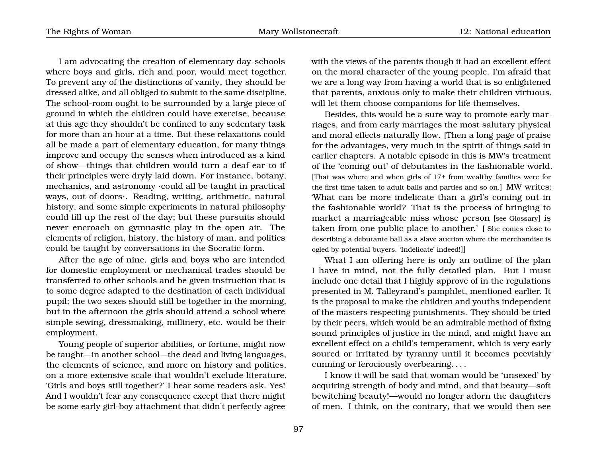I am advocating the creation of elementary day-schools where boys and girls, rich and poor, would meet together. To prevent any of the distinctions of vanity, they should be dressed alike, and all obliged to submit to the same discipline. The school-room ought to be surrounded by a large piece of ground in which the children could have exercise, because at this age they shouldn't be confined to any sedentary task for more than an hour at a time. But these relaxations could all be made a part of elementary education, for many things improve and occupy the senses when introduced as a kind of show—things that children would turn a deaf ear to if their principles were dryly laid down. For instance, botany, mechanics, and astronomy ·could all be taught in practical ways, out-of-doors·. Reading, writing, arithmetic, natural history, and some simple experiments in natural philosophy could fill up the rest of the day; but these pursuits should never encroach on gymnastic play in the open air. The elements of religion, history, the history of man, and politics could be taught by conversations in the Socratic form.

After the age of nine, girls and boys who are intended for domestic employment or mechanical trades should be transferred to other schools and be given instruction that is to some degree adapted to the destination of each individual pupil; the two sexes should still be together in the morning, but in the afternoon the girls should attend a school where simple sewing, dressmaking, millinery, etc. would be their employment.

Young people of superior abilities, or fortune, might now be taught—in another school—the dead and living languages, the elements of science, and more on history and politics, on a more extensive scale that wouldn't exclude literature. 'Girls and boys still together?' I hear some readers ask. Yes! And I wouldn't fear any consequence except that there might be some early girl-boy attachment that didn't perfectly agree

with the views of the parents though it had an excellent effect on the moral character of the young people. I'm afraid that we are a long way from having a world that is so enlightened that parents, anxious only to make their children virtuous, will let them choose companions for life themselves.

Besides, this would be a sure way to promote early marriages, and from early marriages the most salutary physical and moral effects naturally flow. [Then a long page of praise for the advantages, very much in the spirit of things said in earlier chapters. A notable episode in this is MW's treatment of the 'coming out' of debutantes in the fashionable world. [That was where and when girls of 17+ from wealthy families were for the first time taken to adult balls and parties and so on.] MW writes: 'What can be more indelicate than a girl's coming out in the fashionable world? That is the process of bringing to market a marriageable miss whose person [see Glossary] is taken from one public place to another.' [ She comes close to describing a debutante ball as a slave auction where the merchandise is ogled by potential buyers. 'Indelicate' indeed!]]

What I am offering here is only an outline of the plan I have in mind, not the fully detailed plan. But I must include one detail that I highly approve of in the regulations presented in M. Talleyrand's pamphlet, mentioned earlier. It is the proposal to make the children and youths independent of the masters respecting punishments. They should be tried by their peers, which would be an admirable method of fixing sound principles of justice in the mind, and might have an excellent effect on a child's temperament, which is very early soured or irritated by tyranny until it becomes peevishly cunning or ferociously overbearing. . . .

I know it will be said that woman would be 'unsexed' by acquiring strength of body and mind, and that beauty—soft bewitching beauty!—would no longer adorn the daughters of men. I think, on the contrary, that we would then see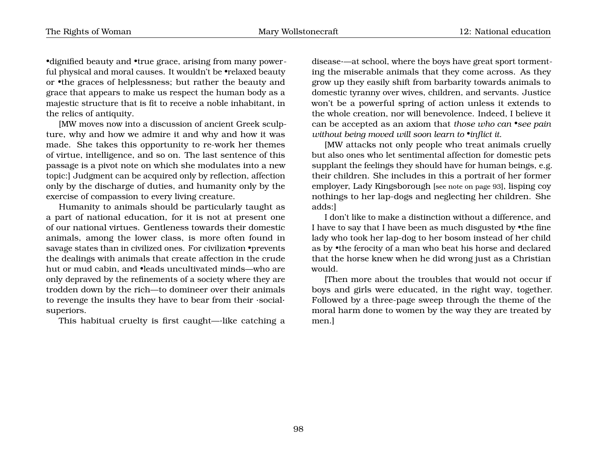•dignified beauty and •true grace, arising from many powerful physical and moral causes. It wouldn't be •relaxed beauty or •the graces of helplessness; but rather the beauty and grace that appears to make us respect the human body as a majestic structure that is fit to receive a noble inhabitant, in the relics of antiquity.

[MW moves now into a discussion of ancient Greek sculpture, why and how we admire it and why and how it was made. She takes this opportunity to re-work her themes of virtue, intelligence, and so on. The last sentence of this passage is a pivot note on which she modulates into a new topic:] Judgment can be acquired only by reflection, affection only by the discharge of duties, and humanity only by the exercise of compassion to every living creature.

Humanity to animals should be particularly taught as a part of national education, for it is not at present one of our national virtues. Gentleness towards their domestic animals, among the lower class, is more often found in savage states than in civilized ones. For civilization •prevents the dealings with animals that create affection in the crude hut or mud cabin, and •leads uncultivated minds—who are only depraved by the refinements of a society where they are trodden down by the rich—to domineer over their animals to revenge the insults they have to bear from their ·social· superiors.

This habitual cruelty is first caught—·like catching a

disease·—at school, where the boys have great sport tormenting the miserable animals that they come across. As they grow up they easily shift from barbarity towards animals to domestic tyranny over wives, children, and servants. Justice won't be a powerful spring of action unless it extends to the whole creation, nor will benevolence. Indeed, I believe it can be accepted as an axiom that *those who can •see pain without being moved will soon learn to •inflict it*.

[MW attacks not only people who treat animals cruelly but also ones who let sentimental affection for domestic pets supplant the feelings they should have for human beings, e.g. their children. She includes in this a portrait of her former employer, Lady Kingsborough [see note on page [93](#page-94-0)], lisping coy nothings to her lap-dogs and neglecting her children. She adds:]

I don't like to make a distinction without a difference, and I have to say that I have been as much disgusted by •the fine lady who took her lap-dog to her bosom instead of her child as by •the ferocity of a man who beat his horse and declared that the horse knew when he did wrong just as a Christian would.

[Then more about the troubles that would not occur if boys and girls were educated, in the right way, together. Followed by a three-page sweep through the theme of the moral harm done to women by the way they are treated by men.]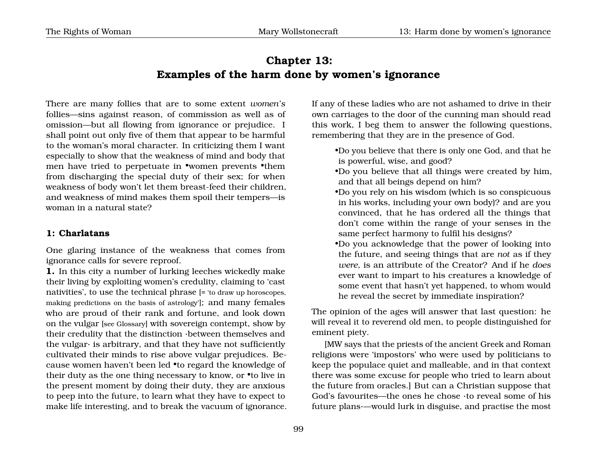## **Chapter 13: Examples of the harm done by women's ignorance**

There are many follies that are to some extent *women's* follies—sins against reason, of commission as well as of omission—but all flowing from ignorance or prejudice. I shall point out only five of them that appear to be harmful to the woman's moral character. In criticizing them I want especially to show that the weakness of mind and body that men have tried to perpetuate in •women prevents •them from discharging the special duty of their sex; for when weakness of body won't let them breast-feed their children, and weakness of mind makes them spoil their tempers—is woman in a natural state?

#### **1: Charlatans**

One glaring instance of the weakness that comes from ignorance calls for severe reproof.

**1.** In this city a number of lurking leeches wickedly make their living by exploiting women's credulity, claiming to 'cast nativities', to use the technical phrase [= 'to draw up horoscopes, making predictions on the basis of astrology']; and many females who are proud of their rank and fortune, and look down on the vulgar [see Glossary] with sovereign contempt, show by their credulity that the distinction ·between themselves and the vulgar $\cdot$  is arbitrary, and that they have not sufficiently cultivated their minds to rise above vulgar prejudices. Because women haven't been led •to regard the knowledge of their duty as the one thing necessary to know, or •to live in the present moment by doing their duty, they are anxious to peep into the future, to learn what they have to expect to make life interesting, and to break the vacuum of ignorance. If any of these ladies who are not ashamed to drive in their own carriages to the door of the cunning man should read this work, I beg them to answer the following questions, remembering that they are in the presence of God.

- •Do you believe that there is only one God, and that he is powerful, wise, and good?
- •Do you believe that all things were created by him, and that all beings depend on him?
- •Do you rely on his wisdom (which is so conspicuous in his works, including your own body)? and are you convinced, that he has ordered all the things that don't come within the range of your senses in the same perfect harmony to fulfil his designs?
- •Do you acknowledge that the power of looking into the future, and seeing things that are *not* as if they *were*, is an attribute of the Creator? And if he *does* ever want to impart to his creatures a knowledge of some event that hasn't yet happened, to whom would he reveal the secret by immediate inspiration?

The opinion of the ages will answer that last question: he will reveal it to reverend old men, to people distinguished for eminent piety.

[MW says that the priests of the ancient Greek and Roman religions were 'impostors' who were used by politicians to keep the populace quiet and malleable, and in that context there was some excuse for people who tried to learn about the future from oracles.] But can a Christian suppose that God's favourites—the ones he chose ·to reveal some of his future plans·—would lurk in disguise, and practise the most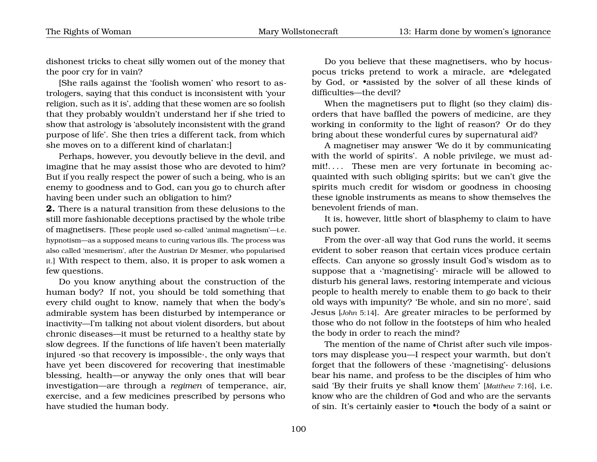dishonest tricks to cheat silly women out of the money that the poor cry for in vain?

[She rails against the 'foolish women' who resort to astrologers, saying that this conduct is inconsistent with 'your religion, such as it is', adding that these women are so foolish that they probably wouldn't understand her if she tried to show that astrology is 'absolutely inconsistent with the grand purpose of life'. She then tries a different tack, from which she moves on to a different kind of charlatan:]

Perhaps, however, you devoutly believe in the devil, and imagine that he may assist those who are devoted to him? But if you really respect the power of such a being, who is an enemy to goodness and to God, can you go to church after having been under such an obligation to him?

**2.** There is a natural transition from these delusions to the still more fashionable deceptions practised by the whole tribe of magnetisers. [These people used so-called 'animal magnetism'—i.e. hypnotism—as a supposed means to curing various ills. The process was also called 'mesmerism', after the Austrian Dr Mesmer, who popularised it.] With respect to them, also, it is proper to ask women a few questions.

Do you know anything about the construction of the human body? If not, you should be told something that every child ought to know, namely that when the body's admirable system has been disturbed by intemperance or inactivity—I'm talking not about violent disorders, but about chronic diseases—it must be returned to a healthy state by slow degrees. If the functions of life haven't been materially injured ·so that recovery is impossible·, the only ways that have yet been discovered for recovering that inestimable blessing, health—or anyway the only ones that will bear investigation—are through a *regimen* of temperance, air, exercise, and a few medicines prescribed by persons who have studied the human body.

Do you believe that these magnetisers, who by hocuspocus tricks pretend to work a miracle, are •delegated by God, or •assisted by the solver of all these kinds of difficulties—the devil?

When the magnetisers put to flight (so they claim) disorders that have baffled the powers of medicine, are they working in conformity to the light of reason? Or do they bring about these wonderful cures by supernatural aid?

A magnetiser may answer 'We do it by communicating with the world of spirits'. A noble privilege, we must admit!.... These men are very fortunate in becoming acquainted with such obliging spirits; but we can't give the spirits much credit for wisdom or goodness in choosing these ignoble instruments as means to show themselves the benevolent friends of man.

It is, however, little short of blasphemy to claim to have such power.

From the over-all way that God runs the world, it seems evident to sober reason that certain vices produce certain effects. Can anyone so grossly insult God's wisdom as to suppose that a ·'magnetising'· miracle will be allowed to disturb his general laws, restoring intemperate and vicious people to health merely to enable them to go back to their old ways with impunity? 'Be whole, and sin no more', said Jesus [*John* 5:14]. Are greater miracles to be performed by those who do not follow in the footsteps of him who healed the body in order to reach the mind?

The mention of the name of Christ after such vile impostors may displease you—I respect your warmth, but don't forget that the followers of these ·'magnetising'· delusions bear his name, and profess to be the disciples of him who said 'By their fruits ye shall know them' [*Matthew* 7:16], i.e. know who are the children of God and who are the servants of sin. It's certainly easier to •touch the body of a saint or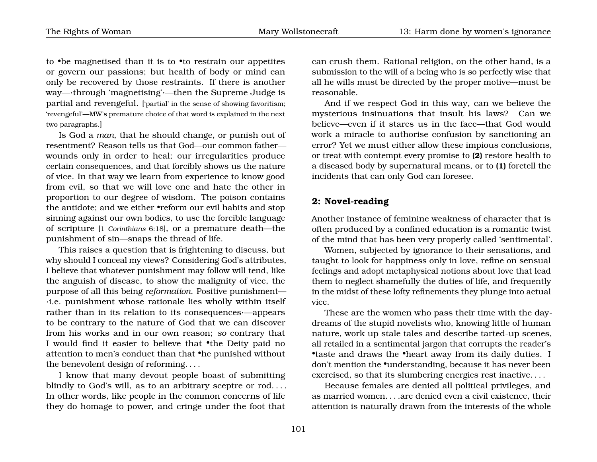to •be magnetised than it is to •to restrain our appetites or govern our passions; but health of body or mind can only be recovered by those restraints. If there is another way—·through 'magnetising'·—then the Supreme Judge is partial and revengeful. ['partial' in the sense of showing favoritism; 'revengeful'—MW's premature choice of that word is explained in the next two paragraphs.]

Is God a *man*, that he should change, or punish out of resentment? Reason tells us that God—our common father wounds only in order to heal; our irregularities produce certain consequences, and that forcibly shows us the nature of vice. In that way we learn from experience to know good from evil, so that we will love one and hate the other in proportion to our degree of wisdom. The poison contains the antidote; and we either •reform our evil habits and stop sinning against our own bodies, to use the forcible language of scripture [1 *Corinthians* 6:18], or a premature death—the punishment of sin—snaps the thread of life.

This raises a question that is frightening to discuss, but why should I conceal my views? Considering God's attributes, I believe that whatever punishment may follow will tend, like the anguish of disease, to show the malignity of vice, the purpose of all this being *reformation*. Positive punishment— ·i.e. punishment whose rationale lies wholly within itself rather than in its relation to its consequences·—appears to be contrary to the nature of God that we can discover from his works and in our own reason; *so* contrary that I would find it easier to believe that •the Deity paid no attention to men's conduct than that •he punished without the benevolent design of reforming. . . .

I know that many devout people boast of submitting blindly to God's will, as to an arbitrary sceptre or rod.... In other words, like people in the common concerns of life they do homage to power, and cringe under the foot that

can crush them. Rational religion, on the other hand, is a submission to the will of a being who is so perfectly wise that all he wills must be directed by the proper motive—must be reasonable.

And if we respect God in this way, can we believe the mysterious insinuations that insult his laws? Can we believe—even if it stares us in the face—that God would work a miracle to authorise confusion by sanctioning an error? Yet we must either allow these impious conclusions, or treat with contempt every promise to **(2)** restore health to a diseased body by supernatural means, or to **(1)** foretell the incidents that can only God can foresee.

#### **2: Novel-reading**

Another instance of feminine weakness of character that is often produced by a confined education is a romantic twist of the mind that has been very properly called 'sentimental'.

Women, subjected by ignorance to their sensations, and taught to look for happiness only in love, refine on sensual feelings and adopt metaphysical notions about love that lead them to neglect shamefully the duties of life, and frequently in the midst of these lofty refinements they plunge into actual vice.

These are the women who pass their time with the daydreams of the stupid novelists who, knowing little of human nature, work up stale tales and describe tarted-up scenes, all retailed in a sentimental jargon that corrupts the reader's •taste and draws the •heart away from its daily duties. I don't mention the •understanding, because it has never been exercised, so that its slumbering energies rest inactive. . . .

Because females are denied all political privileges, and as married women. . . .are denied even a civil existence, their attention is naturally drawn from the interests of the whole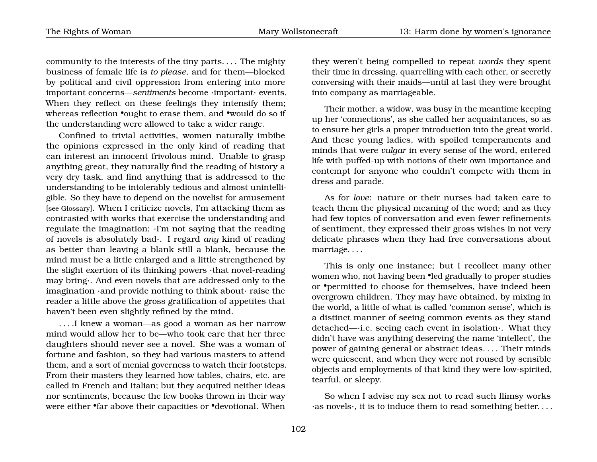The Rights of Woman Mary Wollstonecraft 13: Harm done by women's ignorance

community to the interests of the tiny parts. . . . The mighty business of female life is *to please*, and for them—blocked by political and civil oppression from entering into more important concerns—*sentiments* become ·important· events. When they reflect on these feelings they intensify them; whereas reflection •ought to erase them, and •would do so if the understanding were allowed to take a wider range.

Confined to trivial activities, women naturally imbibe the opinions expressed in the only kind of reading that can interest an innocent frivolous mind. Unable to grasp anything great, they naturally find the reading of history a very dry task, and find anything that is addressed to the understanding to be intolerably tedious and almost unintelligible. So they have to depend on the novelist for amusement [see Glossary]. When I criticize novels, I'm attacking them as contrasted with works that exercise the understanding and regulate the imagination; ·I'm not saying that the reading of novels is absolutely bad·. I regard *any* kind of reading as better than leaving a blank still a blank, because the mind must be a little enlarged and a little strengthened by the slight exertion of its thinking powers ·that novel-reading may bring·. And even novels that are addressed only to the imagination ·and provide nothing to think about· raise the reader a little above the gross gratification of appetites that haven't been even slightly refined by the mind.

. . . .I knew a woman—as good a woman as her narrow mind would allow her to be—who took care that her three daughters should never see a novel. She was a woman of fortune and fashion, so they had various masters to attend them, and a sort of menial governess to watch their footsteps. From their masters they learned how tables, chairs, etc. are called in French and Italian; but they acquired neither ideas nor sentiments, because the few books thrown in their way were either •far above their capacities or •devotional. When

they weren't being compelled to repeat *words* they spent their time in dressing, quarrelling with each other, or secretly conversing with their maids—until at last they were brought into company as marriageable.

Their mother, a widow, was busy in the meantime keeping up her 'connections', as she called her acquaintances, so as to ensure her girls a proper introduction into the great world. And these young ladies, with spoiled temperaments and minds that were *vulgar* in every sense of the word, entered life with puffed-up with notions of their own importance and contempt for anyone who couldn't compete with them in dress and parade.

As for *love*: nature or their nurses had taken care to teach them the physical meaning of the word; and as they had few topics of conversation and even fewer refinements of sentiment, they expressed their gross wishes in not very delicate phrases when they had free conversations about marriage. . . .

This is only one instance; but I recollect many other women who, not having been •led gradually to proper studies or •permitted to choose for themselves, have indeed been overgrown children. They may have obtained, by mixing in the world, a little of what is called 'common sense', which is a distinct manner of seeing common events as they stand detached—·i.e. seeing each event in isolation·. What they didn't have was anything deserving the name 'intellect', the power of gaining general or abstract ideas. . . . Their minds were quiescent, and when they were not roused by sensible objects and employments of that kind they were low-spirited, tearful, or sleepy.

So when I advise my sex not to read such flimsy works ·as novels·, it is to induce them to read something better. . . .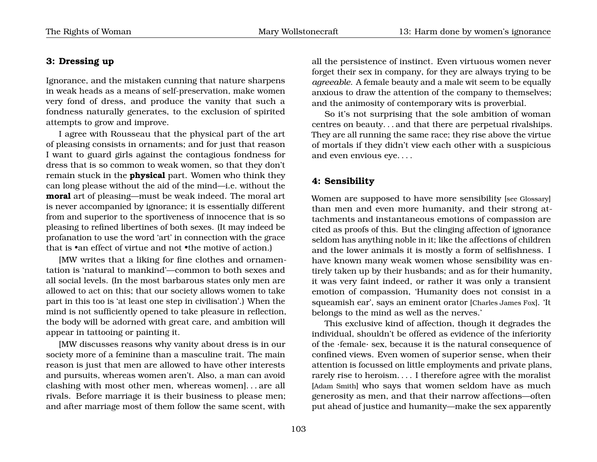#### **3: Dressing up**

Ignorance, and the mistaken cunning that nature sharpens in weak heads as a means of self-preservation, make women very fond of dress, and produce the vanity that such a fondness naturally generates, to the exclusion of spirited attempts to grow and improve.

I agree with Rousseau that the physical part of the art of pleasing consists in ornaments; and for just that reason I want to guard girls against the contagious fondness for dress that is so common to weak women, so that they don't remain stuck in the **physical** part. Women who think they can long please without the aid of the mind—i.e. without the **moral** art of pleasing—must be weak indeed. The moral art is never accompanied by ignorance; it is essentially different from and superior to the sportiveness of innocence that is so pleasing to refined libertines of both sexes. (It may indeed be profanation to use the word 'art' in connection with the grace that is •an effect of virtue and not •the motive of action.)

[MW writes that a liking for fine clothes and ornamentation is 'natural to mankind'—common to both sexes and all social levels. (In the most barbarous states only men are allowed to act on this; that our society allows women to take part in this too is 'at least one step in civilisation'.) When the mind is not sufficiently opened to take pleasure in reflection, the body will be adorned with great care, and ambition will appear in tattooing or painting it.

[MW discusses reasons why vanity about dress is in our society more of a feminine than a masculine trait. The main reason is just that men are allowed to have other interests and pursuits, whereas women aren't. Also, a man can avoid clashing with most other men, whereas women]. . . are all rivals. Before marriage it is their business to please men; and after marriage most of them follow the same scent, with all the persistence of instinct. Even virtuous women never forget their sex in company, for they are always trying to be *agreeable*. A female beauty and a male wit seem to be equally anxious to draw the attention of the company to themselves; and the animosity of contemporary wits is proverbial.

So it's not surprising that the sole ambition of woman centres on beauty. . . and that there are perpetual rivalships. They are all running the same race; they rise above the virtue of mortals if they didn't view each other with a suspicious and even envious eye. . . .

#### **4: Sensibility**

Women are supposed to have more sensibility [see Glossary] than men and even more humanity, and their strong attachments and instantaneous emotions of compassion are cited as proofs of this. But the clinging affection of ignorance seldom has anything noble in it; like the affections of children and the lower animals it is mostly a form of selfishness. I have known many weak women whose sensibility was entirely taken up by their husbands; and as for their humanity, it was very faint indeed, or rather it was only a transient emotion of compassion, 'Humanity does not consist in a squeamish ear', says an eminent orator [Charles James Fox]. 'It belongs to the mind as well as the nerves.'

This exclusive kind of affection, though it degrades the individual, shouldn't be offered as evidence of the inferiority of the ·female· sex, because it is the natural consequence of confined views. Even women of superior sense, when their attention is focussed on little employments and private plans, rarely rise to heroism. . . . I therefore agree with the moralist [Adam Smith] who says that women seldom have as much generosity as men, and that their narrow affections—often put ahead of justice and humanity—make the sex apparently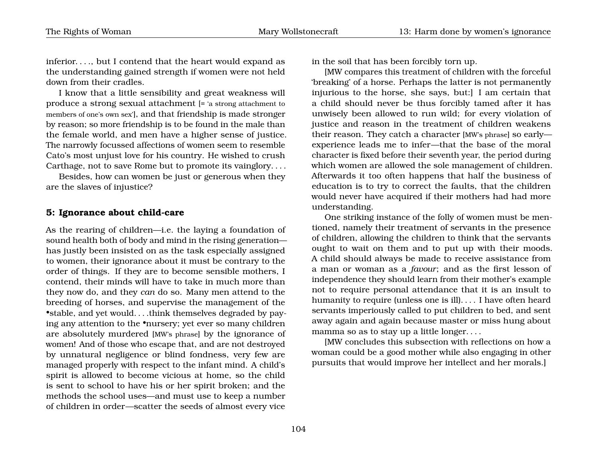inferior. . . ., but I contend that the heart would expand as the understanding gained strength if women were not held down from their cradles.

I know that a little sensibility and great weakness will produce a strong sexual attachment [= 'a strong attachment to members of one's own sex'], and that friendship is made stronger by reason; so more friendship is to be found in the male than the female world, and men have a higher sense of justice. The narrowly focussed affections of women seem to resemble Cato's most unjust love for his country. He wished to crush Carthage, not to save Rome but to promote its vainglory. . . .

Besides, how can women be just or generous when they are the slaves of injustice?

#### **5: Ignorance about child-care**

As the rearing of children—i.e. the laying a foundation of sound health both of body and mind in the rising generation has justly been insisted on as the task especially assigned to women, their ignorance about it must be contrary to the order of things. If they are to become sensible mothers, I contend, their minds will have to take in much more than they now do, and they *can* do so. Many men attend to the breeding of horses, and supervise the management of the •stable, and yet would. . . .think themselves degraded by paying any attention to the •nursery; yet ever so many children are absolutely murdered [MW's phrase] by the ignorance of women! And of those who escape that, and are not destroyed by unnatural negligence or blind fondness, very few are managed properly with respect to the infant mind. A child's spirit is allowed to become vicious at home, so the child is sent to school to have his or her spirit broken; and the methods the school uses—and must use to keep a number of children in order—scatter the seeds of almost every vice

in the soil that has been forcibly torn up.

[MW compares this treatment of children with the forceful 'breaking' of a horse. Perhaps the latter is not permanently injurious to the horse, she says, but:] I am certain that a child should never be thus forcibly tamed after it has unwisely been allowed to run wild; for every violation of justice and reason in the treatment of children weakens their reason. They catch a character [MW's phrase] so early experience leads me to infer—that the base of the moral character is fixed before their seventh year, the period during which women are allowed the sole management of children. Afterwards it too often happens that half the business of education is to try to correct the faults, that the children would never have acquired if their mothers had had more understanding.

One striking instance of the folly of women must be mentioned, namely their treatment of servants in the presence of children, allowing the children to think that the servants ought to wait on them and to put up with their moods. A child should always be made to receive assistance from a man or woman as a *favour*; and as the first lesson of independence they should learn from their mother's example not to require personal attendance that it is an insult to humanity to require (unless one is ill). . . . I have often heard servants imperiously called to put children to bed, and sent away again and again because master or miss hung about mamma so as to stay up a little longer. . . .

[MW concludes this subsection with reflections on how a woman could be a good mother while also engaging in other pursuits that would improve her intellect and her morals.]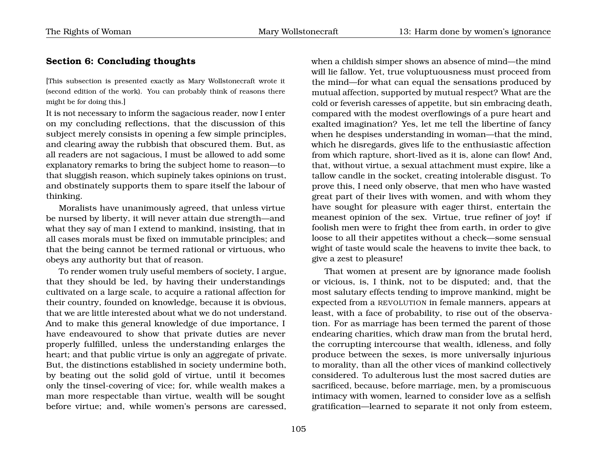## **Section 6: Concluding thoughts**

[This subsection is presented exactly as Mary Wollstonecraft wrote it (second edition of the work). You can probably think of reasons there might be for doing this.]

It is not necessary to inform the sagacious reader, now I enter on my concluding reflections, that the discussion of this subject merely consists in opening a few simple principles, and clearing away the rubbish that obscured them. But, as all readers are not sagacious, I must be allowed to add some explanatory remarks to bring the subject home to reason—to that sluggish reason, which supinely takes opinions on trust, and obstinately supports them to spare itself the labour of thinking.

Moralists have unanimously agreed, that unless virtue be nursed by liberty, it will never attain due strength—and what they say of man I extend to mankind, insisting, that in all cases morals must be fixed on immutable principles; and that the being cannot be termed rational or virtuous, who obeys any authority but that of reason.

To render women truly useful members of society, I argue, that they should be led, by having their understandings cultivated on a large scale, to acquire a rational affection for their country, founded on knowledge, because it is obvious, that we are little interested about what we do not understand. And to make this general knowledge of due importance, I have endeavoured to show that private duties are never properly fulfilled, unless the understanding enlarges the heart; and that public virtue is only an aggregate of private. But, the distinctions established in society undermine both, by beating out the solid gold of virtue, until it becomes only the tinsel-covering of vice; for, while wealth makes a man more respectable than virtue, wealth will be sought before virtue; and, while women's persons are caressed,

when a childish simper shows an absence of mind—the mind will lie fallow. Yet, true voluptuousness must proceed from the mind—for what can equal the sensations produced by mutual affection, supported by mutual respect? What are the cold or feverish caresses of appetite, but sin embracing death, compared with the modest overflowings of a pure heart and exalted imagination? Yes, let me tell the libertine of fancy when he despises understanding in woman—that the mind, which he disregards, gives life to the enthusiastic affection from which rapture, short-lived as it is, alone can flow! And, that, without virtue, a sexual attachment must expire, like a tallow candle in the socket, creating intolerable disgust. To prove this, I need only observe, that men who have wasted great part of their lives with women, and with whom they have sought for pleasure with eager thirst, entertain the meanest opinion of the sex. Virtue, true refiner of joy! if foolish men were to fright thee from earth, in order to give loose to all their appetites without a check—some sensual wight of taste would scale the heavens to invite thee back, to give a zest to pleasure!

That women at present are by ignorance made foolish or vicious, is, I think, not to be disputed; and, that the most salutary effects tending to improve mankind, might be expected from a REVOLUTION in female manners, appears at least, with a face of probability, to rise out of the observation. For as marriage has been termed the parent of those endearing charities, which draw man from the brutal herd, the corrupting intercourse that wealth, idleness, and folly produce between the sexes, is more universally injurious to morality, than all the other vices of mankind collectively considered. To adulterous lust the most sacred duties are sacrificed, because, before marriage, men, by a promiscuous intimacy with women, learned to consider love as a selfish gratification—learned to separate it not only from esteem,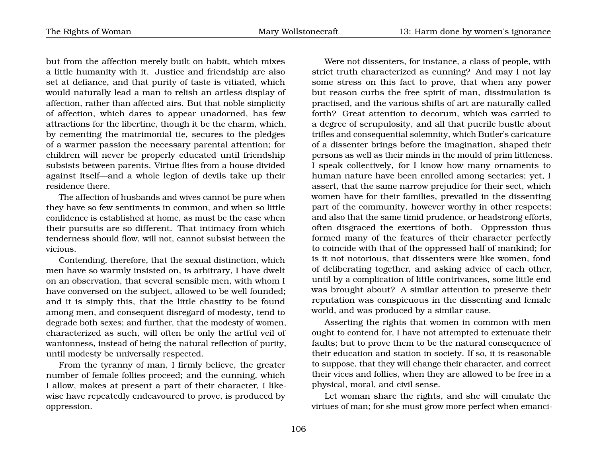but from the affection merely built on habit, which mixes a little humanity with it. Justice and friendship are also set at defiance, and that purity of taste is vitiated, which would naturally lead a man to relish an artless display of affection, rather than affected airs. But that noble simplicity of affection, which dares to appear unadorned, has few attractions for the libertine, though it be the charm, which, by cementing the matrimonial tie, secures to the pledges of a warmer passion the necessary parental attention; for children will never be properly educated until friendship subsists between parents. Virtue flies from a house divided against itself—and a whole legion of devils take up their residence there.

The affection of husbands and wives cannot be pure when they have so few sentiments in common, and when so little confidence is established at home, as must be the case when their pursuits are so different. That intimacy from which tenderness should flow, will not, cannot subsist between the vicious.

Contending, therefore, that the sexual distinction, which men have so warmly insisted on, is arbitrary, I have dwelt on an observation, that several sensible men, with whom I have conversed on the subject, allowed to be well founded; and it is simply this, that the little chastity to be found among men, and consequent disregard of modesty, tend to degrade both sexes; and further, that the modesty of women, characterized as such, will often be only the artful veil of wantonness, instead of being the natural reflection of purity, until modesty be universally respected.

From the tyranny of man, I firmly believe, the greater number of female follies proceed; and the cunning, which I allow, makes at present a part of their character, I likewise have repeatedly endeavoured to prove, is produced by oppression.

Were not dissenters, for instance, a class of people, with strict truth characterized as cunning? And may I not lay some stress on this fact to prove, that when any power but reason curbs the free spirit of man, dissimulation is practised, and the various shifts of art are naturally called forth? Great attention to decorum, which was carried to a degree of scrupulosity, and all that puerile bustle about trifles and consequential solemnity, which Butler's caricature of a dissenter brings before the imagination, shaped their persons as well as their minds in the mould of prim littleness. I speak collectively, for I know how many ornaments to human nature have been enrolled among sectaries; yet, I assert, that the same narrow prejudice for their sect, which women have for their families, prevailed in the dissenting part of the community, however worthy in other respects; and also that the same timid prudence, or headstrong efforts, often disgraced the exertions of both. Oppression thus formed many of the features of their character perfectly to coincide with that of the oppressed half of mankind; for is it not notorious, that dissenters were like women, fond of deliberating together, and asking advice of each other, until by a complication of little contrivances, some little end was brought about? A similar attention to preserve their reputation was conspicuous in the dissenting and female world, and was produced by a similar cause.

Asserting the rights that women in common with men ought to contend for, I have not attempted to extenuate their faults; but to prove them to be the natural consequence of their education and station in society. If so, it is reasonable to suppose, that they will change their character, and correct their vices and follies, when they are allowed to be free in a physical, moral, and civil sense.

Let woman share the rights, and she will emulate the virtues of man; for she must grow more perfect when emanci